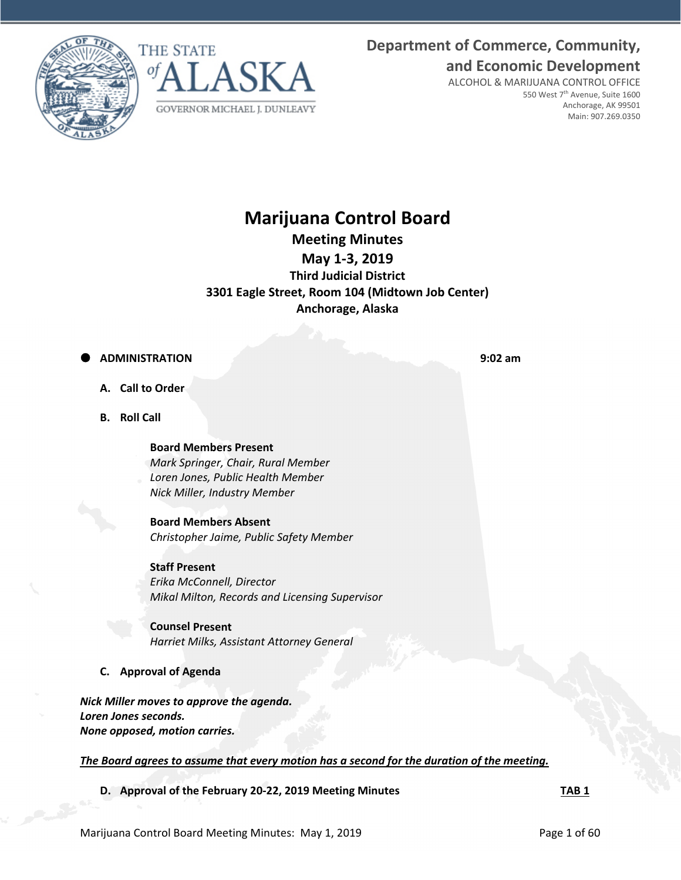**Department of Commerce, Community, and Economic Development**





ALCOHOL & MARIJUANA CONTROL OFFICE 550 West 7th Avenue, Suite 1600 Anchorage, AK 99501 Main: 907.269.0350

# **Marijuana Control Board**

**Meeting Minutes** 

**May 1‐3, 2019**

**Third Judicial District 3301 Eagle Street, Room 104 (Midtown Job Center) Anchorage, Alaska**

## **ADMINISTRATION 9:02 am**

- **A. Call to Order**
- **B. Roll Call**

### **Board Members Present**

*Mark Springer, Chair, Rural Member Loren Jones, Public Health Member Nick Miller, Industry Member*

**Board Members Absent** *Christopher Jaime, Public Safety Member*

### **Staff Present**

*Erika McConnell, Director Mikal Milton, Records and Licensing Supervisor*

**Counsel Present** *Harriet Milks, Assistant Attorney General*

## **C. Approval of Agenda**

*Nick Miller moves to approve the agenda. Loren Jones seconds. None opposed, motion carries.*

*The Board agrees to assume that every motion has a second for the duration of the meeting.* 

**D. Approval of the February 20‐22, 2019 Meeting Minutes TAB 1**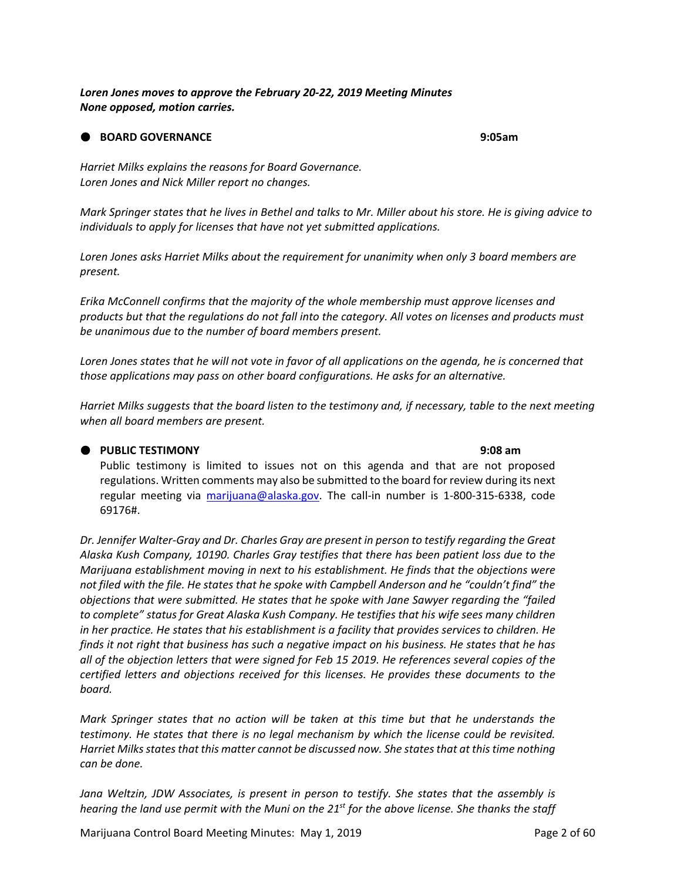*Loren Jones moves to approve the February 20‐22, 2019 Meeting Minutes None opposed, motion carries.*

#### **BOARD GOVERNANCE 9:05am**

*Harriet Milks explains the reasons for Board Governance. Loren Jones and Nick Miller report no changes.*

Mark Springer states that he lives in Bethel and talks to Mr. Miller about his store. He is giving advice to *individuals to apply for licenses that have not yet submitted applications.*

*Loren Jones asks Harriet Milks about the requirement for unanimity when only 3 board members are present.*

*Erika McConnell confirms that the majority of the whole membership must approve licenses and* products but that the regulations do not fall into the category. All votes on licenses and products must *be unanimous due to the number of board members present.* 

Loren Jones states that he will not vote in favor of all applications on the agenda, he is concerned that *those applications may pass on other board configurations. He asks for an alternative.* 

Harriet Milks suggests that the board listen to the testimony and, if necessary, table to the next meeting *when all board members are present.* 

#### **PUBLIC TESTIMONY 9:08 am**

Public testimony is limited to issues not on this agenda and that are not proposed regulations. Written comments may also be submitted to the board for review during its next regular meeting via marijuana@alaska.gov. The call‐in number is 1‐800‐315‐6338, code 69176#.

*Dr. Jennifer Walter‐Gray and Dr. Charles Gray are present in person to testify regarding the Great Alaska Kush Company, 10190. Charles Gray testifies that there has been patient loss due to the Marijuana establishment moving in next to his establishment. He finds that the objections were not filed with the file. He states that he spoke with Campbell Anderson and he "couldn't find" the objections that were submitted. He states that he spoke with Jane Sawyer regarding the "failed to complete" status for Great Alaska Kush Company. He testifies that his wife sees many children in her practice. He states that his establishment is a facility that provides services to children. He* finds it not right that business has such a negative impact on his business. He states that he has *all of the objection letters that were signed for Feb 15 2019. He references several copies of the certified letters and objections received for this licenses. He provides these documents to the board.*

*Mark Springer states that no action will be taken at this time but that he understands the testimony. He states that there is no legal mechanism by which the license could be revisited. Harriet Milksstatesthat this matter cannot be discussed now. She statesthat at thistime nothing can be done.* 

*Jana Weltzin, JDW Associates, is present in person to testify. She states that the assembly is* hearing the land use permit with the Muni on the 21<sup>st</sup> for the above license. She thanks the staff

Marijuana Control Board Meeting Minutes: May 1, 2019 **Page 2 of 60**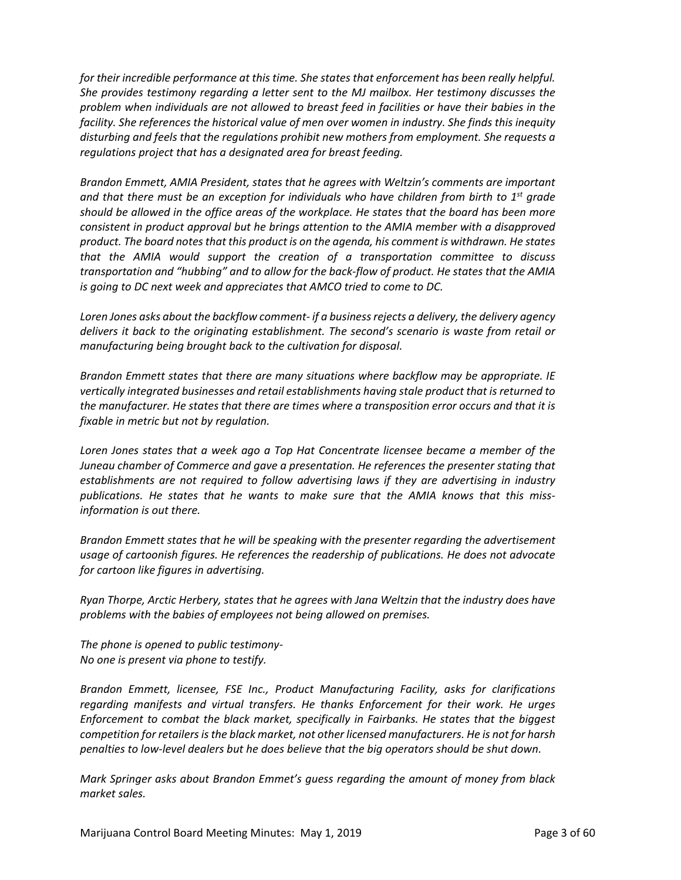*for their incredible performance at this time. She states that enforcement has been really helpful. She provides testimony regarding a letter sent to the MJ mailbox. Her testimony discusses the problem when individuals are not allowed to breast feed in facilities or have their babies in the facility. She references the historical value of men over women in industry. She finds this inequity disturbing and feels that the regulations prohibit new mothers from employment. She requests a regulations project that has a designated area for breast feeding.* 

*Brandon Emmett, AMIA President, states that he agrees with Weltzin's comments are important and that there must be an exception for individuals who have children from birth to 1st grade should be allowed in the office areas of the workplace. He states that the board has been more consistent in product approval but he brings attention to the AMIA member with a disapproved product. The board notesthat this product is on the agenda, his comment is withdrawn. He states that the AMIA would support the creation of a transportation committee to discuss transportation and "hubbing" and to allow for the back‐flow of product. He states that the AMIA is going to DC next week and appreciates that AMCO tried to come to DC.* 

*Loren Jones asks about the backflow comment‐ if a businessrejects a delivery, the delivery agency delivers it back to the originating establishment. The second's scenario is waste from retail or manufacturing being brought back to the cultivation for disposal.*

*Brandon Emmett states that there are many situations where backflow may be appropriate. IE vertically integrated businesses and retail establishments having stale product that is returned to the manufacturer. He states that there are times where a transposition error occurs and that it is fixable in metric but not by regulation.* 

*Loren Jones states that a week ago a Top Hat Concentrate licensee became a member of the Juneau chamber of Commerce and gave a presentation. He references the presenter stating that establishments are not required to follow advertising laws if they are advertising in industry publications. He states that he wants to make sure that the AMIA knows that this miss‐ information is out there.* 

*Brandon Emmett states that he will be speaking with the presenter regarding the advertisement usage of cartoonish figures. He references the readership of publications. He does not advocate for cartoon like figures in advertising.* 

*Ryan Thorpe, Arctic Herbery, states that he agrees with Jana Weltzin that the industry does have problems with the babies of employees not being allowed on premises.* 

*The phone is opened to public testimony‐ No one is present via phone to testify.* 

*Brandon Emmett, licensee, FSE Inc., Product Manufacturing Facility, asks for clarifications regarding manifests and virtual transfers. He thanks Enforcement for their work. He urges Enforcement to combat the black market, specifically in Fairbanks. He states that the biggest competition for retailersisthe black market, not other licensed manufacturers. He is not for harsh penalties to low‐level dealers but he does believe that the big operators should be shut down.*

*Mark Springer asks about Brandon Emmet's guess regarding the amount of money from black market sales.*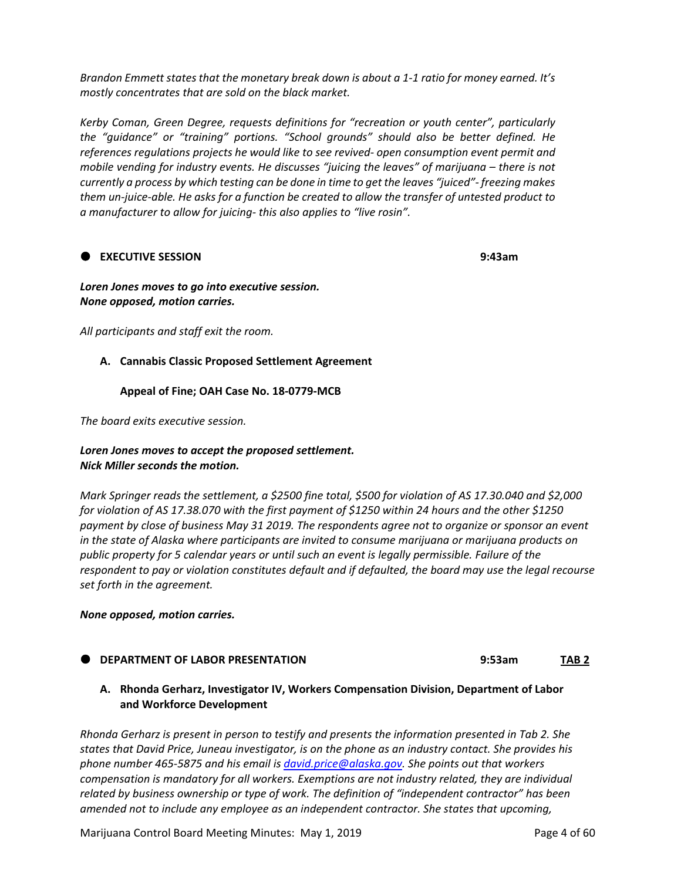Brandon Emmett states that the monetary break down is about a 1-1 ratio for money earned. It's *mostly concentrates that are sold on the black market.* 

*Kerby Coman, Green Degree, requests definitions for "recreation or youth center", particularly the "guidance" or "training" portions. "School grounds" should also be better defined. He references regulations projects he would like to see revived‐ open consumption event permit and mobile vending for industry events. He discusses "juicing the leaves" of marijuana – there is not* currently a process by which testing can be done in time to get the leaves "juiced"- freezing makes them un-juice-able. He asks for a function be created to allow the transfer of untested product to *a manufacturer to allow for juicing‐ this also applies to "live rosin".* 

#### **EXECUTIVE SESSION 9:43am**

#### *Loren Jones moves to go into executive session. None opposed, motion carries.*

*All participants and staff exit the room.*

#### **A. Cannabis Classic Proposed Settlement Agreement**

#### **Appeal of Fine; OAH Case No. 18‐0779‐MCB**

*The board exits executive session.*

#### *Loren Jones moves to accept the proposed settlement. Nick Miller seconds the motion.*

*Mark Springer reads the settlement, a \$2500 fine total, \$500 for violation of AS 17.30.040 and \$2,000 for violation of AS 17.38.070 with the first payment of \$1250 within 24 hours and the other \$1250* payment by close of business May 31 2019. The respondents agree not to organize or sponsor an event *in the state of Alaska where participants are invited to consume marijuana or marijuana products on public property for 5 calendar years or until such an event is legally permissible. Failure of the respondent to pay or violation constitutes default and if defaulted, the board may use the legal recourse set forth in the agreement.*

#### *None opposed, motion carries.*

- **DEPARTMENT OF LABOR PRESENTATION 9:53am TAB 2**
	- **A. Rhonda Gerharz, Investigator IV, Workers Compensation Division, Department of Labor and Workforce Development**

*Rhonda Gerharz is present in person to testify and presents the information presented in Tab 2. She states that David Price, Juneau investigator, is on the phone as an industry contact. She provides his phone number 465‐5875 and his email is david.price@alaska.gov. She points out that workers compensation is mandatory for all workers. Exemptions are not industry related, they are individual related by business ownership or type of work. The definition of "independent contractor" has been amended not to include any employee as an independent contractor. She states that upcoming,*

Marijuana Control Board Meeting Minutes: May 1, 2019 **Page 4 of 60**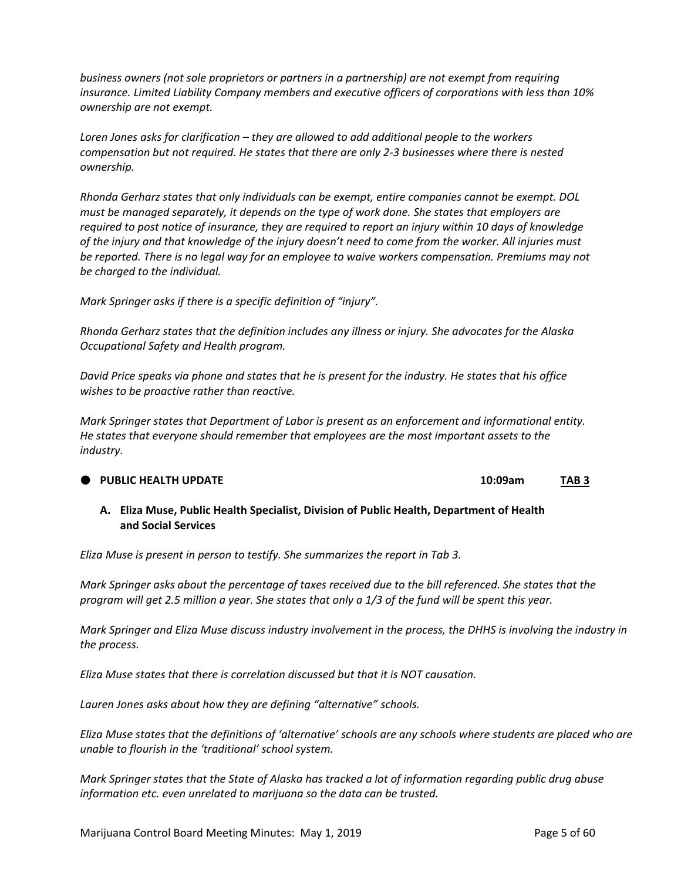*business owners (not sole proprietors or partners in a partnership) are not exempt from requiring insurance. Limited Liability Company members and executive officers of corporations with less than 10% ownership are not exempt.* 

*Loren Jones asks for clarification – they are allowed to add additional people to the workers compensation but not required. He states that there are only 2‐3 businesses where there is nested ownership.* 

*Rhonda Gerharz states that only individuals can be exempt, entire companies cannot be exempt. DOL must be managed separately, it depends on the type of work done. She states that employers are* required to post notice of insurance, they are required to report an injury within 10 days of knowledge of the injury and that knowledge of the injury doesn't need to come from the worker. All injuries must *be reported. There is no legal way for an employee to waive workers compensation. Premiums may not be charged to the individual.* 

*Mark Springer asks if there is a specific definition of "injury".*

*Rhonda Gerharz states that the definition includes any illness or injury. She advocates for the Alaska Occupational Safety and Health program.* 

David Price speaks via phone and states that he is present for the industry. He states that his office *wishes to be proactive rather than reactive.* 

*Mark Springer states that Department of Labor is present as an enforcement and informational entity. He states that everyone should remember that employees are the most important assets to the industry.* 

#### **PUBLIC HEALTH UPDATE 10:09am TAB 3**

**A. Eliza Muse, Public Health Specialist, Division of Public Health, Department of Health and Social Services**

*Eliza Muse is present in person to testify. She summarizes the report in Tab 3.* 

Mark Springer asks about the percentage of taxes received due to the bill referenced. She states that the program will get 2.5 million a year. She states that only a 1/3 of the fund will be spent this year.

Mark Springer and Eliza Muse discuss industry involvement in the process, the DHHS is involving the industry in *the process.* 

*Eliza Muse states that there is correlation discussed but that it is NOT causation.* 

*Lauren Jones asks about how they are defining "alternative" schools.*

Eliza Muse states that the definitions of 'alternative' schools are any schools where students are placed who are *unable to flourish in the 'traditional' school system.* 

Mark Springer states that the State of Alaska has tracked a lot of information regarding public drug abuse *information etc. even unrelated to marijuana so the data can be trusted.*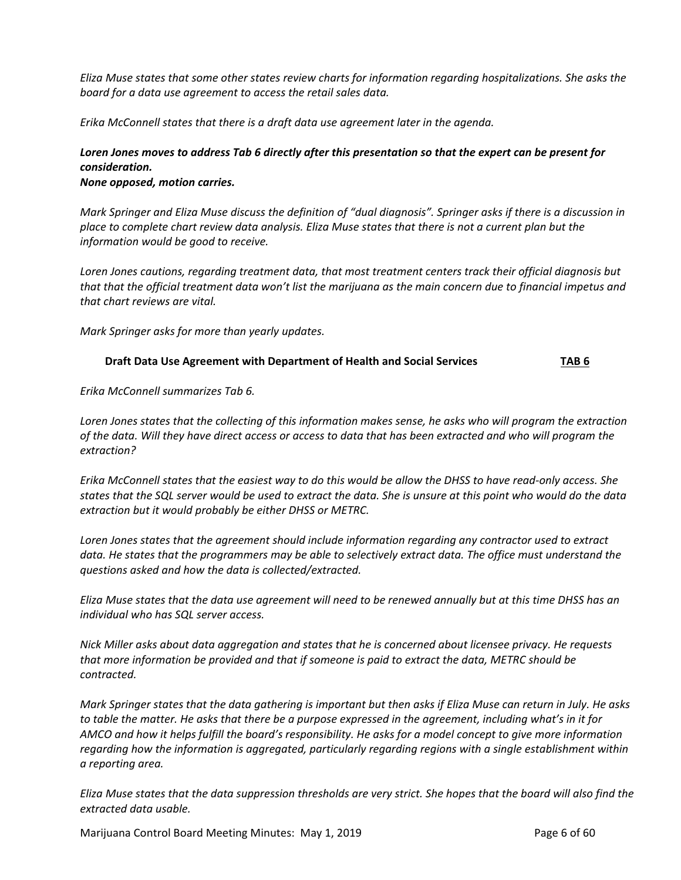*Eliza Muse states that some other states review charts for information regarding hospitalizations. She asks the board for a data use agreement to access the retail sales data.* 

*Erika McConnell states that there is a draft data use agreement later in the agenda.* 

## Loren Jones moves to address Tab 6 directly after this presentation so that the expert can be present for *consideration.*

*None opposed, motion carries.* 

Mark Springer and Eliza Muse discuss the definition of "dual diagnosis". Springer asks if there is a discussion in place to complete chart review data analysis. Eliza Muse states that there is not a current plan but the *information would be good to receive.* 

*Loren Jones cautions, regarding treatment data, that most treatment centers track their official diagnosis but* that that the official treatment data won't list the marijuana as the main concern due to financial impetus and *that chart reviews are vital.* 

*Mark Springer asks for more than yearly updates.* 

#### **Draft Data Use Agreement with Department of Health and Social Services TAB 6**

*Erika McConnell summarizes Tab 6.* 

Loren Jones states that the collecting of this information makes sense, he asks who will program the extraction of the data. Will they have direct access or access to data that has been extracted and who will program the *extraction?*

Erika McConnell states that the easiest way to do this would be allow the DHSS to have read-only access. She states that the SQL server would be used to extract the data. She is unsure at this point who would do the data *extraction but it would probably be either DHSS or METRC.* 

*Loren Jones states that the agreement should include information regarding any contractor used to extract* data. He states that the programmers may be able to selectively extract data. The office must understand the *questions asked and how the data is collected/extracted.* 

Eliza Muse states that the data use agreement will need to be renewed annually but at this time DHSS has an *individual who has SQL server access.* 

Nick Miller asks about data aggregation and states that he is concerned about licensee privacy. He requests *that more information be provided and that if someone is paid to extract the data, METRC should be contracted.* 

Mark Springer states that the data gathering is important but then asks if Eliza Muse can return in July. He asks to table the matter. He asks that there be a purpose expressed in the agreement, including what's in it for AMCO and how it helps fulfill the board's responsibility. He asks for a model concept to give more information *regarding how the information is aggregated, particularly regarding regions with a single establishment within a reporting area.* 

Eliza Muse states that the data suppression thresholds are very strict. She hopes that the board will also find the *extracted data usable.* 

Marijuana Control Board Meeting Minutes: May 1, 2019 **Page 6 of 60** Page 6 of 60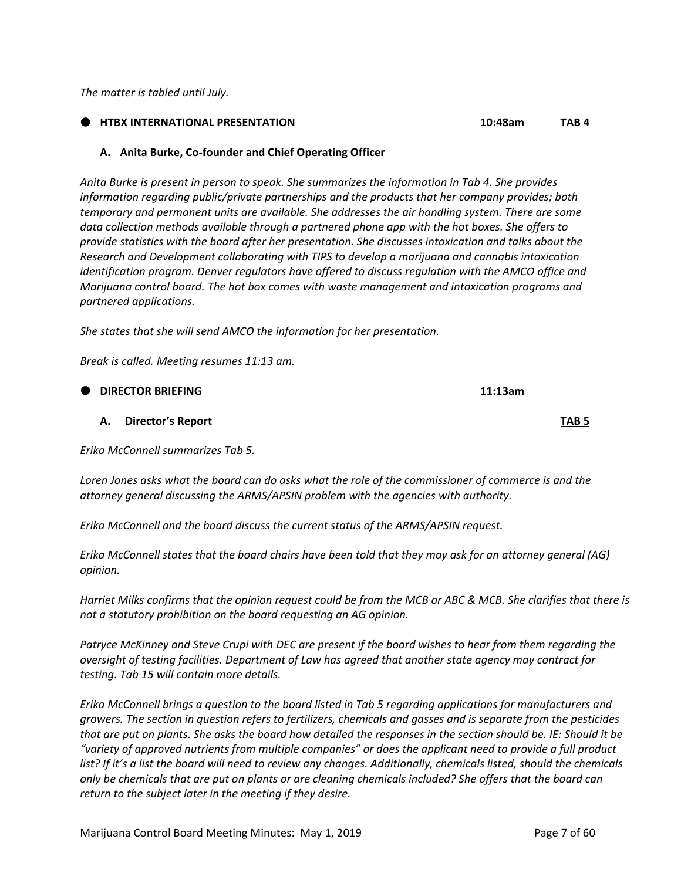*The matter is tabled until July.*

#### **HTBX INTERNATIONAL PRESENTATION 10:48am TAB 4**

#### **A. Anita Burke, Co‐founder and Chief Operating Officer**

*Anita Burke is present in person to speak. She summarizes the information in Tab 4. She provides information regarding public/private partnerships and the products that her company provides; both temporary and permanent units are available. She addresses the air handling system. There are some data collection methods available through a partnered phone app with the hot boxes. She offers to provide statistics with the board after her presentation. She discusses intoxication and talks about the Research and Development collaborating with TIPS to develop a marijuana and cannabis intoxication identification program. Denver regulators have offered to discuss regulation with the AMCO office and Marijuana control board. The hot box comes with waste management and intoxication programs and partnered applications.* 

*She states that she will send AMCO the information for her presentation.* 

*Break is called. Meeting resumes 11:13 am.*

| $\bullet$ | <b>DIRECTOR BRIEFING</b>          | 11:13am          |
|-----------|-----------------------------------|------------------|
|           | Director's Report<br>А.           | TAB <sub>5</sub> |
|           | Erika McConnell summarizes Tab 5. |                  |

Loren Jones asks what the board can do asks what the role of the commissioner of commerce is and the *attorney general discussing the ARMS/APSIN problem with the agencies with authority.* 

*Erika McConnell and the board discuss the current status of the ARMS/APSIN request.* 

Erika McConnell states that the board chairs have been told that they may ask for an attorney general (AG) *opinion.* 

Harriet Milks confirms that the opinion request could be from the MCB or ABC & MCB. She clarifies that there is *not a statutory prohibition on the board requesting an AG opinion.* 

Patryce McKinney and Steve Crupi with DEC are present if the board wishes to hear from them regarding the *oversight of testing facilities. Department of Law has agreed that another state agency may contract for testing. Tab 15 will contain more details.* 

Erika McConnell brings a question to the board listed in Tab 5 regarding applications for manufacturers and growers. The section in question refers to fertilizers, chemicals and gasses and is separate from the pesticides that are put on plants. She asks the board how detailed the responses in the section should be. IE: Should it be "variety of approved nutrients from multiple companies" or does the applicant need to provide a full product list? If it's a list the board will need to review any changes. Additionally, chemicals listed, should the chemicals only be chemicals that are put on plants or are cleaning chemicals included? She offers that the board can *return to the subject later in the meeting if they desire.*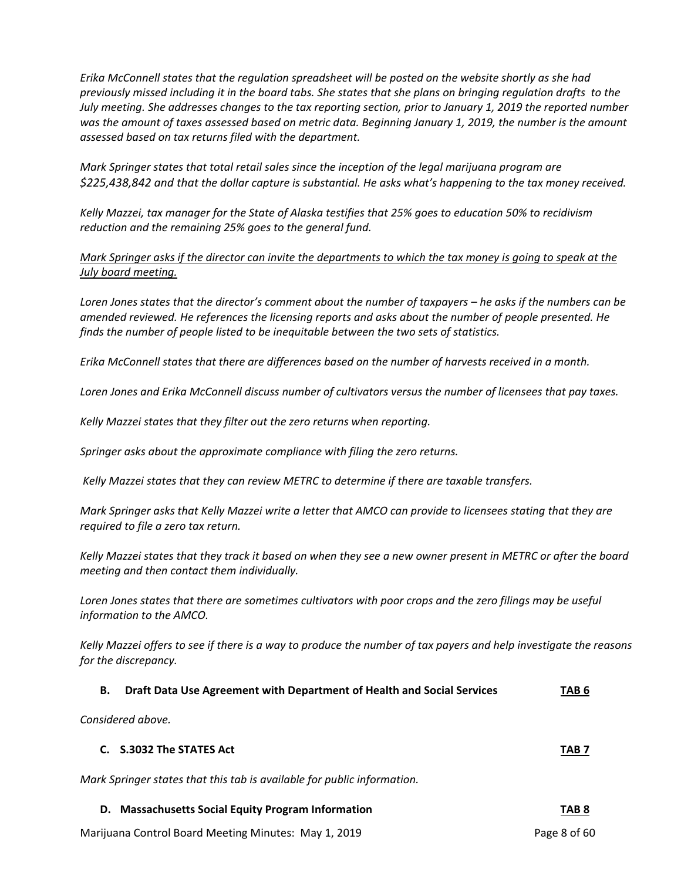*Erika McConnell states that the regulation spreadsheet will be posted on the website shortly as she had* previously missed including it in the board tabs. She states that she plans on bringing regulation drafts to the July meeting. She addresses changes to the tax reporting section, prior to January 1, 2019 the reported number was the amount of taxes assessed based on metric data. Beginning January 1, 2019, the number is the amount *assessed based on tax returns filed with the department.* 

*Mark Springer states that total retail sales since the inception of the legal marijuana program are* \$225,438,842 and that the dollar capture is substantial. He asks what's happening to the tax money received.

Kelly Mazzei, tax manager for the State of Alaska testifies that 25% goes to education 50% to recidivism *reduction and the remaining 25% goes to the general fund.* 

### Mark Springer asks if the director can invite the departments to which the tax money is going to speak at the *July board meeting.*

Loren Jones states that the director's comment about the number of taxpayers – he asks if the numbers can be *amended reviewed. He references the licensing reports and asks about the number of people presented. He finds the number of people listed to be inequitable between the two sets of statistics.* 

Erika McConnell states that there are differences based on the number of harvests received in a month.

Loren Jones and Erika McConnell discuss number of cultivators versus the number of licensees that pay taxes.

*Kelly Mazzei states that they filter out the zero returns when reporting.*

*Springer asks about the approximate compliance with filing the zero returns.*

*Kelly Mazzei states that they can review METRC to determine if there are taxable transfers.* 

Mark Springer asks that Kelly Mazzei write a letter that AMCO can provide to licensees stating that they are *required to file a zero tax return.* 

Kelly Mazzei states that they track it based on when they see a new owner present in METRC or after the board *meeting and then contact them individually.*

Loren Jones states that there are sometimes cultivators with poor crops and the zero filings may be useful *information to the AMCO.* 

Kelly Mazzei offers to see if there is a way to produce the number of tax payers and help investigate the reasons *for the discrepancy.* 

| Draft Data Use Agreement with Department of Health and Social Services | TAB 6 |
|------------------------------------------------------------------------|-------|
|                                                                        |       |

*Considered above.*

| C. S.3032 The STATES Act | TAB <sub>7</sub> |
|--------------------------|------------------|
|                          |                  |

*Mark Springer states that this tab is available for public information.* 

## **D. Massachusetts Social Equity Program Information TAB 8**

Marijuana Control Board Meeting Minutes: May 1, 2019 **Page 8 of 60** Page 8 of 60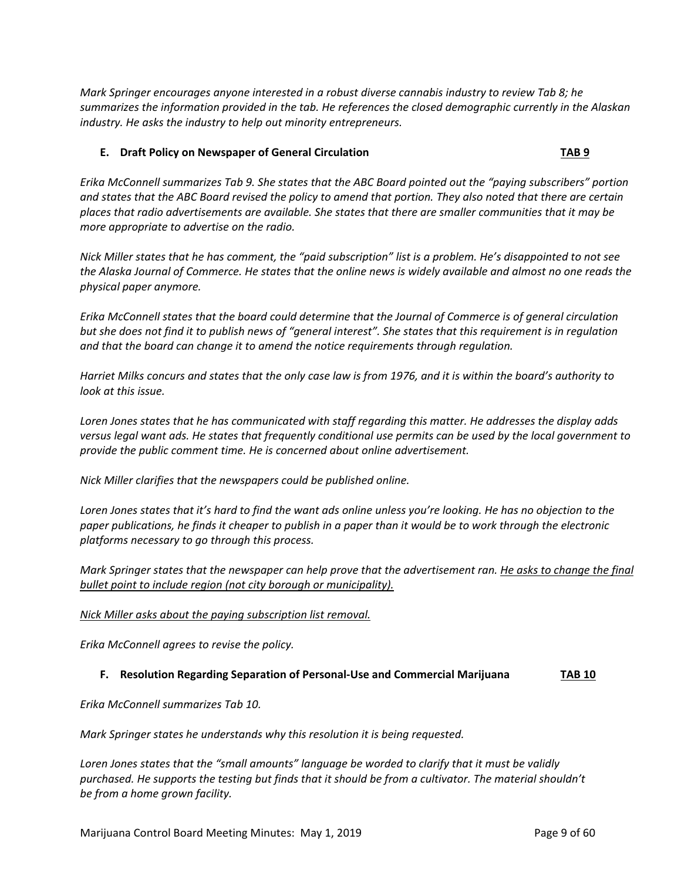*Mark Springer encourages anyone interested in a robust diverse cannabis industry to review Tab 8; he summarizes the information provided in the tab. He references the closed demographic currently in the Alaskan industry. He asks the industry to help out minority entrepreneurs.* 

#### **E. Draft Policy on Newspaper of General Circulation TAB 9**

Erika McConnell summarizes Tab 9. She states that the ABC Board pointed out the "paying subscribers" portion and states that the ABC Board revised the policy to amend that portion. They also noted that there are certain places that radio advertisements are available. She states that there are smaller communities that it may be *more appropriate to advertise on the radio.* 

Nick Miller states that he has comment, the "paid subscription" list is a problem. He's disappointed to not see the Alaska Journal of Commerce. He states that the online news is widely available and almost no one reads the *physical paper anymore.* 

Erika McConnell states that the board could determine that the Journal of Commerce is of general circulation but she does not find it to publish news of "general interest". She states that this requirement is in requlation *and that the board can change it to amend the notice requirements through regulation.* 

Harriet Milks concurs and states that the only case law is from 1976, and it is within the board's authority to *look at this issue.* 

Loren Jones states that he has communicated with staff regarding this matter. He addresses the display adds versus legal want ads. He states that frequently conditional use permits can be used by the local government to *provide the public comment time. He is concerned about online advertisement.* 

*Nick Miller clarifies that the newspapers could be published online.* 

Loren Jones states that it's hard to find the want ads online unless you're looking. He has no objection to the paper publications, he finds it cheaper to publish in a paper than it would be to work through the electronic *platforms necessary to go through this process.* 

Mark Springer states that the newspaper can help prove that the advertisement ran. He asks to change the final *bullet point to include region (not city borough or municipality).* 

#### *Nick Miller asks about the paying subscription list removal.*

*Erika McConnell agrees to revise the policy.* 

#### **F. Resolution Regarding Separation of Personal‐Use and Commercial Marijuana TAB 10**

*Erika McConnell summarizes Tab 10.* 

*Mark Springer states he understands why this resolution it is being requested.* 

*Loren Jones states that the "small amounts" language be worded to clarify that it must be validly purchased. He supports the testing but finds that it should be from a cultivator. The material shouldn't be from a home grown facility.*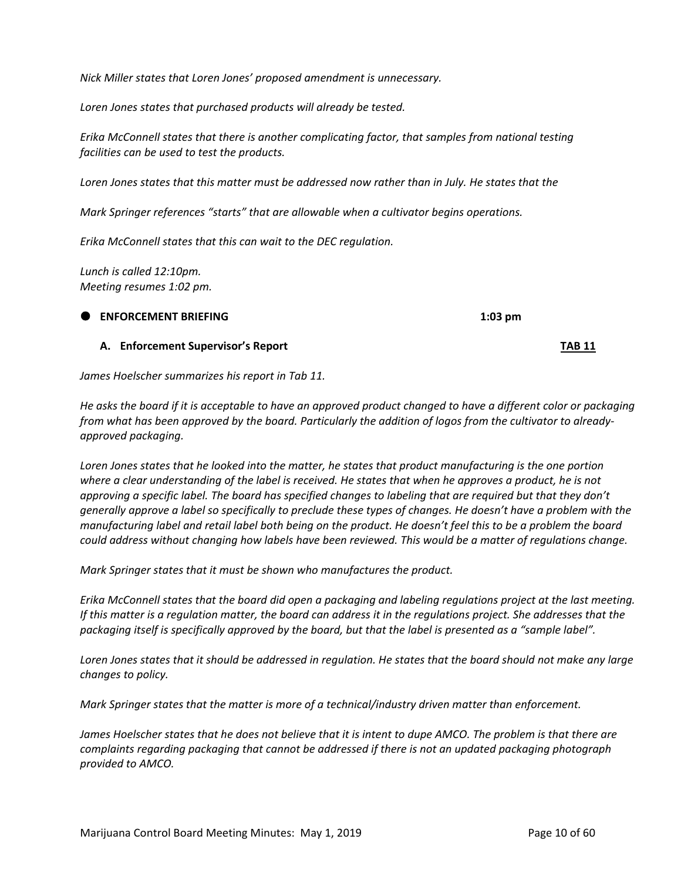*Nick Miller states that Loren Jones' proposed amendment is unnecessary.*

*Loren Jones states that purchased products will already be tested.* 

*Erika McConnell states that there is another complicating factor, that samples from national testing facilities can be used to test the products.* 

Loren Jones states that this matter must be addressed now rather than in July. He states that the

*Mark Springer references "starts" that are allowable when a cultivator begins operations.* 

*Erika McConnell states that this can wait to the DEC regulation.*

*Lunch is called 12:10pm. Meeting resumes 1:02 pm.*

# **ENFORCEMENT BRIEFING 1:03 pm**

*James Hoelscher summarizes his report in Tab 11.* 

He asks the board if it is acceptable to have an approved product changed to have a different color or packaging from what has been approved by the board. Particularly the addition of logos from the cultivator to already*approved packaging.* 

Loren Jones states that he looked into the matter, he states that product manufacturing is the one portion where a clear understanding of the label is received. He states that when he approves a product, he is not approving a specific label. The board has specified changes to labeling that are required but that they don't generally approve a label so specifically to preclude these types of changes. He doesn't have a problem with the manufacturing label and retail label both being on the product. He doesn't feel this to be a problem the board could address without changing how labels have been reviewed. This would be a matter of regulations change.

*Mark Springer states that it must be shown who manufactures the product.* 

Erika McConnell states that the board did open a packaging and labeling regulations project at the last meeting. If this matter is a regulation matter, the board can address it in the regulations project. She addresses that the packaging itself is specifically approved by the board, but that the label is presented as a "sample label".

Loren Jones states that it should be addressed in regulation. He states that the board should not make any large *changes to policy.* 

*Mark Springer states that the matter is more of a technical/industry driven matter than enforcement.* 

James Hoelscher states that he does not believe that it is intent to dupe AMCO. The problem is that there are *complaints regarding packaging that cannot be addressed if there is not an updated packaging photograph provided to AMCO.* 

**A. Enforcement Supervisor's Report TAB 11**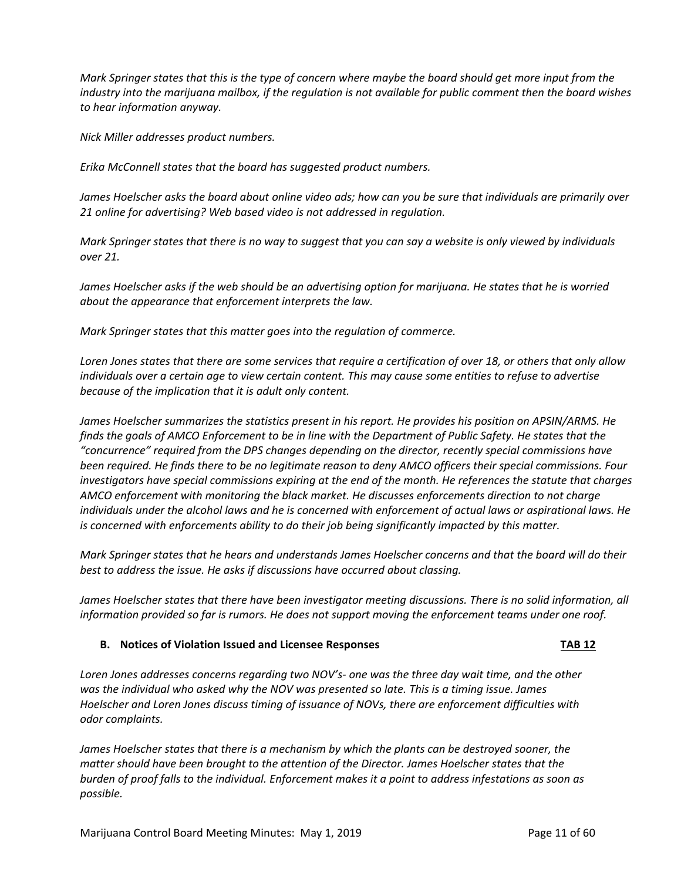Mark Springer states that this is the type of concern where maybe the board should get more input from the industry into the marijuana mailbox, if the regulation is not available for public comment then the board wishes *to hear information anyway.* 

*Nick Miller addresses product numbers.* 

*Erika McConnell states that the board has suggested product numbers.* 

James Hoelscher asks the board about online video ads; how can you be sure that individuals are primarily over *21 online for advertising? Web based video is not addressed in regulation.*

Mark Springer states that there is no way to suggest that you can say a website is only viewed by individuals *over 21.* 

James Hoelscher asks if the web should be an advertising option for marijuana. He states that he is worried *about the appearance that enforcement interprets the law.* 

*Mark Springer states that this matter goes into the regulation of commerce.*

Loren Jones states that there are some services that require a certification of over 18, or others that only allow individuals over a certain age to view certain content. This may cause some entities to refuse to advertise *because of the implication that it is adult only content.* 

*James Hoelscher summarizes the statistics present in his report. He provides his position on APSIN/ARMS. He* finds the goals of AMCO Enforcement to be in line with the Department of Public Safety. He states that the *"concurrence" required from the DPS changes depending on the director, recently special commissions have* been required. He finds there to be no legitimate reason to deny AMCO officers their special commissions. Four investigators have special commissions expiring at the end of the month. He references the statute that charges *AMCO enforcement with monitoring the black market. He discusses enforcements direction to not charge* individuals under the alcohol laws and he is concerned with enforcement of actual laws or aspirational laws. He *is concerned with enforcements ability to do their job being significantly impacted by this matter.* 

Mark Springer states that he hears and understands James Hoelscher concerns and that the board will do their *best to address the issue. He asks if discussions have occurred about classing.*

*James Hoelscher states that there have been investigator meeting discussions. There is no solid information, all* information provided so far is rumors. He does not support moving the enforcement teams under one roof.

#### **B. Notices of Violation Issued and Licensee Responses TAB 12**

*Loren Jones addresses concerns regarding two NOV's‐ one was the three day wait time, and the other was the individual who asked why the NOV was presented so late. This is a timing issue. James Hoelscher and Loren Jones discuss timing of issuance of NOVs, there are enforcement difficulties with odor complaints.* 

*James Hoelscher states that there is a mechanism by which the plants can be destroyed sooner, the matter should have been brought to the attention of the Director. James Hoelscher states that the* burden of proof falls to the individual. Enforcement makes it a point to address infestations as soon as *possible.*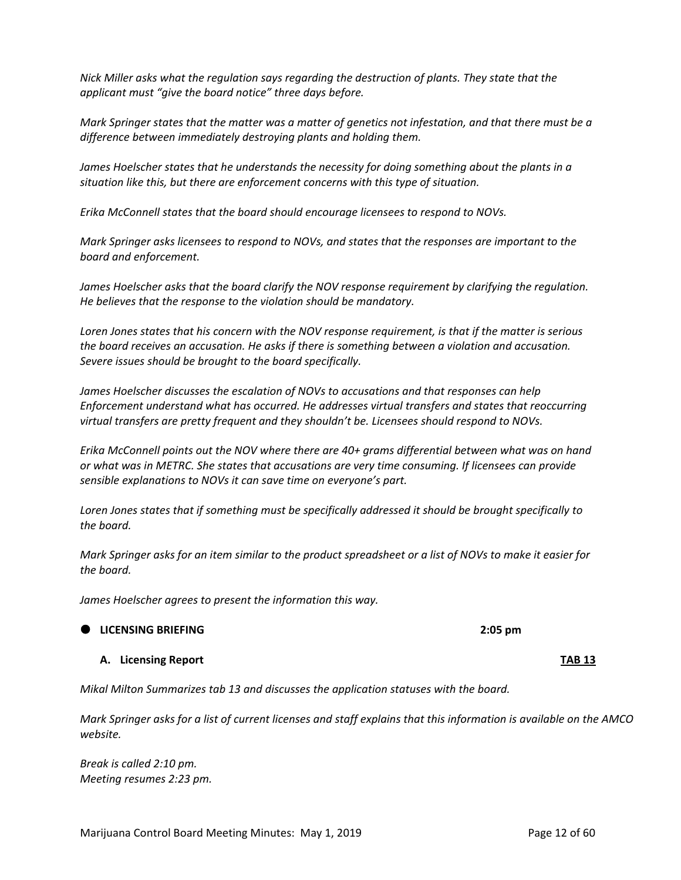*Nick Miller asks what the regulation says regarding the destruction of plants. They state that the applicant must "give the board notice" three days before.* 

Mark Springer states that the matter was a matter of genetics not infestation, and that there must be a *difference between immediately destroying plants and holding them.* 

*James Hoelscher states that he understands the necessity for doing something about the plants in a situation like this, but there are enforcement concerns with this type of situation.* 

*Erika McConnell states that the board should encourage licensees to respond to NOVs.* 

*Mark Springer asks licensees to respond to NOVs, and states that the responses are important to the board and enforcement.* 

*James Hoelscher asks that the board clarify the NOV response requirement by clarifying the regulation. He believes that the response to the violation should be mandatory.* 

Loren Jones states that his concern with the NOV response requirement, is that if the matter is serious *the board receives an accusation. He asks if there is something between a violation and accusation. Severe issues should be brought to the board specifically.* 

*James Hoelscher discusses the escalation of NOVs to accusations and that responses can help Enforcement understand what has occurred. He addresses virtual transfers and states that reoccurring virtual transfers are pretty frequent and they shouldn't be. Licensees should respond to NOVs.* 

*Erika McConnell points out the NOV where there are 40+ grams differential between what was on hand or what was in METRC. She states that accusations are very time consuming. If licensees can provide sensible explanations to NOVs it can save time on everyone's part.* 

*Loren Jones states that if something must be specifically addressed it should be brought specifically to the board.* 

Mark Springer asks for an item similar to the product spreadsheet or a list of NOVs to make it easier for *the board.* 

*James Hoelscher agrees to present the information this way.* 

**A. Licensing Report TAB 13**

*Mikal Milton Summarizes tab 13 and discusses the application statuses with the board.* 

Mark Springer asks for a list of current licenses and staff explains that this information is available on the AMCO *website.* 

*Break is called 2:10 pm. Meeting resumes 2:23 pm.*

**LICENSING BRIEFING 2:05 pm**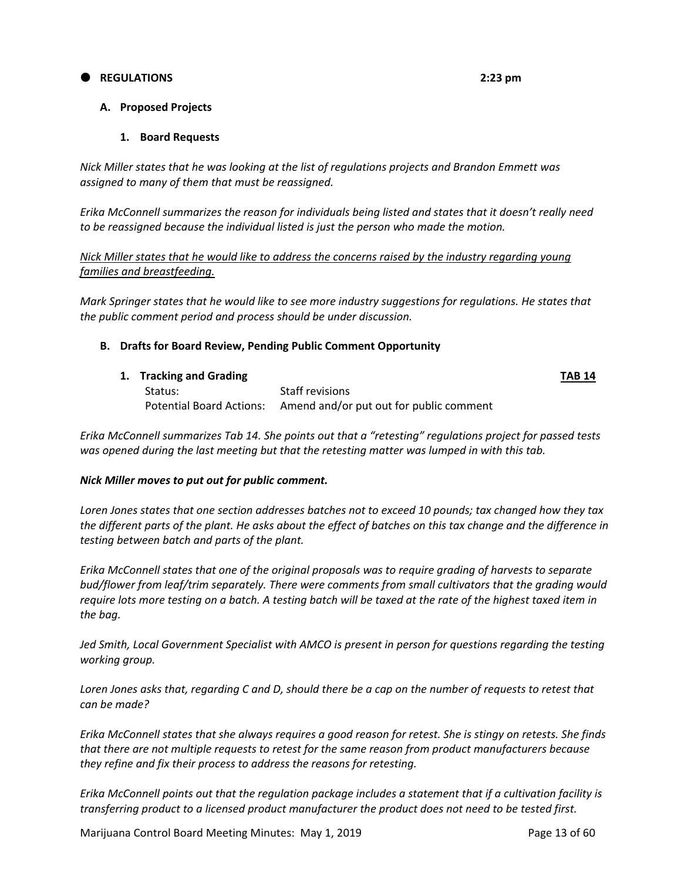#### **REGULATIONS 2:23 pm**

#### **A. Proposed Projects**

#### **1. Board Requests**

*Nick Miller states that he was looking at the list of regulations projects and Brandon Emmett was assigned to many of them that must be reassigned.* 

*Erika McConnell summarizes the reason for individuals being listed and states that it doesn't really need to be reassigned because the individual listed is just the person who made the motion.* 

#### *Nick Miller states that he would like to address the concerns raised by the industry regarding young families and breastfeeding.*

*Mark Springer states that he would like to see more industry suggestions for regulations. He states that the public comment period and process should be under discussion.* 

#### **B. Drafts for Board Review, Pending Public Comment Opportunity**

|  | 1. Tracking and Grading |                                                                  | <b>TAB 14</b> |
|--|-------------------------|------------------------------------------------------------------|---------------|
|  | Status:                 | Staff revisions                                                  |               |
|  |                         | Potential Board Actions: Amend and/or put out for public comment |               |

*Erika McConnell summarizes Tab 14. She points out that a "retesting" regulations project for passed tests was opened during the last meeting but that the retesting matter was lumped in with this tab.*

#### *Nick Miller moves to put out for public comment.*

Loren Jones states that one section addresses batches not to exceed 10 pounds; tax changed how they tax the different parts of the plant. He asks about the effect of batches on this tax change and the difference in *testing between batch and parts of the plant.* 

*Erika McConnell states that one of the original proposals was to require grading of harvests to separate bud/flower from leaf/trim separately. There were comments from small cultivators that the grading would* require lots more testing on a batch. A testing batch will be taxed at the rate of the highest taxed item in *the bag.* 

*Jed Smith, Local Government Specialist with AMCO is present in person for questions regarding the testing working group.*

Loren Jones asks that, regarding C and D, should there be a cap on the number of requests to retest that *can be made?*

Erika McConnell states that she always requires a good reason for retest. She is stingy on retests. She finds *that there are not multiple requests to retest for the same reason from product manufacturers because they refine and fix their process to address the reasons for retesting.* 

Erika McConnell points out that the regulation package includes a statement that if a cultivation facility is *transferring product to a licensed product manufacturer the product does not need to be tested first.*

Marijuana Control Board Meeting Minutes: May 1, 2019 **Page 13 of 60** Page 13 of 60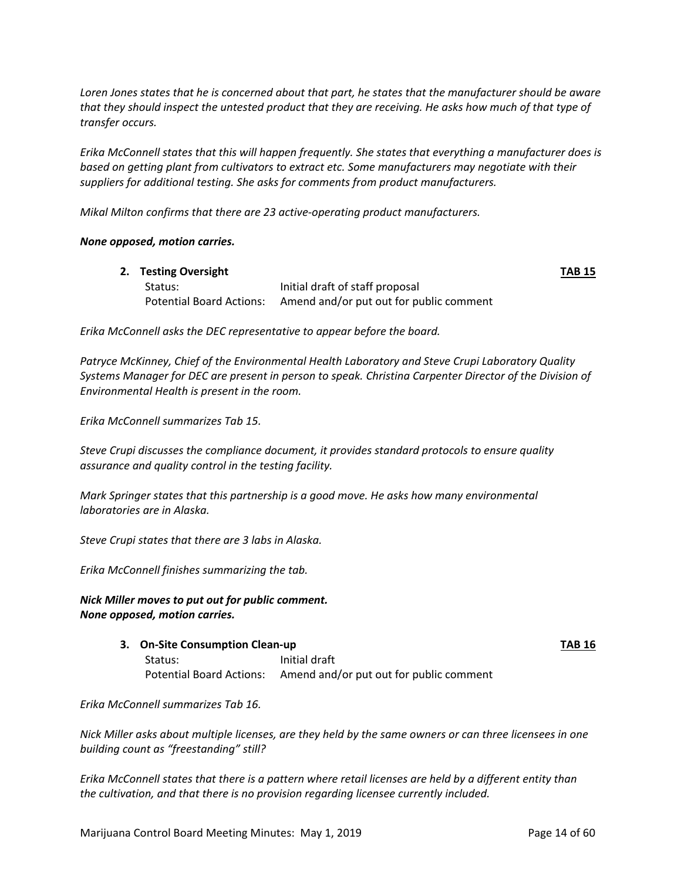Loren Jones states that he is concerned about that part, he states that the manufacturer should be aware that they should inspect the untested product that they are receiving. He asks how much of that type of *transfer occurs.* 

*Erika McConnell states that this will happen frequently. She states that everything a manufacturer does is based on getting plant from cultivators to extract etc. Some manufacturers may negotiate with their suppliers for additional testing. She asks for comments from product manufacturers.* 

*Mikal Milton confirms that there are 23 active‐operating product manufacturers.* 

#### *None opposed, motion carries.*

| 2. Testing Oversight |                                                                  | <b>TAB 15</b> |
|----------------------|------------------------------------------------------------------|---------------|
| Status:              | Initial draft of staff proposal                                  |               |
|                      | Potential Board Actions: Amend and/or put out for public comment |               |

*Erika McConnell asks the DEC representative to appear before the board.* 

*Patryce McKinney, Chief of the Environmental Health Laboratory and Steve Crupi Laboratory Quality Systems Manager for DEC are present in person to speak. Christina Carpenter Director of the Division of Environmental Health is present in the room.*

*Erika McConnell summarizes Tab 15.* 

*Steve Crupi discusses the compliance document, it provides standard protocols to ensure quality assurance and quality control in the testing facility.* 

*Mark Springer states that this partnership is a good move. He asks how many environmental laboratories are in Alaska.* 

*Steve Crupi states that there are 3 labs in Alaska.* 

*Erika McConnell finishes summarizing the tab.* 

#### *Nick Miller moves to put out for public comment. None opposed, motion carries.*

**3. On‐Site Consumption Clean‐up TAB 16**

Status: Initial draft Potential Board Actions: Amend and/or put out for public comment

*Erika McConnell summarizes Tab 16.* 

Nick Miller asks about multiple licenses, are they held by the same owners or can three licensees in one *building count as "freestanding" still?*

Erika McConnell states that there is a pattern where retail licenses are held by a different entity than *the cultivation, and that there is no provision regarding licensee currently included.*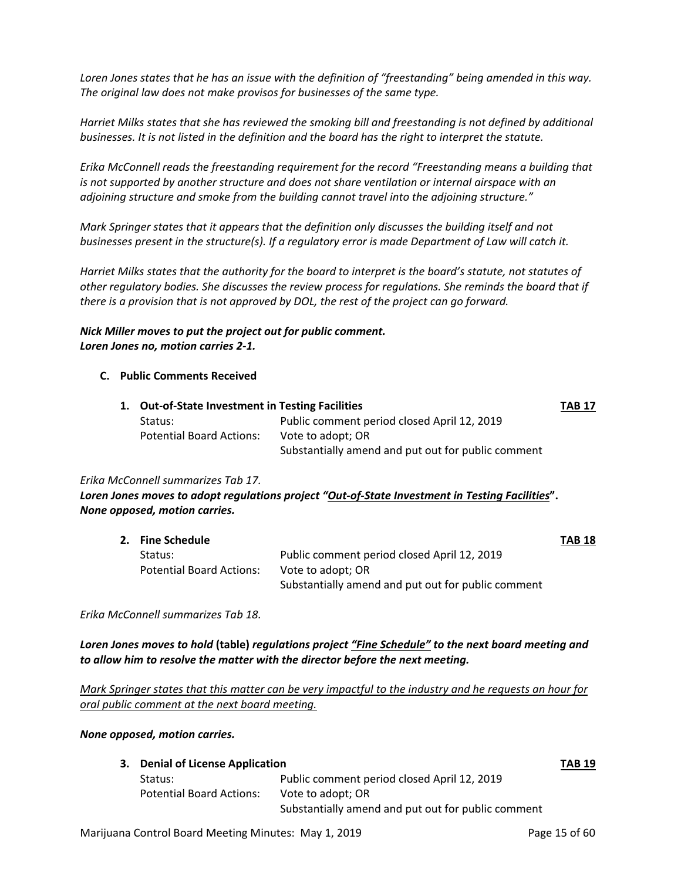Loren Jones states that he has an issue with the definition of "freestanding" being amended in this way. *The original law does not make provisos for businesses of the same type.* 

*Harriet Milks states that she has reviewed the smoking bill and freestanding is not defined by additional* businesses. It is not listed in the definition and the board has the right to interpret the statute.

*Erika McConnell reads the freestanding requirement for the record "Freestanding means a building that is not supported by another structure and does not share ventilation or internal airspace with an adjoining structure and smoke from the building cannot travel into the adjoining structure."*

*Mark Springer states that it appears that the definition only discusses the building itself and not* businesses present in the structure(s). If a regulatory error is made Department of Law will catch it.

Harriet Milks states that the authority for the board to interpret is the board's statute, not statutes of *other regulatory bodies. She discusses the review process for regulations. She reminds the board that if there is a provision that is not approved by DOL, the rest of the project can go forward.*

#### *Nick Miller moves to put the project out for public comment. Loren Jones no, motion carries 2‐1.*

#### **C. Public Comments Received**

| 1. Out-of-State Investment in Testing Facilities |                                                    | <b>TAB 17</b> |
|--------------------------------------------------|----------------------------------------------------|---------------|
| Status:                                          | Public comment period closed April 12, 2019        |               |
| <b>Potential Board Actions:</b>                  | Vote to adopt; OR                                  |               |
|                                                  | Substantially amend and put out for public comment |               |

#### *Erika McConnell summarizes Tab 17.*

*Loren Jones moves to adopt regulations project "Out‐of‐State Investment in Testing Facilities***".** *None opposed, motion carries.* 

| 2. Fine Schedule                |                                                    | <b>TAB 18</b> |
|---------------------------------|----------------------------------------------------|---------------|
| Status:                         | Public comment period closed April 12, 2019        |               |
| <b>Potential Board Actions:</b> | Vote to adopt; OR                                  |               |
|                                 | Substantially amend and put out for public comment |               |

*Erika McConnell summarizes Tab 18.*

*Loren Jones moves to hold* **(table)** *regulations project "Fine Schedule" to the next board meeting and to allow him to resolve the matter with the director before the next meeting.* 

Mark Springer states that this matter can be very impactful to the industry and he requests an hour for *oral public comment at the next board meeting.* 

#### *None opposed, motion carries.*

|  | 3. Denial of License Application |                                                    | <b>TAB 19</b> |
|--|----------------------------------|----------------------------------------------------|---------------|
|  | Status:                          | Public comment period closed April 12, 2019        |               |
|  | <b>Potential Board Actions:</b>  | Vote to adopt; OR                                  |               |
|  |                                  | Substantially amend and put out for public comment |               |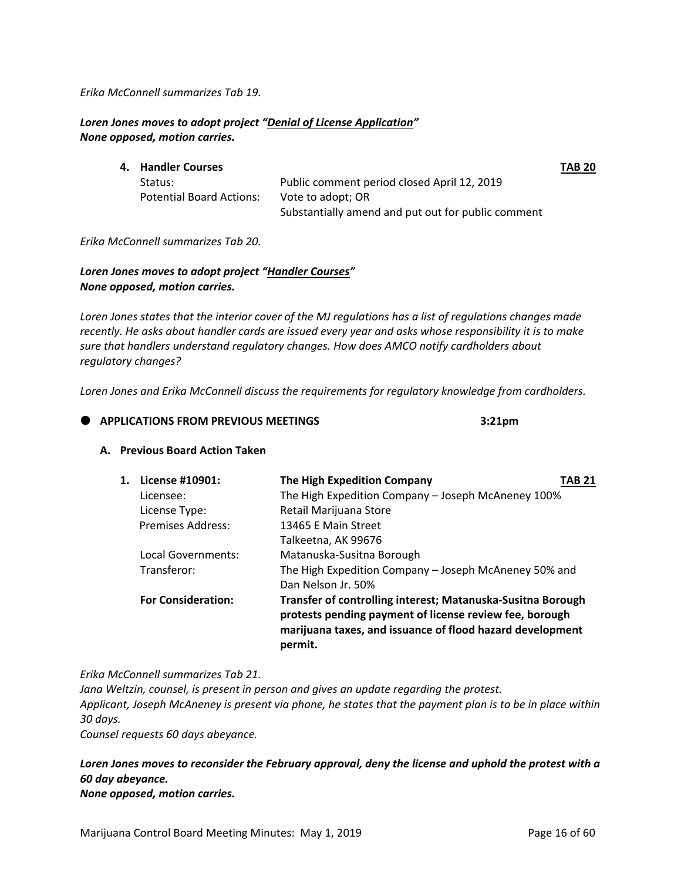*Erika McConnell summarizes Tab 19.*

### *Loren Jones moves to adopt project "Denial of License Application" None opposed, motion carries.*

| 4. Handler Courses              |                                                    | <b>TAB 20</b> |
|---------------------------------|----------------------------------------------------|---------------|
| Status:                         | Public comment period closed April 12, 2019        |               |
| <b>Potential Board Actions:</b> | Vote to adopt; OR                                  |               |
|                                 | Substantially amend and put out for public comment |               |

*Erika McConnell summarizes Tab 20.* 

### *Loren Jones moves to adopt project "Handler Courses" None opposed, motion carries.*

Loren Jones states that the interior cover of the MJ regulations has a list of regulations changes made recently. He asks about handler cards are issued every year and asks whose responsibility it is to make *sure that handlers understand regulatory changes. How does AMCO notify cardholders about regulatory changes?* 

*Loren Jones and Erika McConnell discuss the requirements for regulatory knowledge from cardholders.* 

#### **APPLICATIONS FROM PREVIOUS MEETINGS 3:21pm**

#### **A. Previous Board Action Taken**

| 1. | License #10901:           | The High Expedition Company                                                                                                                                                                    | TAB 21 |
|----|---------------------------|------------------------------------------------------------------------------------------------------------------------------------------------------------------------------------------------|--------|
|    | Licensee:                 | The High Expedition Company - Joseph McAneney 100%                                                                                                                                             |        |
|    | License Type:             | Retail Marijuana Store                                                                                                                                                                         |        |
|    | Premises Address:         | 13465 E Main Street                                                                                                                                                                            |        |
|    |                           | Talkeetna, AK 99676                                                                                                                                                                            |        |
|    | Local Governments:        | Matanuska-Susitna Borough                                                                                                                                                                      |        |
|    | Transferor:               | The High Expedition Company - Joseph McAneney 50% and                                                                                                                                          |        |
|    |                           | Dan Nelson Jr. 50%                                                                                                                                                                             |        |
|    | <b>For Consideration:</b> | Transfer of controlling interest; Matanuska-Susitna Borough<br>protests pending payment of license review fee, borough<br>marijuana taxes, and issuance of flood hazard development<br>permit. |        |

*Erika McConnell summarizes Tab 21.* 

*Jana Weltzin, counsel, is present in person and gives an update regarding the protest.*  Applicant, Joseph McAneney is present via phone, he states that the payment plan is to be in place within *30 days.*

*Counsel requests 60 days abeyance.*

## *Loren Jones moves to reconsider the February approval, deny the license and uphold the protest with a 60 day abeyance.*

*None opposed, motion carries.*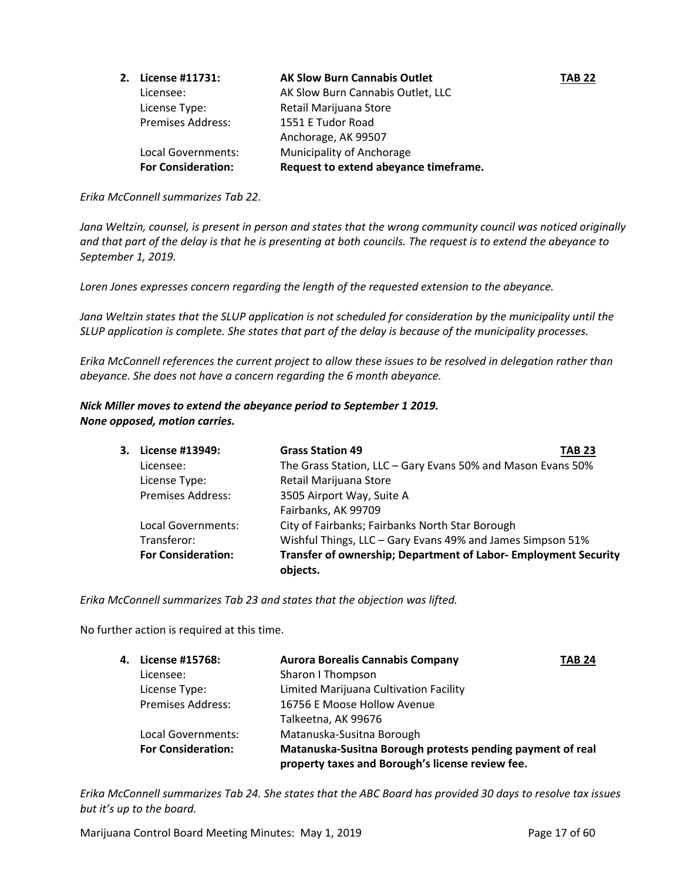| 2. License #11731:        | <b>AK Slow Burn Cannabis Outlet</b>   | <b>TAB 22</b> |
|---------------------------|---------------------------------------|---------------|
| Licensee:                 | AK Slow Burn Cannabis Outlet, LLC     |               |
| License Type:             | Retail Marijuana Store                |               |
| <b>Premises Address:</b>  | 1551 E Tudor Road                     |               |
|                           | Anchorage, AK 99507                   |               |
| Local Governments:        | Municipality of Anchorage             |               |
| <b>For Consideration:</b> | Request to extend abeyance timeframe. |               |

*Erika McConnell summarizes Tab 22.*

Jana Weltzin, counsel, is present in person and states that the wrong community council was noticed originally and that part of the delay is that he is presenting at both councils. The request is to extend the abeyance to *September 1, 2019.* 

*Loren Jones expresses concern regarding the length of the requested extension to the abeyance.* 

Jana Weltzin states that the SLUP application is not scheduled for consideration by the municipality until the SLUP application is complete. She states that part of the delay is because of the municipality processes.

Erika McConnell references the current project to allow these issues to be resolved in delegation rather than *abeyance. She does not have a concern regarding the 6 month abeyance.* 

#### *Nick Miller moves to extend the abeyance period to September 1 2019. None opposed, motion carries.*

| 3. . | License #13949:           | <b>Grass Station 49</b><br><b>TAB 23</b>                                    |
|------|---------------------------|-----------------------------------------------------------------------------|
|      | Licensee:                 | The Grass Station, LLC - Gary Evans 50% and Mason Evans 50%                 |
|      | License Type:             | Retail Marijuana Store                                                      |
|      | <b>Premises Address:</b>  | 3505 Airport Way, Suite A                                                   |
|      |                           | Fairbanks, AK 99709                                                         |
|      | Local Governments:        | City of Fairbanks; Fairbanks North Star Borough                             |
|      | Transferor:               | Wishful Things, LLC - Gary Evans 49% and James Simpson 51%                  |
|      | <b>For Consideration:</b> | Transfer of ownership; Department of Labor- Employment Security<br>objects. |

*Erika McConnell summarizes Tab 23 and states that the objection was lifted.* 

No further action is required at this time.

| 4. License #15768:        | <b>Aurora Borealis Cannabis Company</b>                    | <b>TAB 24</b> |
|---------------------------|------------------------------------------------------------|---------------|
| Licensee:                 | Sharon I Thompson                                          |               |
| License Type:             | Limited Marijuana Cultivation Facility                     |               |
| <b>Premises Address:</b>  | 16756 E Moose Hollow Avenue                                |               |
|                           | Talkeetna, AK 99676                                        |               |
| Local Governments:        | Matanuska-Susitna Borough                                  |               |
| <b>For Consideration:</b> | Matanuska-Susitna Borough protests pending payment of real |               |
|                           | property taxes and Borough's license review fee.           |               |

Erika McConnell summarizes Tab 24. She states that the ABC Board has provided 30 days to resolve tax issues *but it's up to the board.* 

Marijuana Control Board Meeting Minutes: May 1, 2019 **Page 17 of 60** Page 17 of 60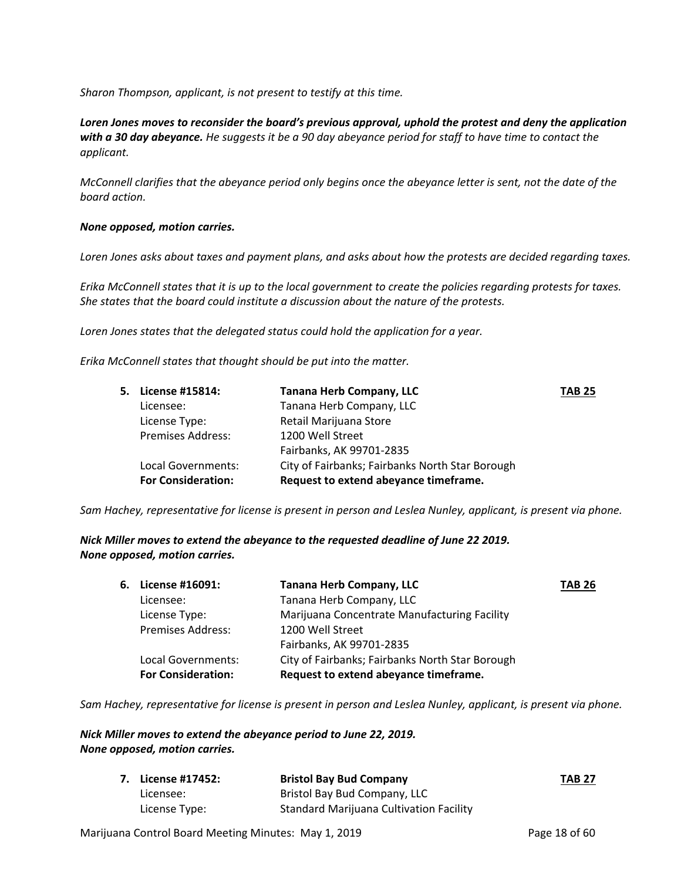*Sharon Thompson, applicant, is not present to testify at this time.*

*Loren Jones moves to reconsider the board's previous approval, uphold the protest and deny the application* with a 30 day abeyance. He suggests it be a 90 day abeyance period for staff to have time to contact the *applicant.* 

McConnell clarifies that the abeyance period only begins once the abeyance letter is sent, not the date of the *board action.* 

#### *None opposed, motion carries.*

Loren Jones asks about taxes and payment plans, and asks about how the protests are decided regarding taxes.

Erika McConnell states that it is up to the local government to create the policies regarding protests for taxes. *She states that the board could institute a discussion about the nature of the protests.* 

*Loren Jones states that the delegated status could hold the application for a year.* 

*Erika McConnell states that thought should be put into the matter.* 

| 5. | License #15814:           | <b>Tanana Herb Company, LLC</b>                 | <b>TAB 25</b> |
|----|---------------------------|-------------------------------------------------|---------------|
|    | Licensee:                 | Tanana Herb Company, LLC                        |               |
|    | License Type:             | Retail Marijuana Store                          |               |
|    | <b>Premises Address:</b>  | 1200 Well Street                                |               |
|    |                           | Fairbanks, AK 99701-2835                        |               |
|    | Local Governments:        | City of Fairbanks; Fairbanks North Star Borough |               |
|    | <b>For Consideration:</b> | Request to extend abeyance timeframe.           |               |

Sam Hachey, representative for license is present in person and Leslea Nunley, applicant, is present via phone.

*Nick Miller moves to extend the abeyance to the requested deadline of June 22 2019. None opposed, motion carries.*

|                           | <b>Tanana Herb Company, LLC</b>                 | <b>TAB 26</b> |
|---------------------------|-------------------------------------------------|---------------|
| Licensee:                 | Tanana Herb Company, LLC                        |               |
| License Type:             | Marijuana Concentrate Manufacturing Facility    |               |
| <b>Premises Address:</b>  | 1200 Well Street                                |               |
|                           | Fairbanks, AK 99701-2835                        |               |
| Local Governments:        | City of Fairbanks; Fairbanks North Star Borough |               |
| <b>For Consideration:</b> | Request to extend abeyance timeframe.           |               |
|                           | 6. License #16091:                              |               |

Sam Hachey, representative for license is present in person and Leslea Nunley, applicant, is present via phone.

#### *Nick Miller moves to extend the abeyance period to June 22, 2019. None opposed, motion carries.*

| 7. License #17452: | <b>Bristol Bay Bud Company</b>                 | <b>TAB 27</b> |
|--------------------|------------------------------------------------|---------------|
| Licensee:          | Bristol Bay Bud Company, LLC                   |               |
| License Type:      | <b>Standard Marijuana Cultivation Facility</b> |               |

Marijuana Control Board Meeting Minutes: May 1, 2019 **Page 18 of 60** Page 18 of 60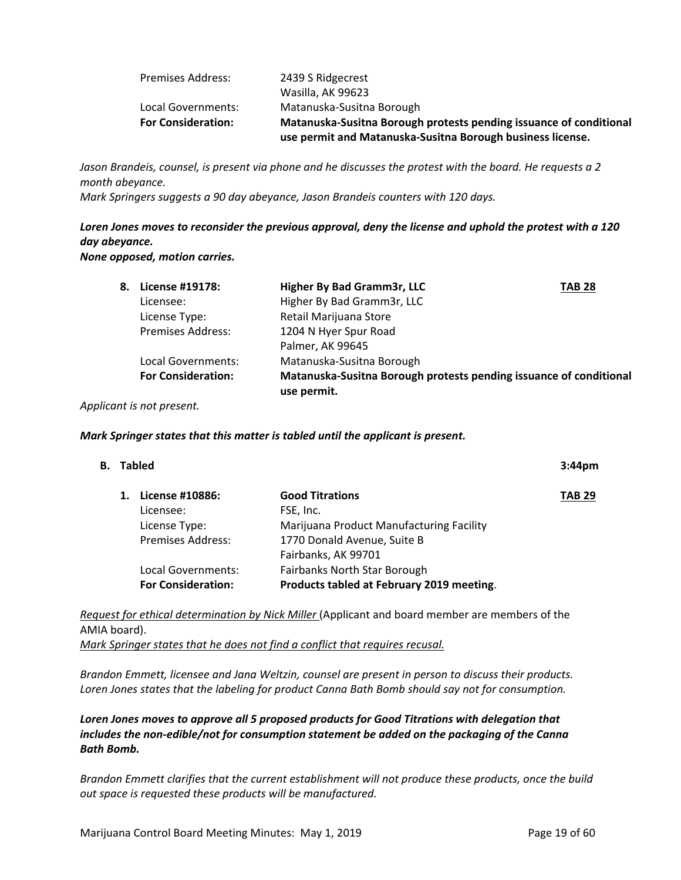| <b>Premises Address:</b>  | 2439 S Ridgecrest                                                  |
|---------------------------|--------------------------------------------------------------------|
|                           | Wasilla, AK 99623                                                  |
| Local Governments:        | Matanuska-Susitna Borough                                          |
| <b>For Consideration:</b> | Matanuska-Susitna Borough protests pending issuance of conditional |
|                           | use permit and Matanuska-Susitna Borough business license.         |

Jason Brandeis, counsel, is present via phone and he discusses the protest with the board. He requests a 2 *month abeyance.* 

*Mark Springers suggests a 90 day abeyance, Jason Brandeis counters with 120 days.* 

Loren Jones moves to reconsider the previous approval, deny the license and uphold the protest with a 120 *day abeyance. None opposed, motion carries.* 

| 8. . | License #19178:           | Higher By Bad Gramm3r, LLC                                                        | <b>TAB 28</b> |
|------|---------------------------|-----------------------------------------------------------------------------------|---------------|
|      | Licensee:                 | Higher By Bad Gramm3r, LLC                                                        |               |
|      | License Type:             | Retail Marijuana Store                                                            |               |
|      | <b>Premises Address:</b>  | 1204 N Hyer Spur Road                                                             |               |
|      |                           | Palmer, AK 99645                                                                  |               |
|      | Local Governments:        | Matanuska-Susitna Borough                                                         |               |
|      | <b>For Consideration:</b> | Matanuska-Susitna Borough protests pending issuance of conditional<br>use permit. |               |
|      |                           |                                                                                   |               |

#### *Applicant is not present.*

#### *Mark Springer states that this matter is tabled until the applicant is present.*

| B. Tabled |                           | 3:44 <sub>pm</sub>                        |               |
|-----------|---------------------------|-------------------------------------------|---------------|
|           | License #10886:           | <b>Good Titrations</b>                    | <b>TAB 29</b> |
|           | Licensee:                 | FSE, Inc.                                 |               |
|           | License Type:             | Marijuana Product Manufacturing Facility  |               |
|           | Premises Address:         | 1770 Donald Avenue, Suite B               |               |
|           |                           | Fairbanks, AK 99701                       |               |
|           | Local Governments:        | <b>Fairbanks North Star Borough</b>       |               |
|           | <b>For Consideration:</b> | Products tabled at February 2019 meeting. |               |
|           |                           |                                           |               |

*Request for ethical determination by Nick Miller* (Applicant and board member are members of the AMIA board). *Mark Springer states that he does not find a conflict that requires recusal.* 

*Brandon Emmett, licensee and Jana Weltzin, counsel are present in person to discuss their products. Loren Jones states that the labeling for product Canna Bath Bomb should say not for consumption.* 

*Loren Jones moves to approve all 5 proposed products for Good Titrations with delegation that includes the non‐edible/not for consumption statement be added on the packaging of the Canna Bath Bomb.* 

*Brandon Emmett clarifies that the current establishment will not produce these products, once the build out space is requested these products will be manufactured.*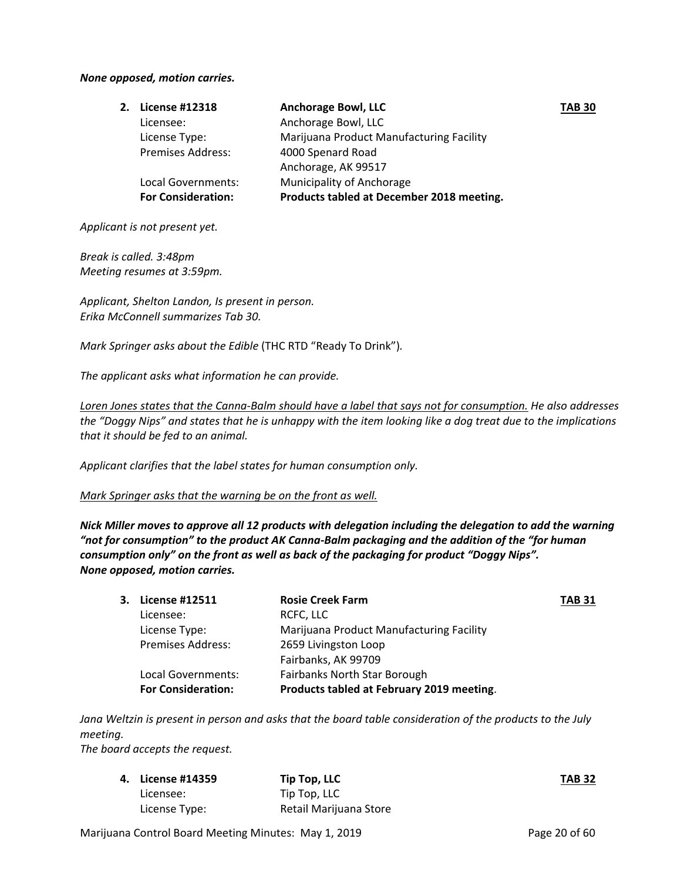#### *None opposed, motion carries.*

| 2. License #12318         | <b>Anchorage Bowl, LLC</b>                | <b>TAB 30</b> |
|---------------------------|-------------------------------------------|---------------|
| Licensee:                 | Anchorage Bowl, LLC                       |               |
| License Type:             | Marijuana Product Manufacturing Facility  |               |
| <b>Premises Address:</b>  | 4000 Spenard Road                         |               |
|                           | Anchorage, AK 99517                       |               |
| Local Governments:        | Municipality of Anchorage                 |               |
| <b>For Consideration:</b> | Products tabled at December 2018 meeting. |               |
|                           |                                           |               |

*Applicant is not present yet.* 

*Break is called. 3:48pm Meeting resumes at 3:59pm.*

*Applicant, Shelton Landon, Is present in person. Erika McConnell summarizes Tab 30.* 

*Mark Springer asks about the Edible* (THC RTD "Ready To Drink")*.* 

*The applicant asks what information he can provide.* 

Loren Jones states that the Canna-Balm should have a label that says not for consumption. He also addresses the "Doggy Nips" and states that he is unhappy with the item looking like a dog treat due to the implications *that it should be fed to an animal.*

*Applicant clarifies that the label states for human consumption only.* 

*Mark Springer asks that the warning be on the front as well.* 

*Nick Miller moves to approve all 12 products with delegation including the delegation to add the warning "not for consumption" to the product AK Canna‐Balm packaging and the addition of the "for human consumption only" on the front as well as back of the packaging for product "Doggy Nips". None opposed, motion carries.* 

| 3. License #12511         | <b>Rosie Creek Farm</b>                   | <b>TAB 31</b> |
|---------------------------|-------------------------------------------|---------------|
| Licensee:                 | RCFC, LLC                                 |               |
| License Type:             | Marijuana Product Manufacturing Facility  |               |
| <b>Premises Address:</b>  | 2659 Livingston Loop                      |               |
|                           | Fairbanks, AK 99709                       |               |
| Local Governments:        | <b>Fairbanks North Star Borough</b>       |               |
| <b>For Consideration:</b> | Products tabled at February 2019 meeting. |               |

Jana Weltzin is present in person and asks that the board table consideration of the products to the July *meeting.* 

*The board accepts the request.*

| 4. License #14359 | Tip Top, LLC           | <b>TAB 32</b> |
|-------------------|------------------------|---------------|
| Licensee:         | Tip Top, LLC           |               |
| License Type:     | Retail Marijuana Store |               |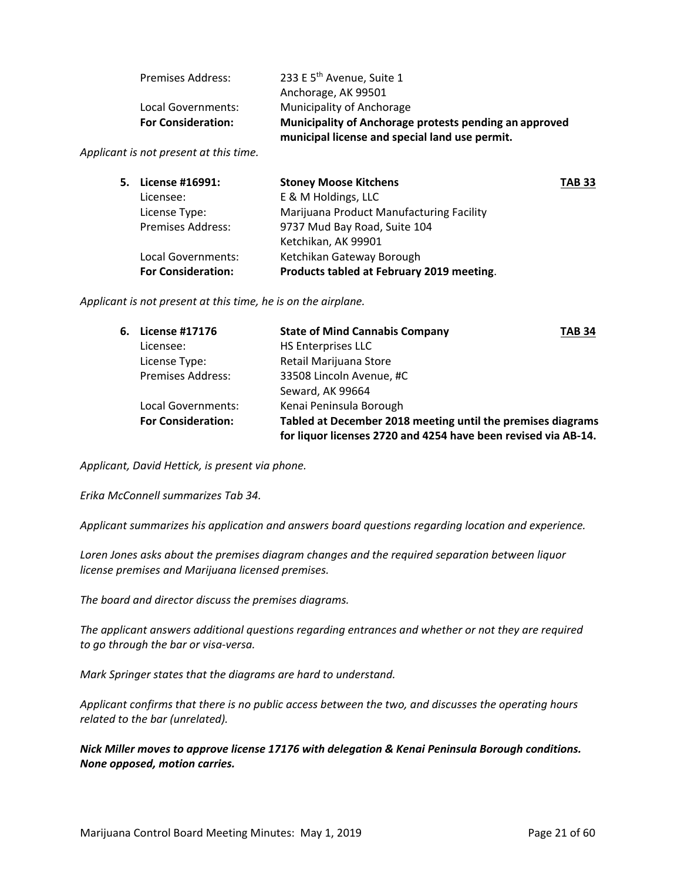|                           | municipal license and special land use permit.         |
|---------------------------|--------------------------------------------------------|
| <b>For Consideration:</b> | Municipality of Anchorage protests pending an approved |
| Local Governments:        | Municipality of Anchorage                              |
|                           | Anchorage, AK 99501                                    |
| <b>Premises Address:</b>  | 233 E 5 <sup>th</sup> Avenue, Suite 1                  |

*Applicant is not present at this time.* 

| 5. License #16991:        | <b>Stoney Moose Kitchens</b>              | <b>TAB 33</b> |
|---------------------------|-------------------------------------------|---------------|
| Licensee:                 | E & M Holdings, LLC                       |               |
| License Type:             | Marijuana Product Manufacturing Facility  |               |
| <b>Premises Address:</b>  | 9737 Mud Bay Road, Suite 104              |               |
|                           | Ketchikan, AK 99901                       |               |
| Local Governments:        | Ketchikan Gateway Borough                 |               |
| <b>For Consideration:</b> | Products tabled at February 2019 meeting. |               |
|                           |                                           |               |

*Applicant is not present at this time, he is on the airplane.* 

| 6. License #17176         | <b>State of Mind Cannabis Company</b>                                                                                         | <b>TAB 34</b> |
|---------------------------|-------------------------------------------------------------------------------------------------------------------------------|---------------|
| Licensee:                 | <b>HS Enterprises LLC</b>                                                                                                     |               |
| License Type:             | Retail Marijuana Store                                                                                                        |               |
| <b>Premises Address:</b>  | 33508 Lincoln Avenue, #C                                                                                                      |               |
|                           | Seward, AK 99664                                                                                                              |               |
| Local Governments:        | Kenai Peninsula Borough                                                                                                       |               |
| <b>For Consideration:</b> | Tabled at December 2018 meeting until the premises diagrams<br>for liquor licenses 2720 and 4254 have been revised via AB-14. |               |

*Applicant, David Hettick, is present via phone.* 

*Erika McConnell summarizes Tab 34.* 

*Applicant summarizes his application and answers board questions regarding location and experience.* 

*Loren Jones asks about the premises diagram changes and the required separation between liquor license premises and Marijuana licensed premises.* 

*The board and director discuss the premises diagrams.* 

*The applicant answers additional questions regarding entrances and whether or not they are required to go through the bar or visa‐versa.* 

*Mark Springer states that the diagrams are hard to understand.* 

*Applicant confirms that there is no public access between the two, and discusses the operating hours related to the bar (unrelated).* 

*Nick Miller moves to approve license 17176 with delegation & Kenai Peninsula Borough conditions. None opposed, motion carries.*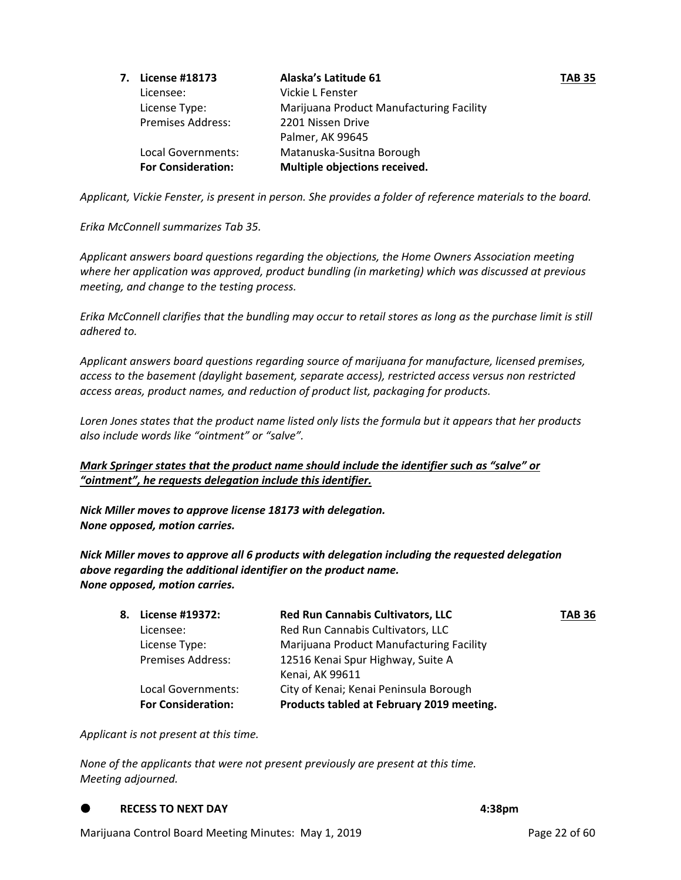|                           | Alaska's Latitude 61                     | <b>TAB 35</b> |
|---------------------------|------------------------------------------|---------------|
| Licensee:                 | Vickie L Fenster                         |               |
| License Type:             | Marijuana Product Manufacturing Facility |               |
| Premises Address:         | 2201 Nissen Drive                        |               |
|                           | Palmer, AK 99645                         |               |
| Local Governments:        | Matanuska-Susitna Borough                |               |
| <b>For Consideration:</b> | Multiple objections received.            |               |
|                           | 7. License #18173                        |               |

Applicant, Vickie Fenster, is present in person. She provides a folder of reference materials to the board.

*Erika McConnell summarizes Tab 35.* 

*Applicant answers board questions regarding the objections, the Home Owners Association meeting where her application was approved, product bundling (in marketing) which was discussed at previous meeting, and change to the testing process.* 

Erika McConnell clarifies that the bundling may occur to retail stores as long as the purchase limit is still *adhered to.* 

*Applicant answers board questions regarding source of marijuana for manufacture, licensed premises, access to the basement (daylight basement, separate access), restricted access versus non restricted access areas, product names, and reduction of product list, packaging for products.* 

Loren Jones states that the product name listed only lists the formula but it appears that her products *also include words like "ointment" or "salve".* 

*Mark Springer states that the product name should include the identifier such as "salve" or "ointment", he requests delegation include this identifier.*

*Nick Miller moves to approve license 18173 with delegation. None opposed, motion carries.*

*Nick Miller moves to approve all 6 products with delegation including the requested delegation above regarding the additional identifier on the product name. None opposed, motion carries.* 

| 8. License #19372:        | <b>Red Run Cannabis Cultivators, LLC</b>  | <b>TAB 36</b> |
|---------------------------|-------------------------------------------|---------------|
| Licensee:                 | Red Run Cannabis Cultivators, LLC         |               |
| License Type:             | Marijuana Product Manufacturing Facility  |               |
| <b>Premises Address:</b>  | 12516 Kenai Spur Highway, Suite A         |               |
|                           | Kenai, AK 99611                           |               |
| Local Governments:        | City of Kenai; Kenai Peninsula Borough    |               |
| <b>For Consideration:</b> | Products tabled at February 2019 meeting. |               |

*Applicant is not present at this time.* 

*None of the applicants that were not present previously are present at this time. Meeting adjourned.* 

**RECESS TO NEXT DAY** **4:38pm**

Marijuana Control Board Meeting Minutes: May 1, 2019 **Page 22 of 60** Page 22 of 60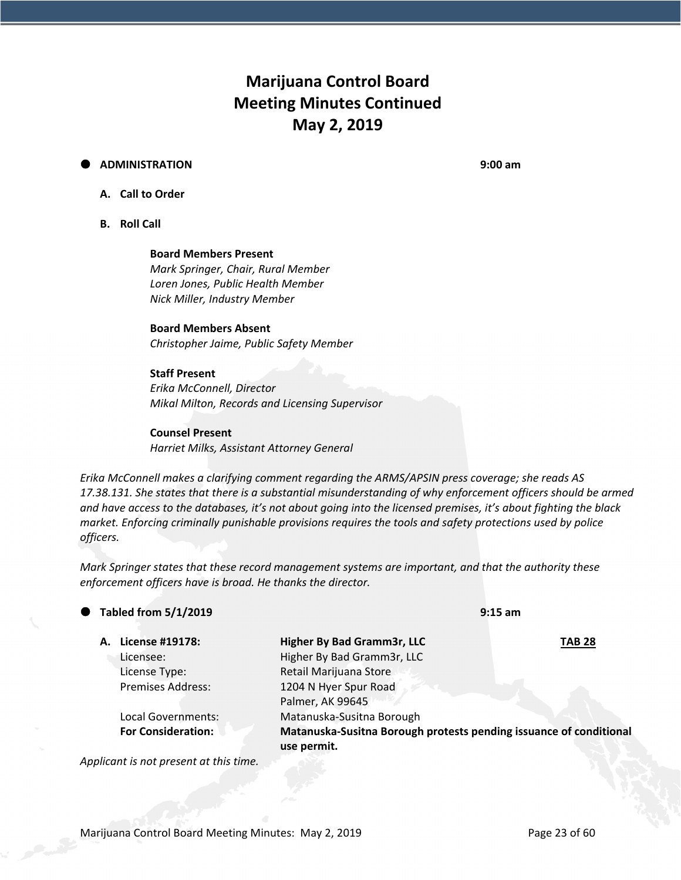# **Marijuana Control Board Meeting Minutes Continued May 2, 2019**

#### **ADMINISTRATION 9:00 am**

### **A. Call to Order**

**B. Roll Call**

**Board Members Present** *Mark Springer, Chair, Rural Member Loren Jones, Public Health Member Nick Miller, Industry Member*

## **Board Members Absent**

*Christopher Jaime, Public Safety Member*

#### **Staff Present**

*Erika McConnell, Director Mikal Milton, Records and Licensing Supervisor*

#### **Counsel Present**

*Harriet Milks, Assistant Attorney General*

*Erika McConnell makes a clarifying comment regarding the ARMS/APSIN press coverage; she reads AS 17.38.131. She states that there is a substantial misunderstanding of why enforcement officers should be armed* and have access to the databases, it's not about going into the licensed premises, it's about fighting the black *market. Enforcing criminally punishable provisions requires the tools and safety protections used by police officers.* 

*Mark Springer states that these record management systems are important, and that the authority these enforcement officers have is broad. He thanks the director.* 

| $\bullet$ Tabled from 5/1/2019 | $9:15$ am                                                                         |               |
|--------------------------------|-----------------------------------------------------------------------------------|---------------|
| A. License #19178:             | Higher By Bad Gramm3r, LLC                                                        | <b>TAB 28</b> |
| Licensee:                      | Higher By Bad Gramm3r, LLC                                                        |               |
| License Type:                  | Retail Marijuana Store                                                            |               |
| <b>Premises Address:</b>       | 1204 N Hyer Spur Road                                                             |               |
|                                | Palmer, AK 99645                                                                  |               |
| Local Governments:             | Matanuska-Susitna Borough                                                         |               |
| <b>For Consideration:</b>      | Matanuska-Susitna Borough protests pending issuance of conditional<br>use permit. |               |

*Applicant is not present at this time.*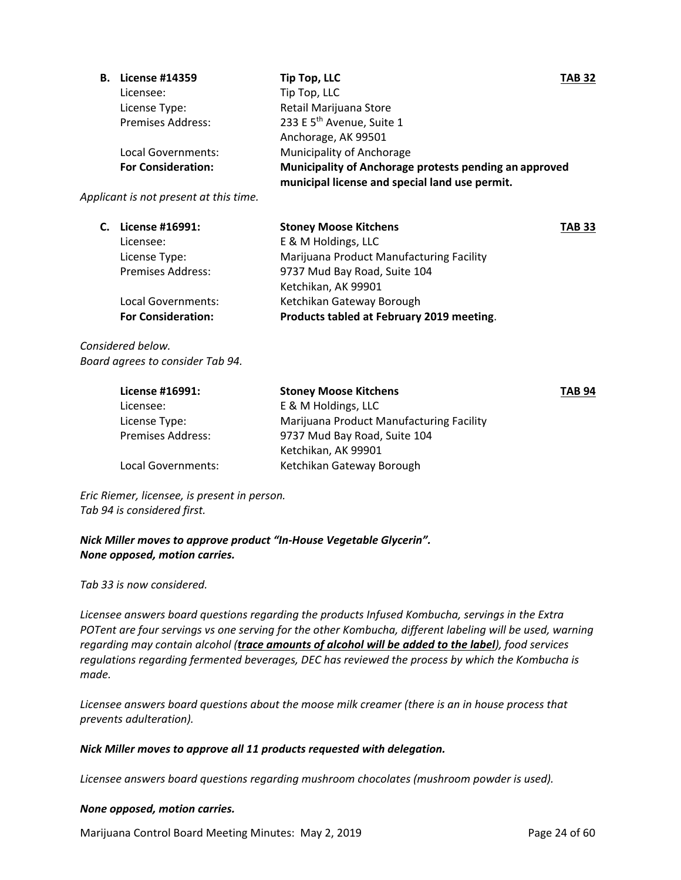| В. | <b>License #14359</b>     | Tip Top, LLC                                           | <b>TAB 32</b> |
|----|---------------------------|--------------------------------------------------------|---------------|
|    | Licensee:                 | Tip Top, LLC                                           |               |
|    | License Type:             | Retail Marijuana Store                                 |               |
|    | <b>Premises Address:</b>  | 233 E 5 <sup>th</sup> Avenue, Suite 1                  |               |
|    |                           | Anchorage, AK 99501                                    |               |
|    | Local Governments:        | Municipality of Anchorage                              |               |
|    | <b>For Consideration:</b> | Municipality of Anchorage protests pending an approved |               |
|    |                           | municipal license and special land use permit.         |               |

*Applicant is not present at this time.*

| C. License #16991:        | <b>Stoney Moose Kitchens</b>              | <b>TAB 33</b> |
|---------------------------|-------------------------------------------|---------------|
| Licensee:                 | E & M Holdings, LLC                       |               |
| License Type:             | Marijuana Product Manufacturing Facility  |               |
| <b>Premises Address:</b>  | 9737 Mud Bay Road, Suite 104              |               |
|                           | Ketchikan, AK 99901                       |               |
| Local Governments:        | Ketchikan Gateway Borough                 |               |
| <b>For Consideration:</b> | Products tabled at February 2019 meeting. |               |

### *Considered below. Board agrees to consider Tab 94.*

| License #16991:          | <b>Stoney Moose Kitchens</b>             | <b>TAB 94</b> |
|--------------------------|------------------------------------------|---------------|
| Licensee:                | E & M Holdings, LLC                      |               |
| License Type:            | Marijuana Product Manufacturing Facility |               |
| <b>Premises Address:</b> | 9737 Mud Bay Road, Suite 104             |               |
|                          | Ketchikan, AK 99901                      |               |
| Local Governments:       | Ketchikan Gateway Borough                |               |
|                          |                                          |               |

*Eric Riemer, licensee, is present in person. Tab 94 is considered first.* 

*Nick Miller moves to approve product "In‐House Vegetable Glycerin". None opposed, motion carries.* 

*Tab 33 is now considered.* 

*Licensee answers board questions regarding the products Infused Kombucha, servings in the Extra POTent are four servings vs one serving for the other Kombucha, different labeling will be used, warning regarding may contain alcohol (trace amounts of alcohol will be added to the label), food services regulations regarding fermented beverages, DEC has reviewed the process by which the Kombucha is made.* 

*Licensee answers board questions about the moose milk creamer (there is an in house process that prevents adulteration).* 

### *Nick Miller moves to approve all 11 products requested with delegation.*

*Licensee answers board questions regarding mushroom chocolates (mushroom powder is used).*

#### *None opposed, motion carries.*

Marijuana Control Board Meeting Minutes: May 2, 2019 **Page 24 of 60** Page 24 of 60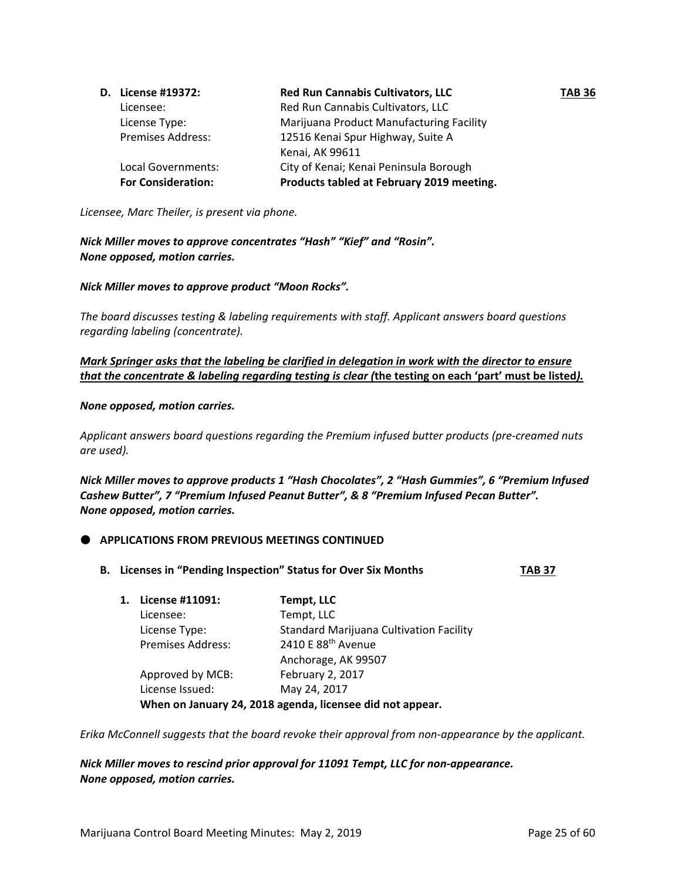| D. License #19372:        | <b>Red Run Cannabis Cultivators, LLC</b>  | <b>TAB 36</b> |
|---------------------------|-------------------------------------------|---------------|
| Licensee:                 | Red Run Cannabis Cultivators, LLC         |               |
| License Type:             | Marijuana Product Manufacturing Facility  |               |
| <b>Premises Address:</b>  | 12516 Kenai Spur Highway, Suite A         |               |
|                           | Kenai, AK 99611                           |               |
| Local Governments:        | City of Kenai; Kenai Peninsula Borough    |               |
| <b>For Consideration:</b> | Products tabled at February 2019 meeting. |               |

*Licensee, Marc Theiler, is present via phone.* 

#### *Nick Miller moves to approve concentrates "Hash" "Kief" and "Rosin". None opposed, motion carries.*

#### *Nick Miller moves to approve product "Moon Rocks".*

*The board discusses testing & labeling requirements with staff. Applicant answers board questions regarding labeling (concentrate).* 

#### *Mark Springer asks that the labeling be clarified in delegation in work with the director to ensure* that the concentrate & labeling regarding testing is clear (the testing on each 'part' must be listed).

#### *None opposed, motion carries.*

*Applicant answers board questions regarding the Premium infused butter products (pre‐creamed nuts are used).*

*Nick Miller moves to approve products 1 "Hash Chocolates", 2 "Hash Gummies", 6 "Premium Infused Cashew Butter", 7 "Premium Infused Peanut Butter", & 8 "Premium Infused Pecan Butter". None opposed, motion carries.* 

#### **APPLICATIONS FROM PREVIOUS MEETINGS CONTINUED**

**B. Licenses in "Pending Inspection" Status for Over Six Months TAB 37**

| 1. | License #11091:          | <b>Tempt, LLC</b>                                         |
|----|--------------------------|-----------------------------------------------------------|
|    | Licensee:                | Tempt, LLC                                                |
|    | License Type:            | <b>Standard Marijuana Cultivation Facility</b>            |
|    | <b>Premises Address:</b> | 2410 E 88 <sup>th</sup> Avenue                            |
|    |                          | Anchorage, AK 99507                                       |
|    | Approved by MCB:         | February 2, 2017                                          |
|    | License Issued:          | May 24, 2017                                              |
|    |                          | When on January 24, 2018 agenda, licensee did not appear. |

*Erika McConnell suggests that the board revoke their approval from non‐appearance by the applicant.* 

*Nick Miller moves to rescind prior approval for 11091 Tempt, LLC for non‐appearance. None opposed, motion carries.*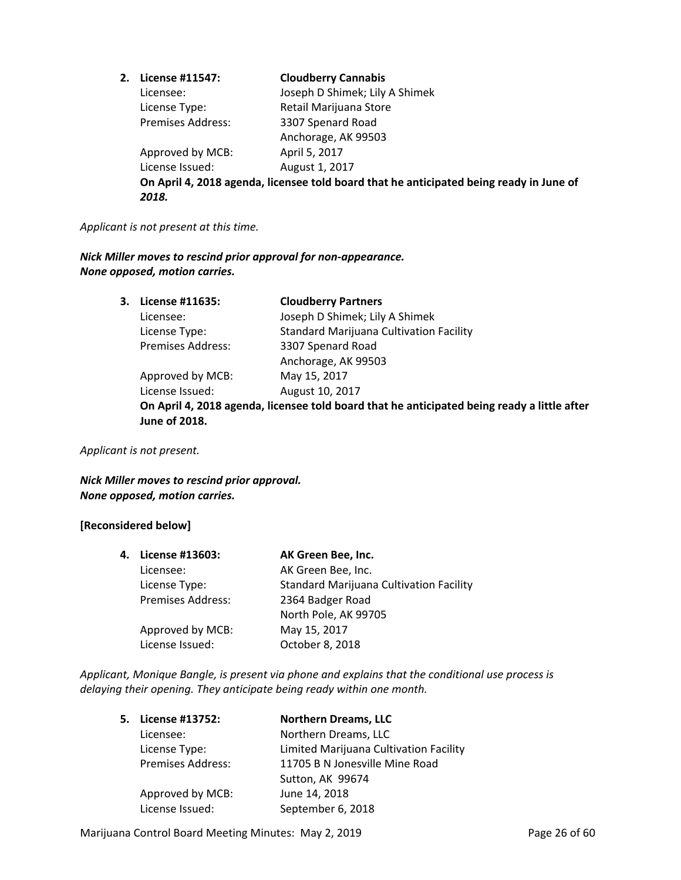| License #11547:          | <b>Cloudberry Cannabis</b>                                                              |
|--------------------------|-----------------------------------------------------------------------------------------|
| Licensee:                | Joseph D Shimek; Lily A Shimek                                                          |
| License Type:            | Retail Marijuana Store                                                                  |
| <b>Premises Address:</b> | 3307 Spenard Road                                                                       |
|                          | Anchorage, AK 99503                                                                     |
| Approved by MCB:         | April 5, 2017                                                                           |
| License Issued:          | August 1, 2017                                                                          |
|                          | On April 4, 2018 agenda, licensee told board that he anticipated being ready in June of |
| 2018.                    |                                                                                         |

#### *Applicant is not present at this time.*

*Nick Miller moves to rescind prior approval for non‐appearance. None opposed, motion carries.* 

> **3. License #11635: Cloudberry Partners** Licensee: Joseph D Shimek; Lily A Shimek License Type: Standard Marijuana Cultivation Facility Premises Address: 3307 Spenard Road Anchorage, AK 99503 Approved by MCB: May 15, 2017 License Issued: August 10, 2017 **On April 4, 2018 agenda, licensee told board that he anticipated being ready a little after June of 2018.**

*Applicant is not present.*

*Nick Miller moves to rescind prior approval. None opposed, motion carries.* 

#### **[Reconsidered below]**

| 4. | License #13603:          | AK Green Bee, Inc.                             |
|----|--------------------------|------------------------------------------------|
|    | Licensee:                | AK Green Bee, Inc.                             |
|    | License Type:            | <b>Standard Marijuana Cultivation Facility</b> |
|    | <b>Premises Address:</b> | 2364 Badger Road                               |
|    |                          | North Pole, AK 99705                           |
|    | Approved by MCB:         | May 15, 2017                                   |
|    | License Issued:          | October 8, 2018                                |
|    |                          |                                                |

*Applicant, Monique Bangle, is present via phone and explains that the conditional use process is delaying their opening. They anticipate being ready within one month.* 

| 5. | License #13752:          | <b>Northern Dreams, LLC</b>            |
|----|--------------------------|----------------------------------------|
|    | Licensee:                | Northern Dreams, LLC                   |
|    | License Type:            | Limited Marijuana Cultivation Facility |
|    | <b>Premises Address:</b> | 11705 B N Jonesville Mine Road         |
|    |                          | Sutton, AK 99674                       |
|    | Approved by MCB:         | June 14, 2018                          |
|    | License Issued:          | September 6, 2018                      |

Marijuana Control Board Meeting Minutes: May 2, 2019 **Page 26 of 60** Page 26 of 60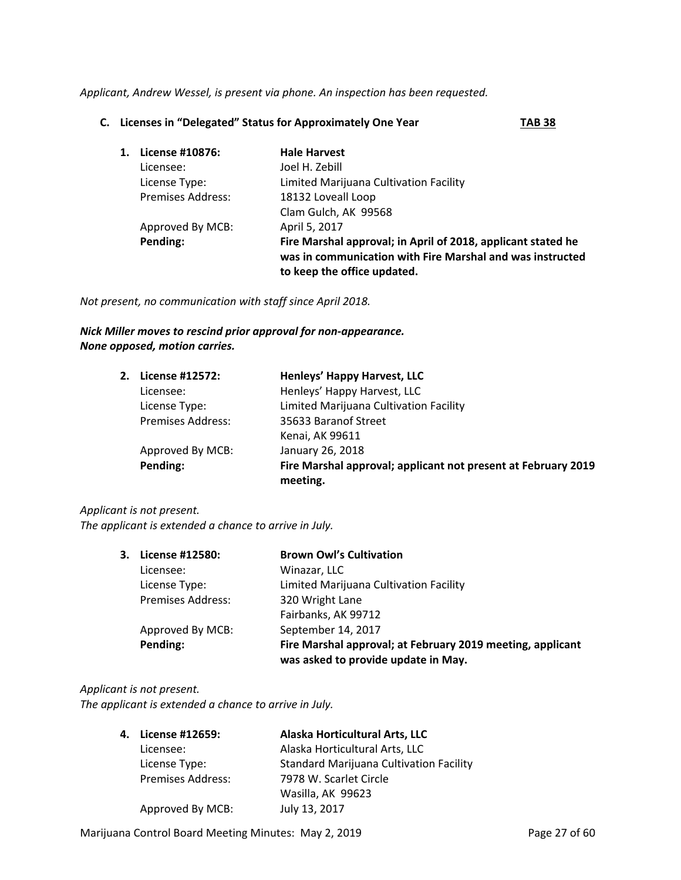*Applicant, Andrew Wessel, is present via phone. An inspection has been requested.* 

#### **C. Licenses in "Delegated" Status for Approximately One Year TAB 38**

| 1. | License #10876:          | <b>Hale Harvest</b>                                                                                                                                      |
|----|--------------------------|----------------------------------------------------------------------------------------------------------------------------------------------------------|
|    | Licensee:                | Joel H. Zebill                                                                                                                                           |
|    | License Type:            | Limited Marijuana Cultivation Facility                                                                                                                   |
|    | <b>Premises Address:</b> | 18132 Loveall Loop                                                                                                                                       |
|    |                          | Clam Gulch, AK 99568                                                                                                                                     |
|    | Approved By MCB:         | April 5, 2017                                                                                                                                            |
|    | Pending:                 | Fire Marshal approval; in April of 2018, applicant stated he<br>was in communication with Fire Marshal and was instructed<br>to keep the office updated. |

*Not present, no communication with staff since April 2018.* 

#### *Nick Miller moves to rescind prior approval for non‐appearance. None opposed, motion carries.*

| 2. License #12572:       | Henleys' Happy Harvest, LLC                                   |
|--------------------------|---------------------------------------------------------------|
| Licensee:                | Henleys' Happy Harvest, LLC                                   |
| License Type:            | Limited Marijuana Cultivation Facility                        |
| <b>Premises Address:</b> | 35633 Baranof Street                                          |
|                          | Kenai, AK 99611                                               |
| Approved By MCB:         | January 26, 2018                                              |
| Pending:                 | Fire Marshal approval; applicant not present at February 2019 |
|                          | meeting.                                                      |

#### *Applicant is not present.*

*The applicant is extended a chance to arrive in July.* 

| 3. . | License #12580:          | <b>Brown Owl's Cultivation</b>                                                                    |
|------|--------------------------|---------------------------------------------------------------------------------------------------|
|      | Licensee:                | Winazar, LLC                                                                                      |
|      | License Type:            | Limited Marijuana Cultivation Facility                                                            |
|      | <b>Premises Address:</b> | 320 Wright Lane                                                                                   |
|      |                          | Fairbanks, AK 99712                                                                               |
|      | Approved By MCB:         | September 14, 2017                                                                                |
|      | Pending:                 | Fire Marshal approval; at February 2019 meeting, applicant<br>was asked to provide update in May. |

#### *Applicant is not present.*

*The applicant is extended a chance to arrive in July.* 

| 4. License #12659:       | Alaska Horticultural Arts, LLC                 |
|--------------------------|------------------------------------------------|
| Licensee:                | Alaska Horticultural Arts, LLC                 |
| License Type:            | <b>Standard Marijuana Cultivation Facility</b> |
| <b>Premises Address:</b> | 7978 W. Scarlet Circle                         |
|                          | Wasilla, AK 99623                              |
| Approved By MCB:         | July 13, 2017                                  |

Marijuana Control Board Meeting Minutes: May 2, 2019 **Page 27 of 60**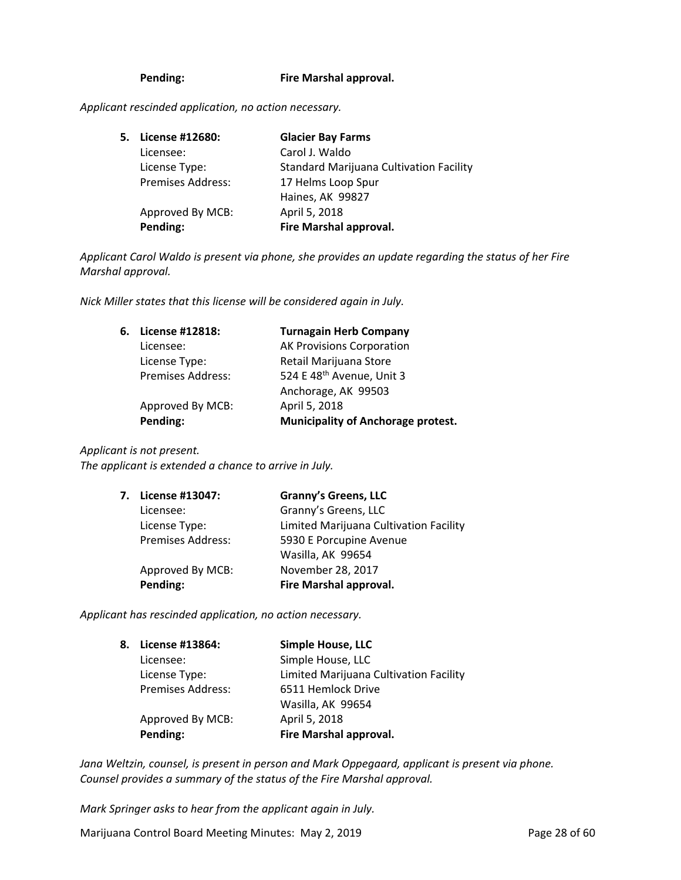#### **Pending: Fire Marshal approval.**

*Applicant rescinded application, no action necessary.* 

| 5. License #12680:       | <b>Glacier Bay Farms</b>                       |
|--------------------------|------------------------------------------------|
| Licensee:                | Carol J. Waldo                                 |
| License Type:            | <b>Standard Marijuana Cultivation Facility</b> |
| <b>Premises Address:</b> | 17 Helms Loop Spur                             |
|                          | Haines, AK 99827                               |
| Approved By MCB:         | April 5, 2018                                  |
| Pending:                 | Fire Marshal approval.                         |

*Applicant Carol Waldo is present via phone, she provides an update regarding the status of her Fire Marshal approval.* 

*Nick Miller states that this license will be considered again in July.* 

| 6. | License #12818:          | <b>Turnagain Herb Company</b>             |
|----|--------------------------|-------------------------------------------|
|    | Licensee:                | <b>AK Provisions Corporation</b>          |
|    | License Type:            | Retail Marijuana Store                    |
|    | <b>Premises Address:</b> | 524 E 48 <sup>th</sup> Avenue, Unit 3     |
|    |                          | Anchorage, AK 99503                       |
|    | Approved By MCB:         | April 5, 2018                             |
|    | Pending:                 | <b>Municipality of Anchorage protest.</b> |

#### *Applicant is not present.*

*The applicant is extended a chance to arrive in July.* 

| 7. License #13047: | <b>Granny's Greens, LLC</b>            |
|--------------------|----------------------------------------|
| Licensee:          | Granny's Greens, LLC                   |
| License Type:      | Limited Marijuana Cultivation Facility |
| Premises Address:  | 5930 E Porcupine Avenue                |
|                    | Wasilla, AK 99654                      |
| Approved By MCB:   | November 28, 2017                      |
| Pending:           | Fire Marshal approval.                 |
|                    |                                        |

*Applicant has rescinded application, no action necessary.*

| 8. | License #13864:          | <b>Simple House, LLC</b>               |
|----|--------------------------|----------------------------------------|
|    | Licensee:                | Simple House, LLC                      |
|    | License Type:            | Limited Marijuana Cultivation Facility |
|    | <b>Premises Address:</b> | 6511 Hemlock Drive                     |
|    |                          | Wasilla, AK 99654                      |
|    | Approved By MCB:         | April 5, 2018                          |
|    | Pending:                 | Fire Marshal approval.                 |

*Jana Weltzin, counsel, is present in person and Mark Oppegaard, applicant is present via phone. Counsel provides a summary of the status of the Fire Marshal approval.* 

*Mark Springer asks to hear from the applicant again in July.*

Marijuana Control Board Meeting Minutes: May 2, 2019 **Page 28 of 60**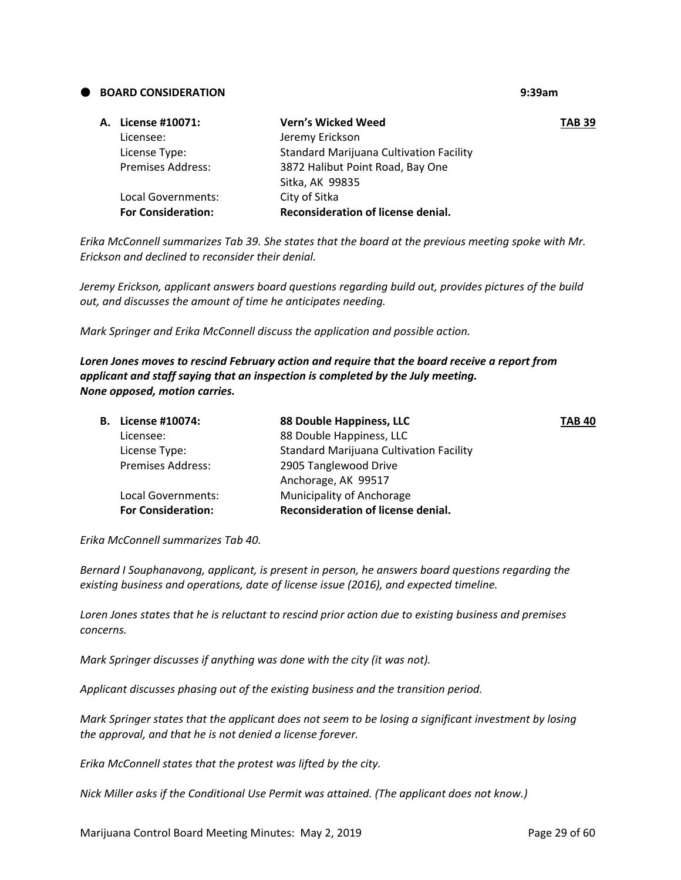#### **BOARD CONSIDERATION 9:39am**

| A. License #10071:        | <b>Vern's Wicked Weed</b>               | <b>TAB 39</b> |
|---------------------------|-----------------------------------------|---------------|
| Licensee:                 | Jeremy Erickson                         |               |
| License Type:             | Standard Marijuana Cultivation Facility |               |
| <b>Premises Address:</b>  | 3872 Halibut Point Road, Bay One        |               |
|                           | Sitka, AK 99835                         |               |
| Local Governments:        | City of Sitka                           |               |
| <b>For Consideration:</b> | Reconsideration of license denial.      |               |

*Erika McConnell summarizes Tab 39. She states that the board at the previous meeting spoke with Mr. Erickson and declined to reconsider their denial.*

*Jeremy Erickson, applicant answers board questions regarding build out, provides pictures of the build out, and discusses the amount of time he anticipates needing.* 

*Mark Springer and Erika McConnell discuss the application and possible action.* 

#### *Loren Jones moves to rescind February action and require that the board receive a report from applicant and staff saying that an inspection is completed by the July meeting. None opposed, motion carries.*

| <b>B.</b> License #10074: | 88 Double Happiness, LLC                       | <b>TAB 40</b> |
|---------------------------|------------------------------------------------|---------------|
| Licensee:                 | 88 Double Happiness, LLC                       |               |
| License Type:             | <b>Standard Marijuana Cultivation Facility</b> |               |
| <b>Premises Address:</b>  | 2905 Tanglewood Drive                          |               |
|                           | Anchorage, AK 99517                            |               |
| Local Governments:        | Municipality of Anchorage                      |               |
| <b>For Consideration:</b> | Reconsideration of license denial.             |               |
|                           |                                                |               |

*Erika McConnell summarizes Tab 40.* 

*Bernard I Souphanavong, applicant, is present in person, he answers board questions regarding the existing business and operations, date of license issue (2016), and expected timeline.*

*Loren Jones states that he is reluctant to rescind prior action due to existing business and premises concerns.* 

*Mark Springer discusses if anything was done with the city (it was not).* 

*Applicant discusses phasing out of the existing business and the transition period.*

*Mark Springer states that the applicant does not seem to be losing a significant investment by losing the approval, and that he is not denied a license forever.* 

*Erika McConnell states that the protest was lifted by the city.* 

*Nick Miller asks if the Conditional Use Permit was attained. (The applicant does not know.)*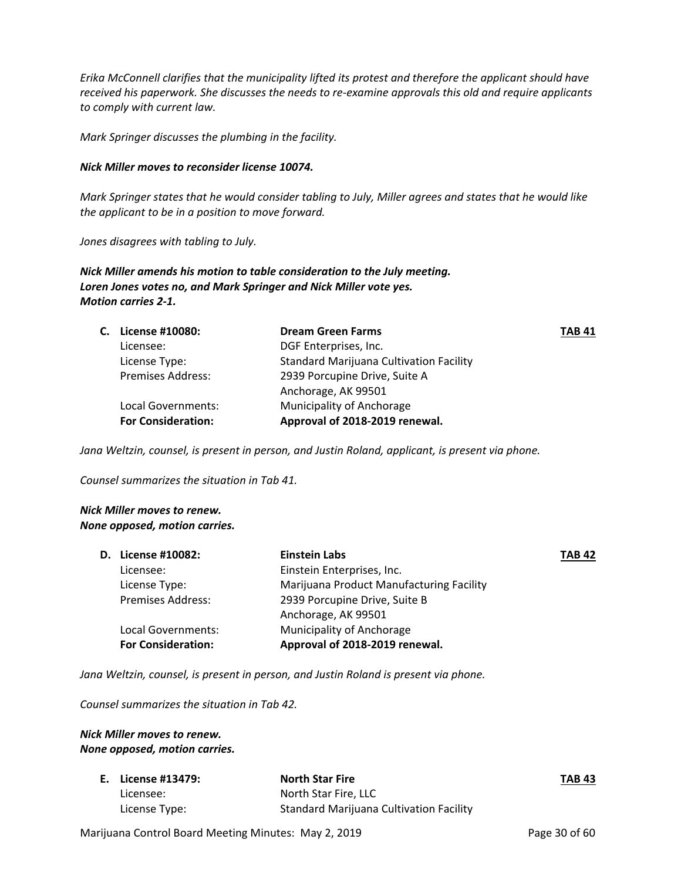*Erika McConnell clarifies that the municipality lifted its protest and therefore the applicant should have received his paperwork. She discusses the needs to re‐examine approvals this old and require applicants to comply with current law.* 

*Mark Springer discusses the plumbing in the facility.*

#### *Nick Miller moves to reconsider license 10074.*

Mark Springer states that he would consider tabling to July, Miller agrees and states that he would like *the applicant to be in a position to move forward.* 

*Jones disagrees with tabling to July.* 

*Nick Miller amends his motion to table consideration to the July meeting. Loren Jones votes no, and Mark Springer and Nick Miller vote yes. Motion carries 2‐1.* 

| С. | License #10080:           | <b>Dream Green Farms</b>                | <b>TAB 41</b> |
|----|---------------------------|-----------------------------------------|---------------|
|    | Licensee:                 | DGF Enterprises, Inc.                   |               |
|    | License Type:             | Standard Marijuana Cultivation Facility |               |
|    | <b>Premises Address:</b>  | 2939 Porcupine Drive, Suite A           |               |
|    |                           | Anchorage, AK 99501                     |               |
|    | Local Governments:        | Municipality of Anchorage               |               |
|    | <b>For Consideration:</b> | Approval of 2018-2019 renewal.          |               |
|    |                           |                                         |               |

*Jana Weltzin, counsel, is present in person, and Justin Roland, applicant, is present via phone.* 

*Counsel summarizes the situation in Tab 41.* 

#### *Nick Miller moves to renew. None opposed, motion carries.*

| <b>D.</b> License #10082: | <b>Einstein Labs</b>                     | <b>TAB 42</b> |
|---------------------------|------------------------------------------|---------------|
| Licensee:                 | Einstein Enterprises, Inc.               |               |
| License Type:             | Marijuana Product Manufacturing Facility |               |
| <b>Premises Address:</b>  | 2939 Porcupine Drive, Suite B            |               |
|                           | Anchorage, AK 99501                      |               |
| Local Governments:        | Municipality of Anchorage                |               |
| <b>For Consideration:</b> | Approval of 2018-2019 renewal.           |               |
|                           |                                          |               |

*Jana Weltzin, counsel, is present in person, and Justin Roland is present via phone.* 

*Counsel summarizes the situation in Tab 42.* 

#### *Nick Miller moves to renew. None opposed, motion carries.*

| E. License #13479: | <b>North Star Fire</b>                         | <b>TAB 43</b> |
|--------------------|------------------------------------------------|---------------|
| Licensee:          | North Star Fire, LLC                           |               |
| License Type:      | <b>Standard Marijuana Cultivation Facility</b> |               |

Marijuana Control Board Meeting Minutes: May 2, 2019 **Page 30 of 60** Page 30 of 60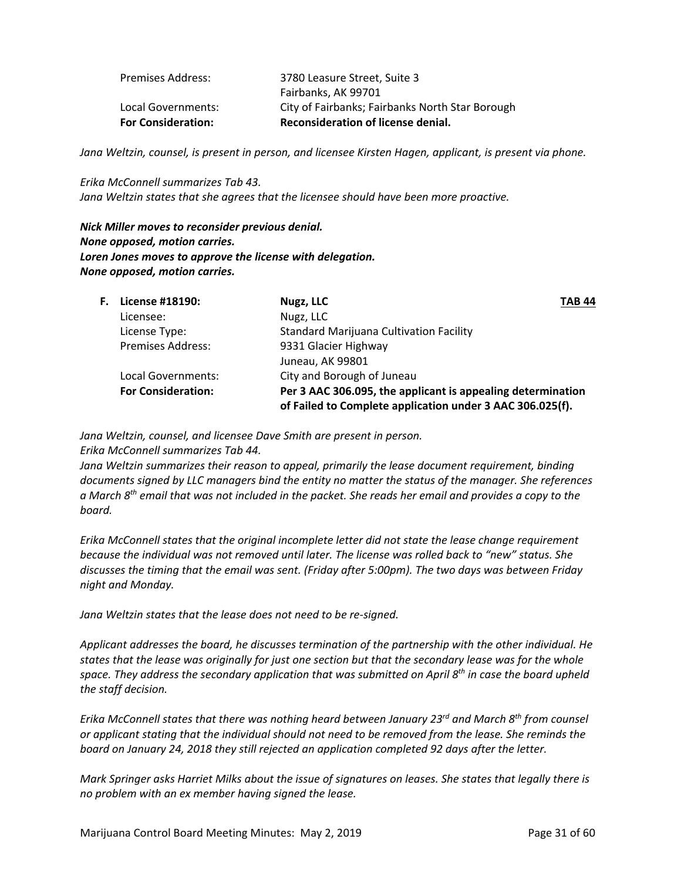| <b>For Consideration:</b> | Reconsideration of license denial.              |
|---------------------------|-------------------------------------------------|
| Local Governments:        | City of Fairbanks; Fairbanks North Star Borough |
|                           | Fairbanks, AK 99701                             |
| <b>Premises Address:</b>  | 3780 Leasure Street, Suite 3                    |

Jana Weltzin, counsel, is present in person, and licensee Kirsten Hagen, applicant, is present via phone.

*Erika McConnell summarizes Tab 43. Jana Weltzin states that she agrees that the licensee should have been more proactive.*

*Nick Miller moves to reconsider previous denial. None opposed, motion carries. Loren Jones moves to approve the license with delegation. None opposed, motion carries.*

| <b>Standard Marijuana Cultivation Facility</b>                                                                           |
|--------------------------------------------------------------------------------------------------------------------------|
|                                                                                                                          |
|                                                                                                                          |
|                                                                                                                          |
| Per 3 AAC 306.095, the applicant is appealing determination<br>of Failed to Complete application under 3 AAC 306.025(f). |
|                                                                                                                          |

*Jana Weltzin, counsel, and licensee Dave Smith are present in person. Erika McConnell summarizes Tab 44.* 

*Jana Weltzin summarizes their reason to appeal, primarily the lease document requirement, binding documents signed by LLC managers bind the entity no matter the status of the manager. She references* a March  $8^{th}$  email that was not included in the packet. She reads her email and provides a copy to the *board.* 

*Erika McConnell states that the original incomplete letter did not state the lease change requirement because the individual was not removed until later. The license was rolled back to "new" status. She discusses the timing that the email was sent. (Friday after 5:00pm). The two days was between Friday night and Monday.* 

*Jana Weltzin states that the lease does not need to be re‐signed.* 

*Applicant addresses the board, he discusses termination of the partnership with the other individual. He* states that the lease was originally for just one section but that the secondary lease was for the whole *space. They address the secondary application that was submitted on April 8th in case the board upheld the staff decision.*

*Erika McConnell states that there was nothing heard between January 23rd and March 8th from counsel* or applicant stating that the individual should not need to be removed from the lease. She reminds the *board on January 24, 2018 they still rejected an application completed 92 days after the letter.* 

Mark Springer asks Harriet Milks about the issue of signatures on leases. She states that legally there is *no problem with an ex member having signed the lease.*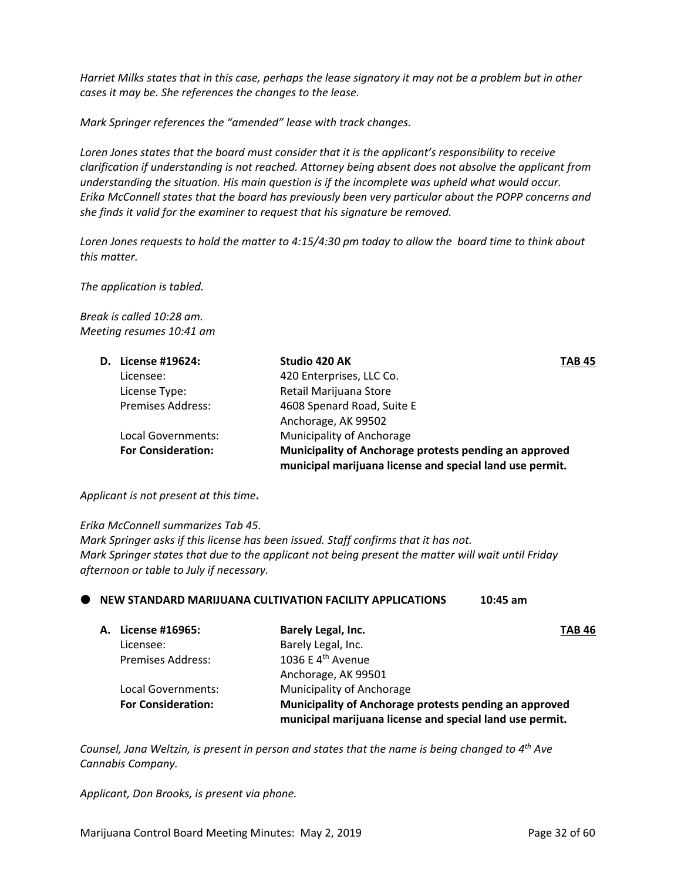Harriet Milks states that in this case, perhaps the lease signatory it may not be a problem but in other *cases it may be. She references the changes to the lease.* 

*Mark Springer references the "amended" lease with track changes.* 

*Loren Jones states that the board must consider that it is the applicant's responsibility to receive clarification if understanding is not reached. Attorney being absent does not absolve the applicant from understanding the situation. His main question is if the incomplete was upheld what would occur. Erika McConnell states that the board has previously been very particular about the POPP concerns and she finds it valid for the examiner to request that his signature be removed.* 

Loren Jones requests to hold the matter to 4:15/4:30 pm today to allow the board time to think about *this matter.*

*The application is tabled.*

*Break is called 10:28 am. Meeting resumes 10:41 am*

| D. License #19624:        | Studio 420 AK<br><b>TAB 45</b>                           |  |
|---------------------------|----------------------------------------------------------|--|
| Licensee:                 | 420 Enterprises, LLC Co.                                 |  |
| License Type:             | Retail Marijuana Store                                   |  |
| <b>Premises Address:</b>  | 4608 Spenard Road, Suite E                               |  |
|                           | Anchorage, AK 99502                                      |  |
| Local Governments:        | Municipality of Anchorage                                |  |
| <b>For Consideration:</b> | Municipality of Anchorage protests pending an approved   |  |
|                           | municipal marijuana license and special land use permit. |  |

#### *Applicant is not present at this time***.**

*Erika McConnell summarizes Tab 45.*

*Mark Springer asks if this license has been issued. Staff confirms that it has not. Mark Springer states that due to the applicant not being present the matter will wait until Friday afternoon or table to July if necessary.* 

#### **NEW STANDARD MARIJUANA CULTIVATION FACILITY APPLICATIONS 10:45 am**

| A. License #16965:        | Barely Legal, Inc.                                                                                                 | <b>TAB 46</b> |
|---------------------------|--------------------------------------------------------------------------------------------------------------------|---------------|
| Licensee:                 | Barely Legal, Inc.                                                                                                 |               |
| <b>Premises Address:</b>  | 1036 E 4 <sup>th</sup> Avenue                                                                                      |               |
|                           | Anchorage, AK 99501                                                                                                |               |
| Local Governments:        | Municipality of Anchorage                                                                                          |               |
| <b>For Consideration:</b> | Municipality of Anchorage protests pending an approved<br>municipal marijuana license and special land use permit. |               |

*Counsel, Jana Weltzin, is present in person and states that the name is being changed to 4th Ave Cannabis Company.* 

*Applicant, Don Brooks, is present via phone.*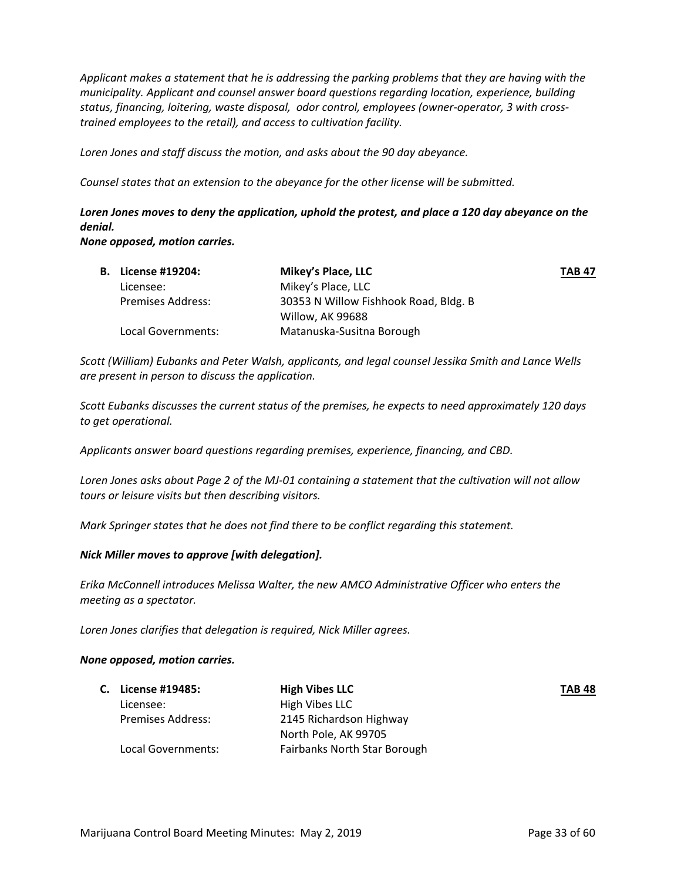*Applicant makes a statement that he is addressing the parking problems that they are having with the municipality. Applicant and counsel answer board questions regarding location, experience, building status, financing, loitering, waste disposal, odor control, employees (owner‐operator, 3 with cross‐ trained employees to the retail), and access to cultivation facility.*

*Loren Jones and staff discuss the motion, and asks about the 90 day abeyance.*

*Counsel states that an extension to the abeyance for the other license will be submitted.* 

## *Loren Jones moves to deny the application, uphold the protest, and place a 120 day abeyance on the denial.*

*None opposed, motion carries.* 

| <b>B.</b> License #19204: | Mikey's Place, LLC                    | <b>TAB 47</b> |
|---------------------------|---------------------------------------|---------------|
| Licensee:                 | Mikey's Place, LLC                    |               |
| <b>Premises Address:</b>  | 30353 N Willow Fishhook Road, Bldg. B |               |
|                           | Willow, AK 99688                      |               |
| Local Governments:        | Matanuska-Susitna Borough             |               |

*Scott (William) Eubanks and Peter Walsh, applicants, and legal counsel Jessika Smith and Lance Wells are present in person to discuss the application.* 

*Scott Eubanks discusses the current status of the premises, he expects to need approximately 120 days to get operational.* 

*Applicants answer board questions regarding premises, experience, financing, and CBD.* 

Loren Jones asks about Page 2 of the MJ-01 containing a statement that the cultivation will not allow *tours or leisure visits but then describing visitors.*

*Mark Springer states that he does not find there to be conflict regarding this statement.* 

#### *Nick Miller moves to approve [with delegation].*

*Erika McConnell introduces Melissa Walter, the new AMCO Administrative Officer who enters the meeting as a spectator.* 

*Loren Jones clarifies that delegation is required, Nick Miller agrees.*

#### *None opposed, motion carries.*

|                          | <b>High Vibes LLC</b>        | <b>TAB 48</b> |
|--------------------------|------------------------------|---------------|
| Licensee:                | High Vibes LLC               |               |
| <b>Premises Address:</b> | 2145 Richardson Highway      |               |
|                          | North Pole, AK 99705         |               |
| Local Governments:       | Fairbanks North Star Borough |               |
|                          | C. License #19485:           |               |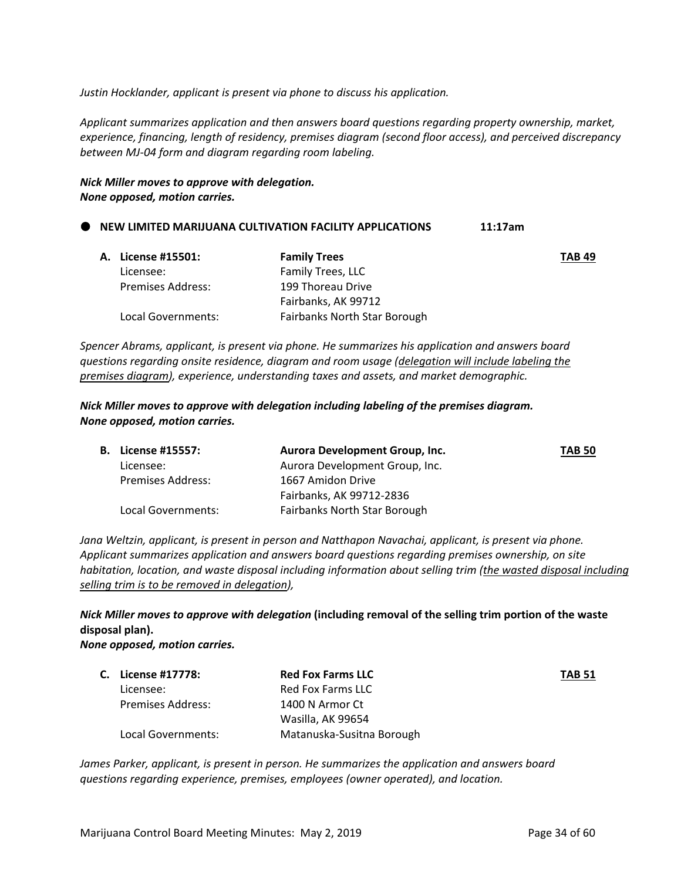*Justin Hocklander, applicant is present via phone to discuss his application.*

*Applicant summarizes application and then answers board questions regarding property ownership, market, experience, financing, length of residency, premises diagram (second floor access), and perceived discrepancy between MJ‐04 form and diagram regarding room labeling.*

*Nick Miller moves to approve with delegation. None opposed, motion carries.* 

#### **NEW LIMITED MARIJUANA CULTIVATION FACILITY APPLICATIONS 11:17am**

| A. License #15501:       | <b>Family Trees</b>          | <b>TAB 49</b> |
|--------------------------|------------------------------|---------------|
| Licensee:                | Family Trees, LLC            |               |
| <b>Premises Address:</b> | 199 Thoreau Drive            |               |
|                          | Fairbanks, AK 99712          |               |
| Local Governments:       | Fairbanks North Star Borough |               |

*Spencer Abrams, applicant, is present via phone. He summarizes his application and answers board questions regarding onsite residence, diagram and room usage (delegation will include labeling the premises diagram), experience, understanding taxes and assets, and market demographic.*

*Nick Miller moves to approve with delegation including labeling of the premises diagram. None opposed, motion carries.* 

| <b>B.</b> License #15557: | Aurora Development Group, Inc.      | <b>TAB 50</b> |
|---------------------------|-------------------------------------|---------------|
| Licensee:                 | Aurora Development Group, Inc.      |               |
| Premises Address:         | 1667 Amidon Drive                   |               |
|                           | Fairbanks, AK 99712-2836            |               |
| Local Governments:        | <b>Fairbanks North Star Borough</b> |               |

*Jana Weltzin, applicant, is present in person and Natthapon Navachai, applicant, is present via phone. Applicant summarizes application and answers board questions regarding premises ownership, on site habitation, location, and waste disposal including information about selling trim (the wasted disposal including selling trim is to be removed in delegation),* 

## *Nick Miller moves to approve with delegation* **(including removal of the selling trim portion of the waste disposal plan).**

*None opposed, motion carries.*

| C. License #17778:       | <b>Red Fox Farms LLC</b>  | <b>TAB 51</b> |
|--------------------------|---------------------------|---------------|
| Licensee:                | Red Fox Farms LLC         |               |
| <b>Premises Address:</b> | 1400 N Armor Ct           |               |
|                          | Wasilla, AK 99654         |               |
| Local Governments:       | Matanuska-Susitna Borough |               |

*James Parker, applicant, is present in person. He summarizes the application and answers board questions regarding experience, premises, employees (owner operated), and location.*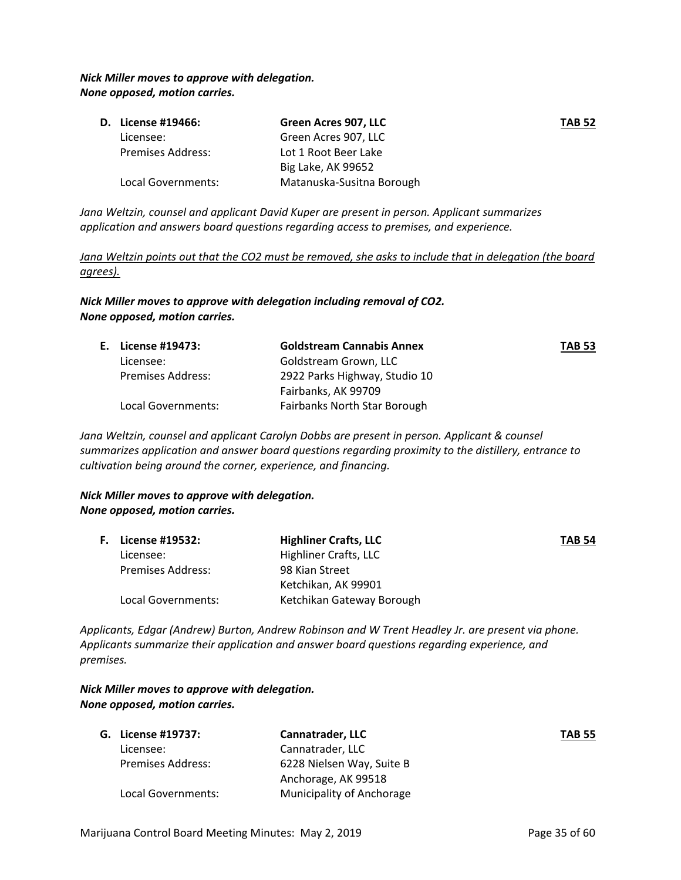#### *Nick Miller moves to approve with delegation. None opposed, motion carries.*

|                          | Green Acres 907, LLC      | <b>TAB 52</b> |
|--------------------------|---------------------------|---------------|
| Licensee:                | Green Acres 907, LLC      |               |
| <b>Premises Address:</b> | Lot 1 Root Beer Lake      |               |
|                          | Big Lake, AK 99652        |               |
| Local Governments:       | Matanuska-Susitna Borough |               |
|                          | D. License #19466:        |               |

*Jana Weltzin, counsel and applicant David Kuper are present in person. Applicant summarizes application and answers board questions regarding access to premises, and experience.*

Jana Weltzin points out that the CO2 must be removed, she asks to include that in delegation (the board *agrees).*

*Nick Miller moves to approve with delegation including removal of CO2. None opposed, motion carries.*

| E. License #19473:       | <b>Goldstream Cannabis Annex</b> | <b>TAB 53</b> |
|--------------------------|----------------------------------|---------------|
| Licensee:                | Goldstream Grown, LLC            |               |
| <b>Premises Address:</b> | 2922 Parks Highway, Studio 10    |               |
|                          | Fairbanks, AK 99709              |               |
| Local Governments:       | Fairbanks North Star Borough     |               |

*Jana Weltzin, counsel and applicant Carolyn Dobbs are present in person. Applicant & counsel summarizes application and answer board questions regarding proximity to the distillery, entrance to cultivation being around the corner, experience, and financing.*

#### *Nick Miller moves to approve with delegation. None opposed, motion carries.*

| F. | <b>License #19532:</b> | <b>Highliner Crafts, LLC</b> | <b>TAB 54</b> |
|----|------------------------|------------------------------|---------------|
|    | Licensee:              | Highliner Crafts, LLC        |               |
|    | Premises Address:      | 98 Kian Street               |               |
|    |                        | Ketchikan, AK 99901          |               |
|    | Local Governments:     | Ketchikan Gateway Borough    |               |

*Applicants, Edgar (Andrew) Burton, Andrew Robinson and W Trent Headley Jr. are present via phone. Applicants summarize their application and answer board questions regarding experience, and premises.* 

#### *Nick Miller moves to approve with delegation. None opposed, motion carries.*

| G. License #19737:       | <b>Cannatrader, LLC</b>   | <b>TAB 55</b> |
|--------------------------|---------------------------|---------------|
| Licensee:                | Cannatrader, LLC          |               |
| <b>Premises Address:</b> | 6228 Nielsen Way, Suite B |               |
|                          | Anchorage, AK 99518       |               |
| Local Governments:       | Municipality of Anchorage |               |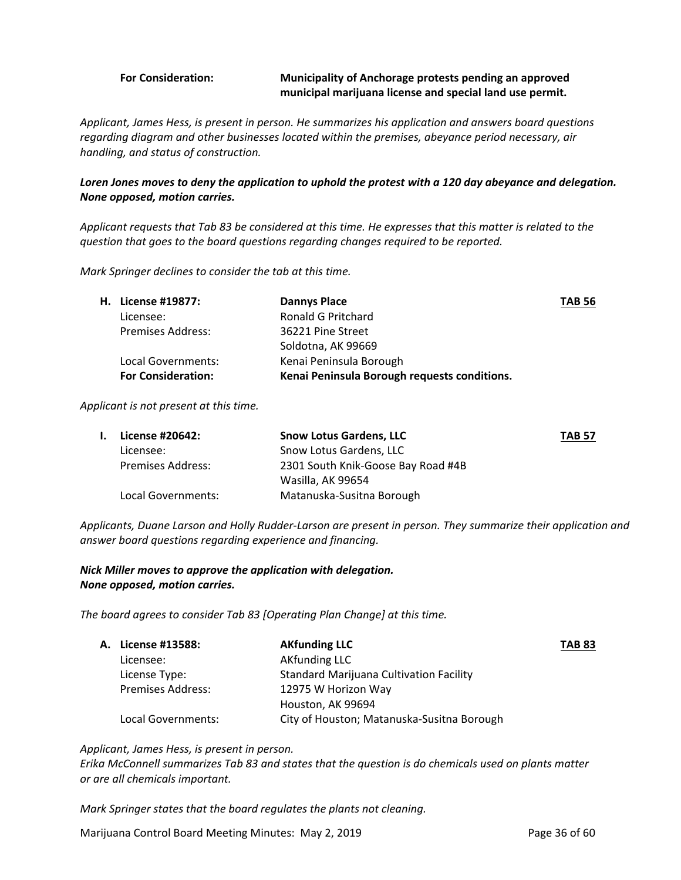#### **For Consideration: Municipality of Anchorage protests pending an approved municipal marijuana license and special land use permit.**

*Applicant, James Hess, is present in person. He summarizes his application and answers board questions regarding diagram and other businesses located within the premises, abeyance period necessary, air handling, and status of construction.* 

#### Loren Jones moves to deny the application to uphold the protest with a 120 day abeyance and delegation. *None opposed, motion carries.*

Applicant requests that Tab 83 be considered at this time. He expresses that this matter is related to the *question that goes to the board questions regarding changes required to be reported.* 

*Mark Springer declines to consider the tab at this time.* 

|                           | <b>Dannys Place</b>                          | <b>TAB 56</b> |
|---------------------------|----------------------------------------------|---------------|
| Licensee:                 | Ronald G Pritchard                           |               |
| <b>Premises Address:</b>  | 36221 Pine Street                            |               |
|                           | Soldotna, AK 99669                           |               |
| Local Governments:        | Kenai Peninsula Borough                      |               |
| <b>For Consideration:</b> | Kenai Peninsula Borough requests conditions. |               |
|                           | <b>H.</b> License #19877:                    |               |

*Applicant is not present at this time.* 

| L. | License #20642:          | <b>Snow Lotus Gardens, LLC</b>     | <b>TAB 57</b> |
|----|--------------------------|------------------------------------|---------------|
|    | Licensee:                | Snow Lotus Gardens, LLC            |               |
|    | <b>Premises Address:</b> | 2301 South Knik-Goose Bay Road #4B |               |
|    |                          | Wasilla, AK 99654                  |               |
|    | Local Governments:       | Matanuska-Susitna Borough          |               |

Applicants, Duane Larson and Holly Rudder-Larson are present in person. They summarize their application and *answer board questions regarding experience and financing.* 

#### *Nick Miller moves to approve the application with delegation. None opposed, motion carries.*

*The board agrees to consider Tab 83 [Operating Plan Change] at this time.*

| <b>A. License #13588:</b> | <b>AKfunding LLC</b>                           | <b>TAB 83</b> |
|---------------------------|------------------------------------------------|---------------|
| Licensee:                 | <b>AKfunding LLC</b>                           |               |
| License Type:             | <b>Standard Marijuana Cultivation Facility</b> |               |
| <b>Premises Address:</b>  | 12975 W Horizon Way                            |               |
|                           | Houston, AK 99694                              |               |
| Local Governments:        | City of Houston; Matanuska-Susitna Borough     |               |

*Applicant, James Hess, is present in person. Erika McConnell summarizes Tab 83 and states that the question is do chemicals used on plants matter or are all chemicals important.* 

*Mark Springer states that the board regulates the plants not cleaning.*

Marijuana Control Board Meeting Minutes: May 2, 2019 **Page 36 of 60** Page 36 of 60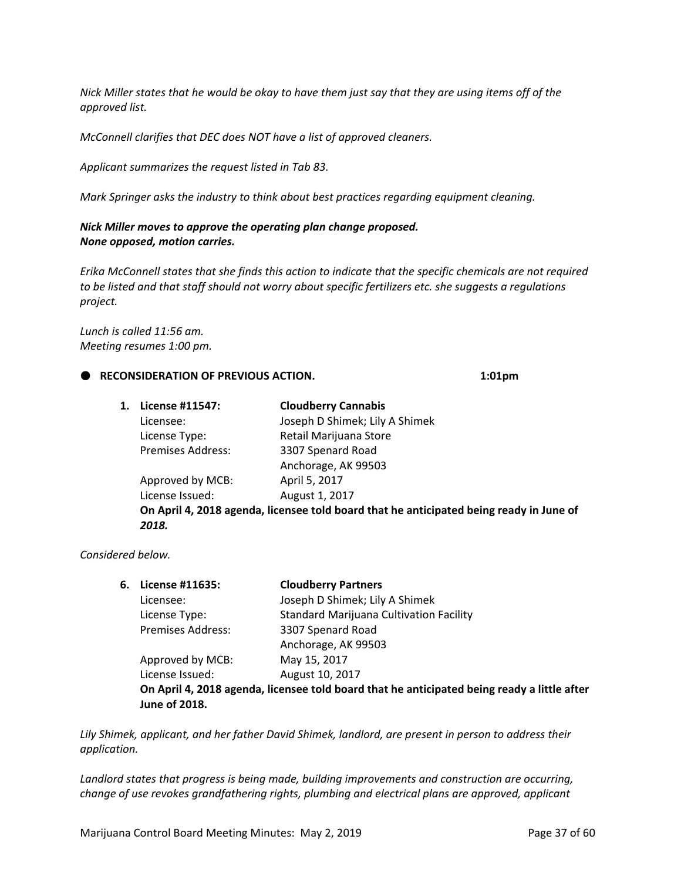Nick Miller states that he would be okay to have them just say that they are using items off of the *approved list.* 

*McConnell clarifies that DEC does NOT have a list of approved cleaners.* 

*Applicant summarizes the request listed in Tab 83.* 

*Mark Springer asks the industry to think about best practices regarding equipment cleaning.* 

#### *Nick Miller moves to approve the operating plan change proposed. None opposed, motion carries.*

Erika McConnell states that she finds this action to indicate that the specific chemicals are not required *to be listed and that staff should not worry about specific fertilizers etc. she suggests a regulations project.* 

*Lunch is called 11:56 am. Meeting resumes 1:00 pm.*

#### **RECONSIDERATION OF PREVIOUS ACTION. 1:01pm**

| 1. | License #11547:          | <b>Cloudberry Cannabis</b>                                                              |
|----|--------------------------|-----------------------------------------------------------------------------------------|
|    | Licensee:                | Joseph D Shimek; Lily A Shimek                                                          |
|    | License Type:            | Retail Marijuana Store                                                                  |
|    | <b>Premises Address:</b> | 3307 Spenard Road                                                                       |
|    |                          | Anchorage, AK 99503                                                                     |
|    | Approved by MCB:         | April 5, 2017                                                                           |
|    | License Issued:          | August 1, 2017                                                                          |
|    |                          | On April 4, 2018 agenda, licensee told board that he anticipated being ready in June of |
|    | 2018.                    |                                                                                         |
|    |                          |                                                                                         |

#### *Considered below.*

| 6. License #11635:       | <b>Cloudberry Partners</b>                                                                  |
|--------------------------|---------------------------------------------------------------------------------------------|
| Licensee:                | Joseph D Shimek; Lily A Shimek                                                              |
| License Type:            | <b>Standard Marijuana Cultivation Facility</b>                                              |
| <b>Premises Address:</b> | 3307 Spenard Road                                                                           |
|                          | Anchorage, AK 99503                                                                         |
| Approved by MCB:         | May 15, 2017                                                                                |
| License Issued:          | August 10, 2017                                                                             |
|                          | On April 4, 2018 agenda, licensee told board that he anticipated being ready a little after |
| <b>June of 2018.</b>     |                                                                                             |
|                          |                                                                                             |

*Lily Shimek, applicant, and her father David Shimek, landlord, are present in person to address their application.* 

*Landlord states that progress is being made, building improvements and construction are occurring, change of use revokes grandfathering rights, plumbing and electrical plans are approved, applicant*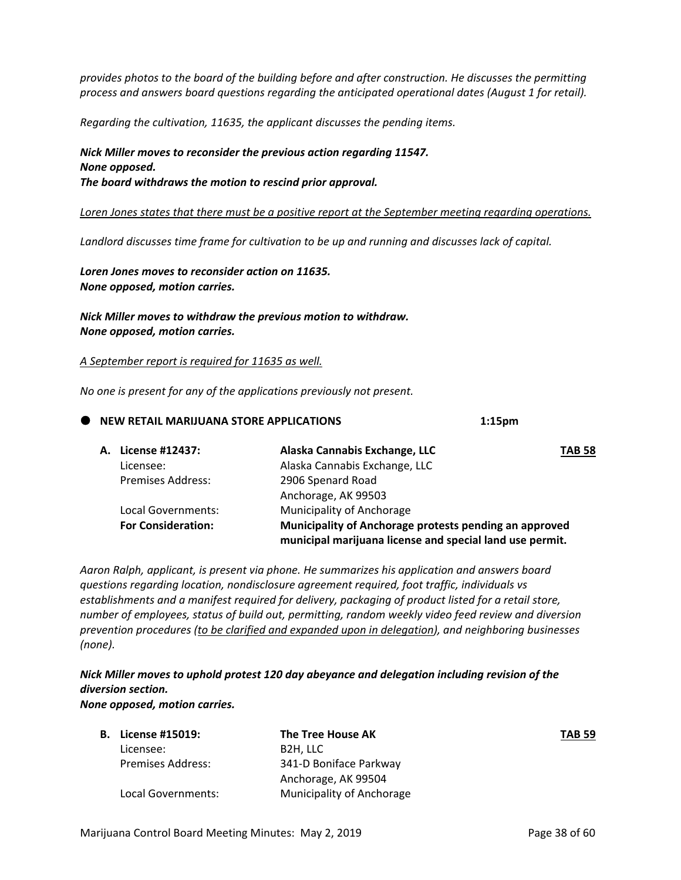*provides photos to the board of the building before and after construction. He discusses the permitting process and answers board questions regarding the anticipated operational dates (August 1 for retail).* 

*Regarding the cultivation, 11635, the applicant discusses the pending items.* 

*Nick Miller moves to reconsider the previous action regarding 11547. None opposed. The board withdraws the motion to rescind prior approval.* 

*Loren Jones states that there must be a positive report at the September meeting regarding operations.* 

*Landlord discusses time frame for cultivation to be up and running and discusses lack of capital.* 

*Loren Jones moves to reconsider action on 11635. None opposed, motion carries.* 

*Nick Miller moves to withdraw the previous motion to withdraw. None opposed, motion carries.* 

*A September report is required for 11635 as well.* 

*No one is present for any of the applications previously not present.* 

|  | NEW RETAIL MARIJUANA STORE APPLICATIONS |                                                                                                                    |               |
|--|-----------------------------------------|--------------------------------------------------------------------------------------------------------------------|---------------|
|  | License #12437:                         | Alaska Cannabis Exchange, LLC                                                                                      | <b>TAB 58</b> |
|  | Licensee:                               | Alaska Cannabis Exchange, LLC                                                                                      |               |
|  | <b>Premises Address:</b>                | 2906 Spenard Road                                                                                                  |               |
|  |                                         | Anchorage, AK 99503                                                                                                |               |
|  | Local Governments:                      | Municipality of Anchorage                                                                                          |               |
|  | <b>For Consideration:</b>               | Municipality of Anchorage protests pending an approved<br>municipal marijuana license and special land use permit. |               |

*Aaron Ralph, applicant, is present via phone. He summarizes his application and answers board questions regarding location, nondisclosure agreement required, foot traffic, individuals vs establishments and a manifest required for delivery, packaging of product listed for a retail store, number of employees, status of build out, permitting, random weekly video feed review and diversion prevention procedures (to be clarified and expanded upon in delegation), and neighboring businesses (none).*

*Nick Miller moves to uphold protest 120 day abeyance and delegation including revision of the diversion section. None opposed, motion carries.* 

| License #15019:<br>В.    | The Tree House AK         | <b>TAB 59</b> |
|--------------------------|---------------------------|---------------|
| Licensee:                | B2H, LLC                  |               |
| <b>Premises Address:</b> | 341-D Boniface Parkway    |               |
|                          | Anchorage, AK 99504       |               |
| Local Governments:       | Municipality of Anchorage |               |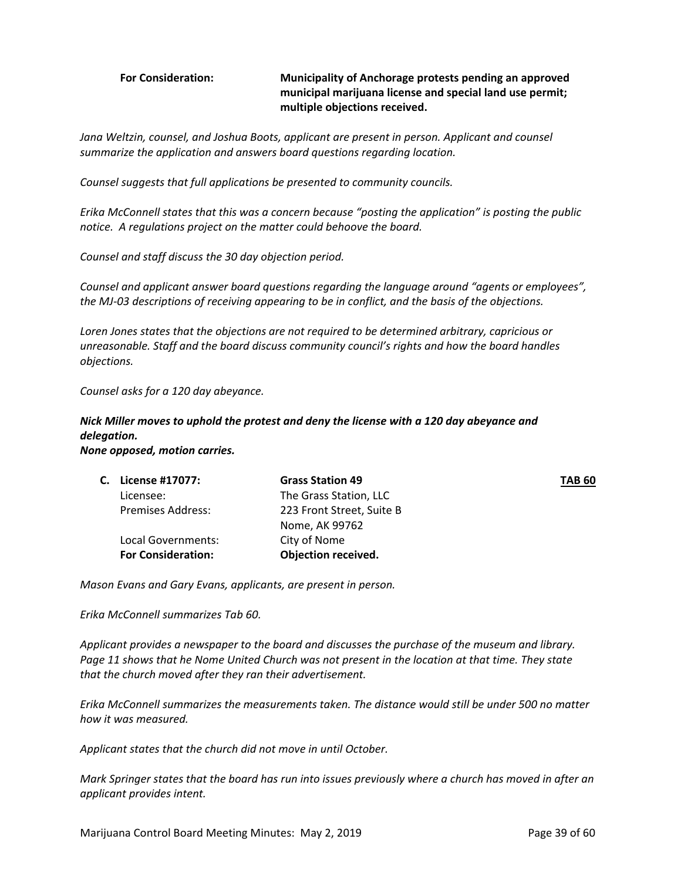#### **For Consideration: Municipality of Anchorage protests pending an approved municipal marijuana license and special land use permit; multiple objections received.**

*Jana Weltzin, counsel, and Joshua Boots, applicant are present in person. Applicant and counsel summarize the application and answers board questions regarding location.*

*Counsel suggests that full applications be presented to community councils.* 

*Erika McConnell states that this was a concern because "posting the application" is posting the public notice. A regulations project on the matter could behoove the board.* 

*Counsel and staff discuss the 30 day objection period.* 

*Counsel and applicant answer board questions regarding the language around "agents or employees",* the MJ-03 descriptions of receiving appearing to be in conflict, and the basis of the objections.

*Loren Jones states that the objections are not required to be determined arbitrary, capricious or unreasonable. Staff and the board discuss community council's rights and how the board handles objections.* 

*Counsel asks for a 120 day abeyance.* 

## *Nick Miller moves to uphold the protest and deny the license with a 120 day abeyance and delegation.*

*None opposed, motion carries.* 

|                           | <b>Grass Station 49</b>    | <b>TAB 60</b> |
|---------------------------|----------------------------|---------------|
| Licensee:                 | The Grass Station, LLC     |               |
| <b>Premises Address:</b>  | 223 Front Street, Suite B  |               |
|                           | Nome, AK 99762             |               |
| Local Governments:        | City of Nome               |               |
| <b>For Consideration:</b> | <b>Objection received.</b> |               |
|                           | C. License #17077:         |               |

*Mason Evans and Gary Evans, applicants, are present in person.* 

*Erika McConnell summarizes Tab 60.* 

*Applicant provides a newspaper to the board and discusses the purchase of the museum and library.* Page 11 shows that he Nome United Church was not present in the location at that time. They state *that the church moved after they ran their advertisement.* 

*Erika McConnell summarizes the measurements taken. The distance would still be under 500 no matter how it was measured.* 

*Applicant states that the church did not move in until October.* 

Mark Springer states that the board has run into issues previously where a church has moved in after an *applicant provides intent.*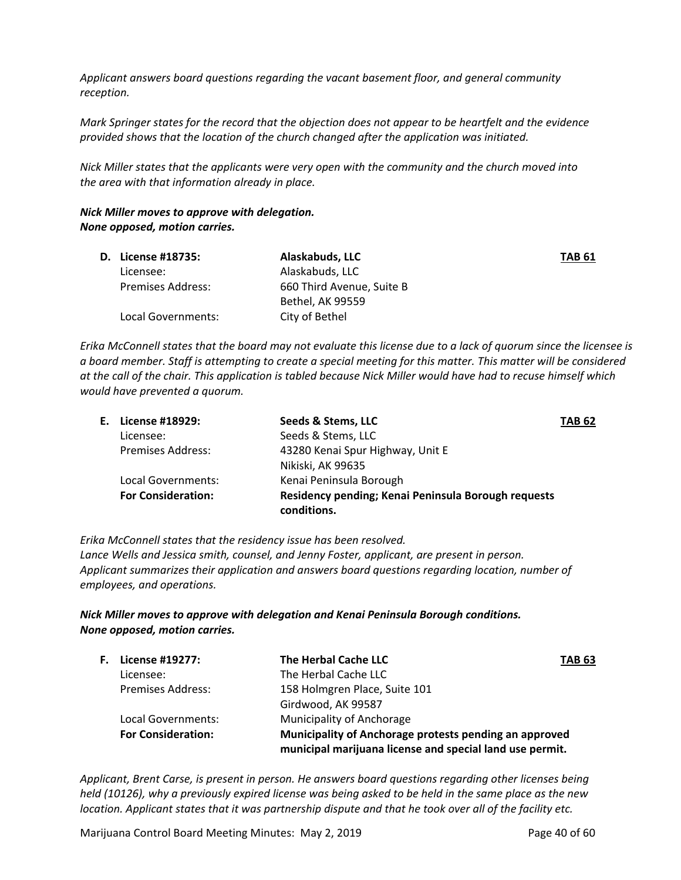*Applicant answers board questions regarding the vacant basement floor, and general community reception.*

Mark Springer states for the record that the objection does not appear to be heartfelt and the evidence *provided shows that the location of the church changed after the application was initiated.* 

*Nick Miller states that the applicants were very open with the community and the church moved into the area with that information already in place.*

#### *Nick Miller moves to approve with delegation. None opposed, motion carries.*

| D. License #18735:       | Alaskabuds, LLC           | TAB 61 |
|--------------------------|---------------------------|--------|
| Licensee:                | Alaskabuds, LLC           |        |
| <b>Premises Address:</b> | 660 Third Avenue, Suite B |        |
|                          | Bethel, AK 99559          |        |
| Local Governments:       | City of Bethel            |        |

Erika McConnell states that the board may not evaluate this license due to a lack of quorum since the licensee is a board member. Staff is attempting to create a special meeting for this matter. This matter will be considered at the call of the chair. This application is tabled because Nick Miller would have had to recuse himself which

*would have prevented a quorum.* 

|                           | Seeds & Stems, LLC               | <b>TAB 62</b>                                       |
|---------------------------|----------------------------------|-----------------------------------------------------|
| Licensee:                 | Seeds & Stems, LLC               |                                                     |
| <b>Premises Address:</b>  | 43280 Kenai Spur Highway, Unit E |                                                     |
|                           | Nikiski, AK 99635                |                                                     |
| Local Governments:        | Kenai Peninsula Borough          |                                                     |
| <b>For Consideration:</b> | conditions.                      |                                                     |
|                           | E. License #18929:               | Residency pending; Kenai Peninsula Borough requests |

*Erika McConnell states that the residency issue has been resolved.* 

*Lance Wells and Jessica smith, counsel, and Jenny Foster, applicant, are present in person. Applicant summarizes their application and answers board questions regarding location, number of employees, and operations.* 

#### *Nick Miller moves to approve with delegation and Kenai Peninsula Borough conditions. None opposed, motion carries.*

| <b>F.</b> License #19277: | The Herbal Cache LLC                                                                                               | <b>TAB 63</b> |
|---------------------------|--------------------------------------------------------------------------------------------------------------------|---------------|
| Licensee:                 | The Herbal Cache LLC                                                                                               |               |
| <b>Premises Address:</b>  | 158 Holmgren Place, Suite 101                                                                                      |               |
|                           | Girdwood, AK 99587                                                                                                 |               |
| Local Governments:        | Municipality of Anchorage                                                                                          |               |
| <b>For Consideration:</b> | Municipality of Anchorage protests pending an approved<br>municipal marijuana license and special land use permit. |               |

*Applicant, Brent Carse, is present in person. He answers board questions regarding other licenses being* held (10126), why a previously expired license was being asked to be held in the same place as the new location. Applicant states that it was partnership dispute and that he took over all of the facility etc.

Marijuana Control Board Meeting Minutes: May 2, 2019 **Page 40 of 60** Page 40 of 60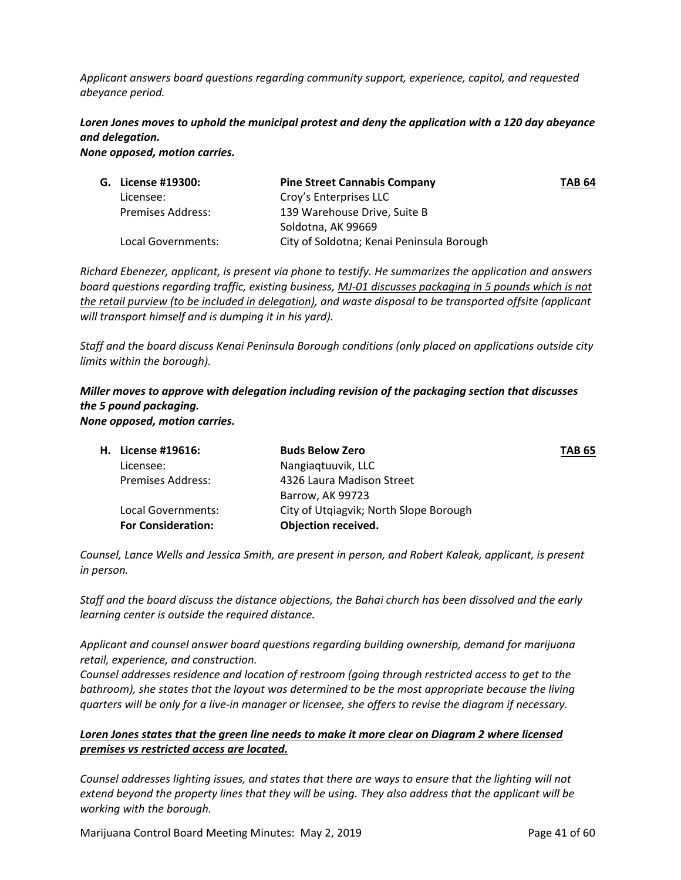*Applicant answers board questions regarding community support, experience, capitol, and requested abeyance period.* 

## *Loren Jones moves to uphold the municipal protest and deny the application with a 120 day abeyance and delegation.*

*None opposed, motion carries.*

| G. License #19300:       | <b>Pine Street Cannabis Company</b>       | <b>TAB 64</b> |
|--------------------------|-------------------------------------------|---------------|
| Licensee:                | Croy's Enterprises LLC                    |               |
| <b>Premises Address:</b> | 139 Warehouse Drive, Suite B              |               |
|                          | Soldotna, AK 99669                        |               |
| Local Governments:       | City of Soldotna; Kenai Peninsula Borough |               |

*Richard Ebenezer, applicant, is present via phone to testify. He summarizes the application and answers board questions regarding traffic, existing business, MJ‐01 discusses packaging in 5 pounds which is not the retail purview (to be included in delegation), and waste disposal to be transported offsite (applicant will transport himself and is dumping it in his yard).*

*Staff and the board discuss Kenai Peninsula Borough conditions (only placed on applications outside city limits within the borough).* 

#### *Miller moves to approve with delegation including revision of the packaging section that discusses the 5 pound packaging. None opposed, motion carries.*

| H. License #19616:        | <b>Buds Below Zero</b>                 | <b>TAB 65</b> |
|---------------------------|----------------------------------------|---------------|
| Licensee:                 | Nangiagtuuvik, LLC                     |               |
| <b>Premises Address:</b>  | 4326 Laura Madison Street              |               |
|                           | Barrow, AK 99723                       |               |
| Local Governments:        | City of Utgiagvik; North Slope Borough |               |
| <b>For Consideration:</b> | Objection received.                    |               |

*Counsel, Lance Wells and Jessica Smith, are present in person, and Robert Kaleak, applicant, is present in person.* 

*Staff and the board discuss the distance objections, the Bahai church has been dissolved and the early learning center is outside the required distance.* 

*Applicant and counsel answer board questions regarding building ownership, demand for marijuana retail, experience, and construction.* 

*Counsel addresses residence and location of restroom (going through restricted access to get to the bathroom), she states that the layout was determined to be the most appropriate because the living* quarters will be only for a live-in manager or licensee, she offers to revise the diagram if necessary.

### *Loren Jones states that the green line needs to make it more clear on Diagram 2 where licensed premises vs restricted access are located.*

*Counsel addresses lighting issues, and states that there are ways to ensure that the lighting will not* extend beyond the property lines that they will be using. They also address that the applicant will be *working with the borough.* 

Marijuana Control Board Meeting Minutes: May 2, 2019 **Page 41 of 60** Page 41 of 60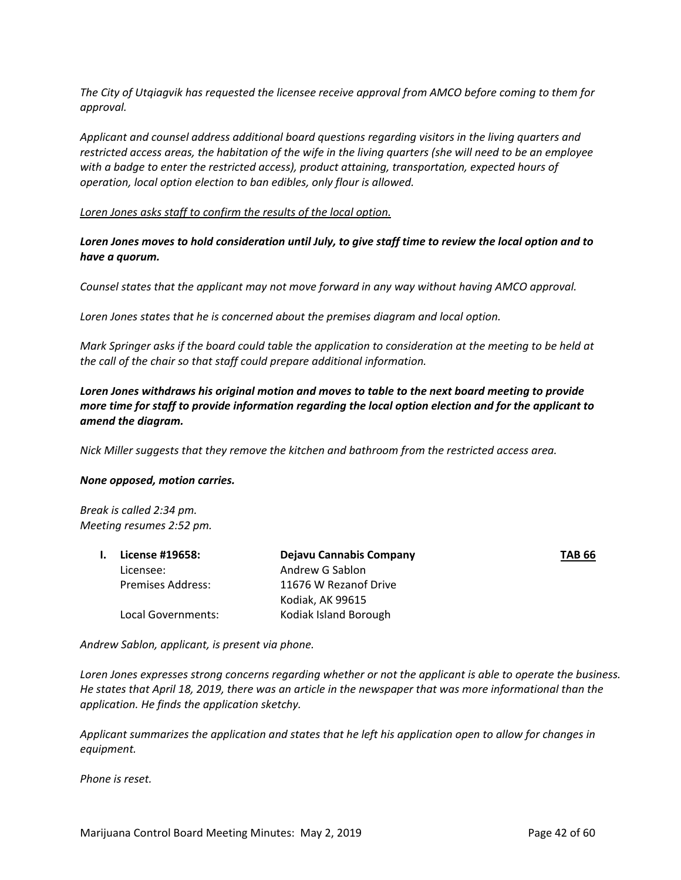*The City of Utqiagvik has requested the licensee receive approval from AMCO before coming to them for approval.* 

*Applicant and counsel address additional board questions regarding visitors in the living quarters and* restricted access areas, the habitation of the wife in the living quarters (she will need to be an employee *with a badge to enter the restricted access), product attaining, transportation, expected hours of operation, local option election to ban edibles, only flour is allowed.* 

*Loren Jones asks staff to confirm the results of the local option.* 

Loren Jones moves to hold consideration until July, to give staff time to review the local option and to *have a quorum.* 

*Counsel states that the applicant may not move forward in any way without having AMCO approval.* 

*Loren Jones states that he is concerned about the premises diagram and local option.* 

Mark Springer asks if the board could table the application to consideration at the meeting to be held at *the call of the chair so that staff could prepare additional information.* 

*Loren Jones withdraws his original motion and moves to table to the next board meeting to provide more time for staff to provide information regarding the local option election and for the applicant to amend the diagram.* 

*Nick Miller suggests that they remove the kitchen and bathroom from the restricted access area.* 

#### *None opposed, motion carries.*

*Break is called 2:34 pm. Meeting resumes 2:52 pm.*

| License #19658:    | Dejavu Cannabis Company | <b>TAB 66</b> |
|--------------------|-------------------------|---------------|
| Licensee:          | Andrew G Sablon         |               |
| Premises Address:  | 11676 W Rezanof Drive   |               |
|                    | Kodiak, AK 99615        |               |
| Local Governments: | Kodiak Island Borough   |               |
|                    |                         |               |

*Andrew Sablon, applicant, is present via phone.* 

Loren Jones expresses strong concerns regarding whether or not the applicant is able to operate the business. He states that April 18, 2019, there was an article in the newspaper that was more informational than the *application. He finds the application sketchy.* 

*Applicant summarizes the application and states that he left his application open to allow for changes in equipment.* 

*Phone is reset.*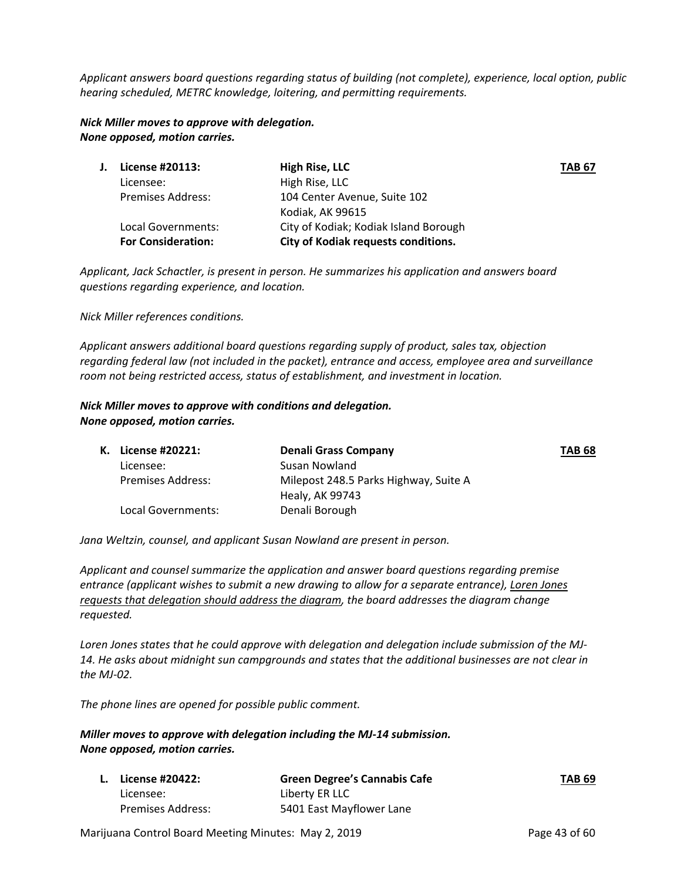*Applicant answers board questions regarding status of building (not complete), experience, local option, public hearing scheduled, METRC knowledge, loitering, and permitting requirements.* 

*Nick Miller moves to approve with delegation. None opposed, motion carries.* 

| License #20113:           | High Rise, LLC                        | <b>TAB 67</b> |
|---------------------------|---------------------------------------|---------------|
| Licensee:                 | High Rise, LLC                        |               |
| <b>Premises Address:</b>  | 104 Center Avenue, Suite 102          |               |
|                           | Kodiak, AK 99615                      |               |
| Local Governments:        | City of Kodiak; Kodiak Island Borough |               |
| <b>For Consideration:</b> | City of Kodiak requests conditions.   |               |
|                           |                                       |               |

*Applicant, Jack Schactler, is present in person. He summarizes his application and answers board questions regarding experience, and location.* 

*Nick Miller references conditions.* 

*Applicant answers additional board questions regarding supply of product, sales tax, objection regarding federal law (not included in the packet), entrance and access, employee area and surveillance room not being restricted access, status of establishment, and investment in location.*

#### *Nick Miller moves to approve with conditions and delegation. None opposed, motion carries.*

| K. License #20221:       | <b>Denali Grass Company</b>           | <b>TAB 68</b> |
|--------------------------|---------------------------------------|---------------|
| Licensee:                | Susan Nowland                         |               |
| <b>Premises Address:</b> | Milepost 248.5 Parks Highway, Suite A |               |
|                          | Healy, AK 99743                       |               |
| Local Governments:       | Denali Borough                        |               |

*Jana Weltzin, counsel, and applicant Susan Nowland are present in person.* 

*Applicant and counsel summarize the application and answer board questions regarding premise entrance (applicant wishes to submit a new drawing to allow for a separate entrance), Loren Jones requests that delegation should address the diagram, the board addresses the diagram change requested.* 

*Loren Jones states that he could approve with delegation and delegation include submission of the MJ‐ 14. He asks about midnight sun campgrounds and states that the additional businesses are not clear in the MJ‐02.*

*The phone lines are opened for possible public comment.* 

*Miller moves to approve with delegation including the MJ‐14 submission. None opposed, motion carries.* 

| <b>L.</b> License #20422: | <b>Green Degree's Cannabis Cafe</b> | <b>TAB 69</b> |
|---------------------------|-------------------------------------|---------------|
| Licensee:                 | Liberty ER LLC                      |               |
| Premises Address:         | 5401 East Mayflower Lane            |               |

Marijuana Control Board Meeting Minutes: May 2, 2019 **Page 43 of 60**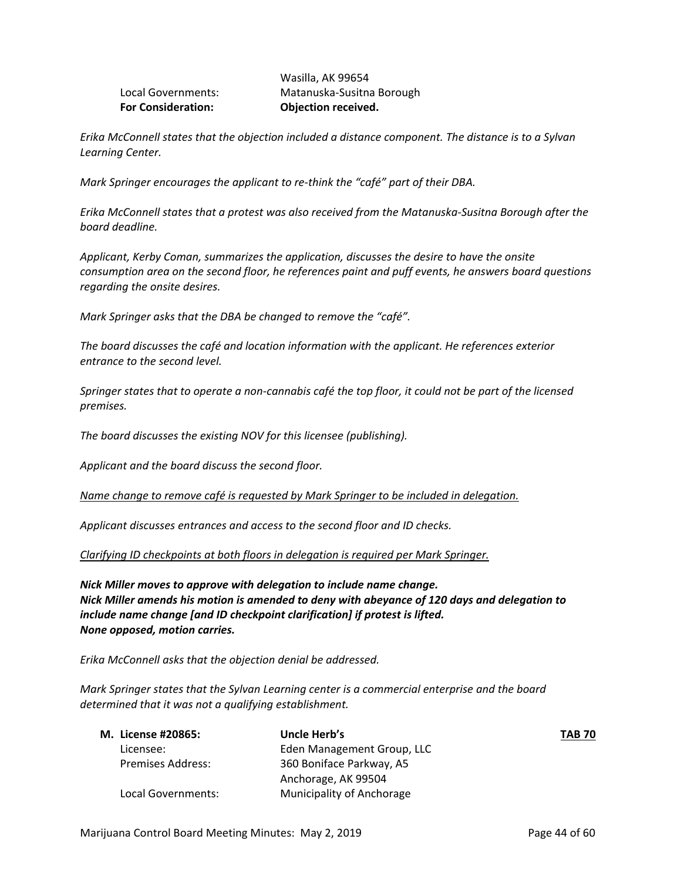| <b>For Consideration:</b> | Objection received.       |
|---------------------------|---------------------------|
| Local Governments:        | Matanuska-Susitna Borough |
|                           | Wasilla, AK 99654         |

*Erika McConnell states that the objection included a distance component. The distance is to a Sylvan Learning Center.* 

*Mark Springer encourages the applicant to re‐think the "café" part of their DBA.* 

*Erika McConnell states that a protest was also received from the Matanuska‐Susitna Borough after the board deadline.* 

*Applicant, Kerby Coman, summarizes the application, discusses the desire to have the onsite consumption area on the second floor, he references paint and puff events, he answers board questions regarding the onsite desires.* 

*Mark Springer asks that the DBA be changed to remove the "café".* 

*The board discusses the café and location information with the applicant. He references exterior entrance to the second level.* 

Springer states that to operate a non-cannabis café the top floor, it could not be part of the licensed *premises.* 

*The board discusses the existing NOV for this licensee (publishing).* 

*Applicant and the board discuss the second floor.* 

*Name change to remove café is requested by Mark Springer to be included in delegation.* 

*Applicant discusses entrances and access to the second floor and ID checks.*

*Clarifying ID checkpoints at both floors in delegation is required per Mark Springer.* 

*Nick Miller moves to approve with delegation to include name change. Nick Miller amends his motion is amended to deny with abeyance of 120 days and delegation to include name change [and ID checkpoint clarification] if protest is lifted. None opposed, motion carries.* 

*Erika McConnell asks that the objection denial be addressed.* 

*Mark Springer states that the Sylvan Learning center is a commercial enterprise and the board determined that it was not a qualifying establishment.* 

| M. License #20865:       | Uncle Herb's               | <b>TAB 70</b> |
|--------------------------|----------------------------|---------------|
| Licensee:                | Eden Management Group, LLC |               |
| <b>Premises Address:</b> | 360 Boniface Parkway, A5   |               |
|                          | Anchorage, AK 99504        |               |
| Local Governments:       | Municipality of Anchorage  |               |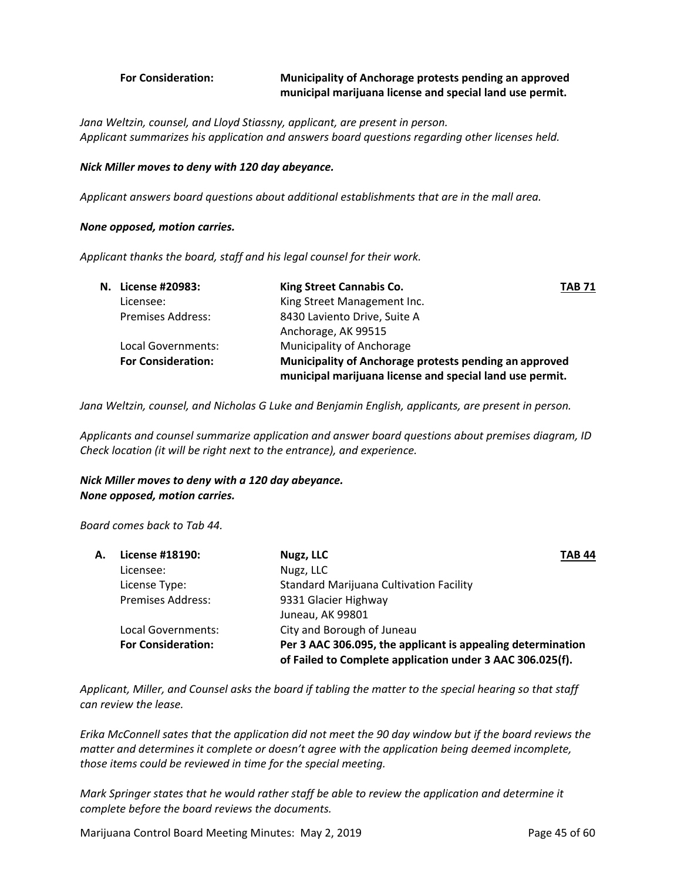#### **For Consideration: Municipality of Anchorage protests pending an approved municipal marijuana license and special land use permit.**

*Jana Weltzin, counsel, and Lloyd Stiassny, applicant, are present in person. Applicant summarizes his application and answers board questions regarding other licenses held.*

#### *Nick Miller moves to deny with 120 day abeyance.*

*Applicant answers board questions about additional establishments that are in the mall area.* 

#### *None opposed, motion carries.*

*Applicant thanks the board, staff and his legal counsel for their work.* 

| N. License #20983:        | King Street Cannabis Co.                                                                                           | <b>TAB 71</b> |
|---------------------------|--------------------------------------------------------------------------------------------------------------------|---------------|
| Licensee:                 | King Street Management Inc.                                                                                        |               |
| <b>Premises Address:</b>  | 8430 Laviento Drive, Suite A                                                                                       |               |
|                           | Anchorage, AK 99515                                                                                                |               |
| Local Governments:        | Municipality of Anchorage                                                                                          |               |
| <b>For Consideration:</b> | Municipality of Anchorage protests pending an approved<br>municipal marijuana license and special land use permit. |               |

*Jana Weltzin, counsel, and Nicholas G Luke and Benjamin English, applicants, are present in person.* 

*Applicants and counsel summarize application and answer board questions about premises diagram, ID Check location (it will be right next to the entrance), and experience.*

#### *Nick Miller moves to deny with a 120 day abeyance. None opposed, motion carries.*

*Board comes back to Tab 44.*

| License #18190:           | <b>TAB 44</b><br>Nugz, LLC                                  |                                                           |
|---------------------------|-------------------------------------------------------------|-----------------------------------------------------------|
| Licensee:                 | Nugz, LLC                                                   |                                                           |
| License Type:             | <b>Standard Marijuana Cultivation Facility</b>              |                                                           |
| <b>Premises Address:</b>  | 9331 Glacier Highway                                        |                                                           |
|                           | Juneau, AK 99801                                            |                                                           |
| Local Governments:        | City and Borough of Juneau                                  |                                                           |
| <b>For Consideration:</b> | Per 3 AAC 306.095, the applicant is appealing determination |                                                           |
|                           |                                                             | of Failed to Complete application under 3 AAC 306.025(f). |

Applicant, Miller, and Counsel asks the board if tabling the matter to the special hearing so that staff *can review the lease.* 

Erika McConnell sates that the application did not meet the 90 day window but if the board reviews the *matter and determines it complete or doesn't agree with the application being deemed incomplete, those items could be reviewed in time for the special meeting.* 

*Mark Springer states that he would rather staff be able to review the application and determine it complete before the board reviews the documents.* 

Marijuana Control Board Meeting Minutes: May 2, 2019 **Page 45 of 60**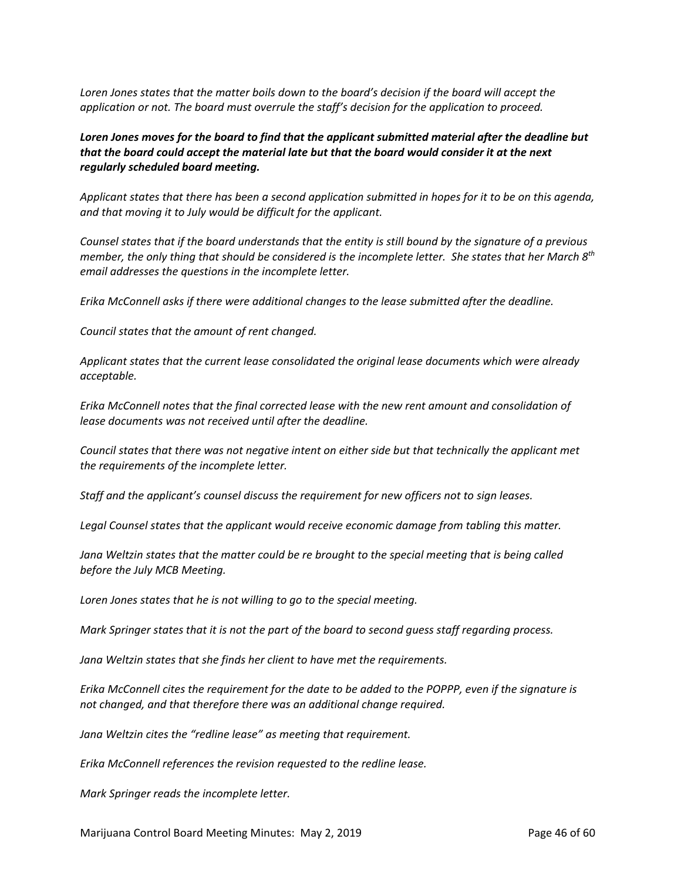*Loren Jones states that the matter boils down to the board's decision if the board will accept the application or not. The board must overrule the staff's decision for the application to proceed.* 

*Loren Jones moves for the board to find that the applicant submitted material after the deadline but that the board could accept the material late but that the board would consider it at the next regularly scheduled board meeting.* 

Applicant states that there has been a second application submitted in hopes for it to be on this agenda, *and that moving it to July would be difficult for the applicant.*

Counsel states that if the board understands that the entity is still bound by the signature of a previous member, the only thing that should be considered is the incomplete letter. She states that her March 8<sup>th</sup> *email addresses the questions in the incomplete letter.* 

*Erika McConnell asks if there were additional changes to the lease submitted after the deadline.* 

*Council states that the amount of rent changed.* 

*Applicant states that the current lease consolidated the original lease documents which were already acceptable.*

*Erika McConnell notes that the final corrected lease with the new rent amount and consolidation of lease documents was not received until after the deadline.* 

*Council states that there was not negative intent on either side but that technically the applicant met the requirements of the incomplete letter.*

*Staff and the applicant's counsel discuss the requirement for new officers not to sign leases.* 

*Legal Counsel states that the applicant would receive economic damage from tabling this matter.* 

Jana Weltzin states that the matter could be re brought to the special meeting that is being called *before the July MCB Meeting.* 

*Loren Jones states that he is not willing to go to the special meeting.* 

Mark Springer states that it is not the part of the board to second quess staff regarding process.

*Jana Weltzin states that she finds her client to have met the requirements.* 

Erika McConnell cites the requirement for the date to be added to the POPPP, even if the signature is *not changed, and that therefore there was an additional change required.* 

*Jana Weltzin cites the "redline lease" as meeting that requirement.* 

*Erika McConnell references the revision requested to the redline lease.*

*Mark Springer reads the incomplete letter.* 

Marijuana Control Board Meeting Minutes: May 2, 2019 **Page 46 of 60** Page 46 of 60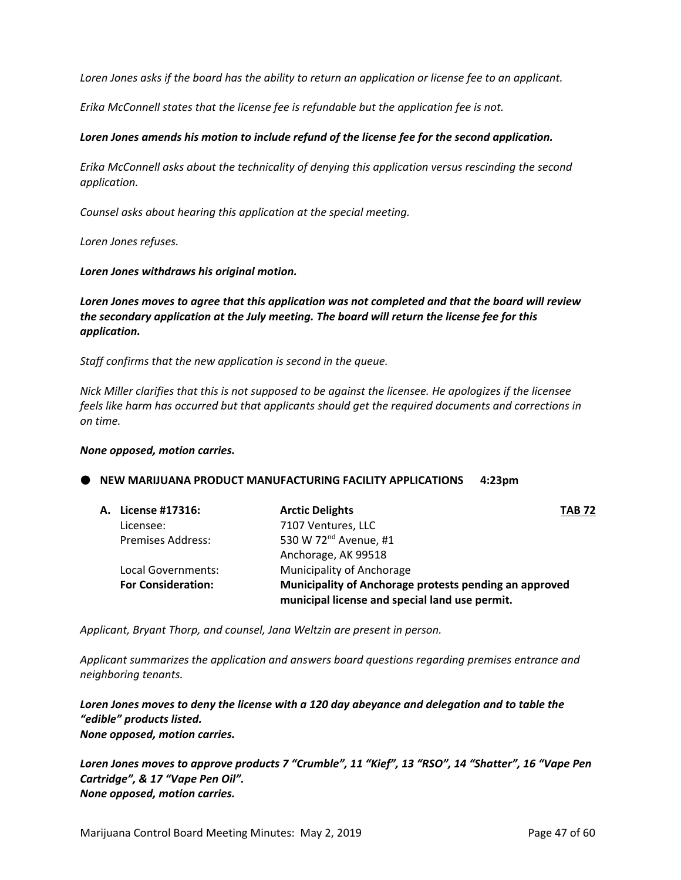Loren Jones asks if the board has the ability to return an application or license fee to an applicant.

*Erika McConnell states that the license fee is refundable but the application fee is not.* 

#### *Loren Jones amends his motion to include refund of the license fee for the second application.*

*Erika McConnell asks about the technicality of denying this application versus rescinding the second application.* 

*Counsel asks about hearing this application at the special meeting.*

*Loren Jones refuses.* 

*Loren Jones withdraws his original motion.*

*Loren Jones moves to agree that this application was not completed and that the board will review the secondary application at the July meeting. The board will return the license fee for this application.* 

*Staff confirms that the new application is second in the queue.* 

Nick Miller clarifies that this is not supposed to be against the licensee. He apologizes if the licensee *feels like harm has occurred but that applicants should get the required documents and corrections in on time.*

#### *None opposed, motion carries.*

#### **NEW MARIJUANA PRODUCT MANUFACTURING FACILITY APPLICATIONS 4:23pm**

| A. License #17316:        | <b>Arctic Delights</b>                                                                                   | <b>TAB 72</b> |
|---------------------------|----------------------------------------------------------------------------------------------------------|---------------|
| Licensee:                 | 7107 Ventures, LLC                                                                                       |               |
| <b>Premises Address:</b>  | 530 W 72 <sup>nd</sup> Avenue, #1                                                                        |               |
|                           | Anchorage, AK 99518                                                                                      |               |
| Local Governments:        | Municipality of Anchorage                                                                                |               |
| <b>For Consideration:</b> | Municipality of Anchorage protests pending an approved<br>municipal license and special land use permit. |               |
|                           |                                                                                                          |               |

*Applicant, Bryant Thorp, and counsel, Jana Weltzin are present in person.* 

*Applicant summarizes the application and answers board questions regarding premises entrance and neighboring tenants.* 

*Loren Jones moves to deny the license with a 120 day abeyance and delegation and to table the "edible" products listed. None opposed, motion carries.* 

*Loren Jones moves to approve products 7 "Crumble", 11 "Kief", 13 "RSO", 14 "Shatter", 16 "Vape Pen Cartridge", & 17 "Vape Pen Oil". None opposed, motion carries.*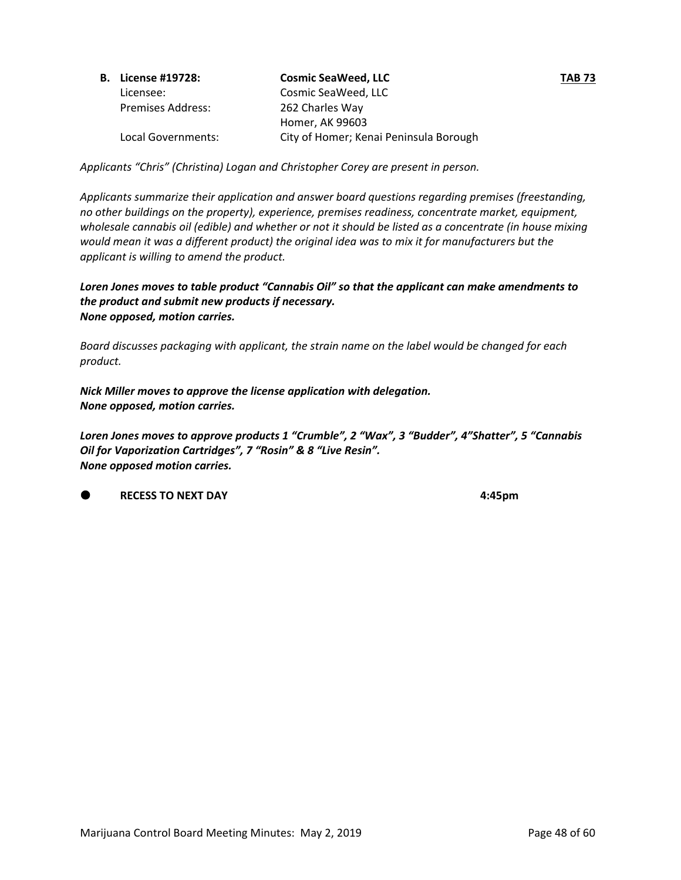| <b>B.</b> License #19728: | <b>Cosmic SeaWeed, LLC</b>             | <b>TAB 73</b> |
|---------------------------|----------------------------------------|---------------|
| Licensee:                 | Cosmic SeaWeed, LLC                    |               |
| <b>Premises Address:</b>  | 262 Charles Way                        |               |
|                           | Homer, AK 99603                        |               |
| Local Governments:        | City of Homer; Kenai Peninsula Borough |               |

*Applicants "Chris" (Christina) Logan and Christopher Corey are present in person.* 

*Applicants summarize their application and answer board questions regarding premises (freestanding, no other buildings on the property), experience, premises readiness, concentrate market, equipment,* wholesale cannabis oil (edible) and whether or not it should be listed as a concentrate (in house mixing *would mean it was a different product) the original idea was to mix it for manufacturers but the applicant is willing to amend the product.* 

*Loren Jones moves to table product "Cannabis Oil" so that the applicant can make amendments to the product and submit new products if necessary. None opposed, motion carries.* 

*Board discusses packaging with applicant, the strain name on the label would be changed for each product.*

*Nick Miller moves to approve the license application with delegation. None opposed, motion carries.* 

*Loren Jones moves to approve products 1 "Crumble", 2 "Wax", 3 "Budder", 4"Shatter", 5 "Cannabis Oil for Vaporization Cartridges", 7 "Rosin" & 8 "Live Resin". None opposed motion carries.* 

**RECESS TO NEXT DAY** **4:45pm**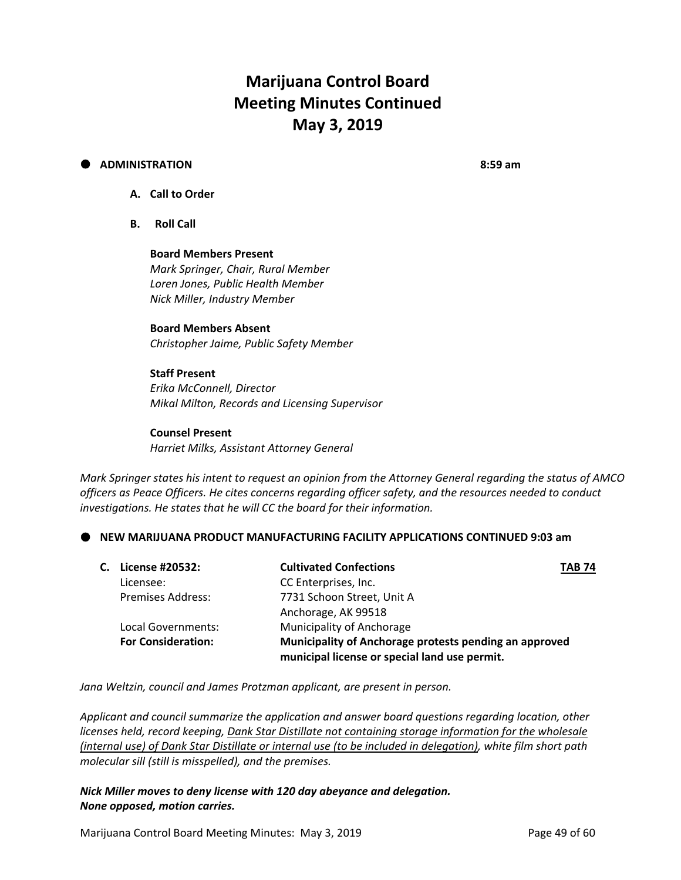# **Marijuana Control Board Meeting Minutes Continued May 3, 2019**

#### **ADMINISTRATION 8:59 am**

- **A. Call to Order**
- **B. Roll Call**

**Board Members Present** *Mark Springer, Chair, Rural Member Loren Jones, Public Health Member Nick Miller, Industry Member*

## **Board Members Absent**

*Christopher Jaime, Public Safety Member*

#### **Staff Present**

*Erika McConnell, Director Mikal Milton, Records and Licensing Supervisor*

#### **Counsel Present**

*Harriet Milks, Assistant Attorney General*

Mark Springer states his intent to reguest an opinion from the Attorney General regarding the status of AMCO *officers as Peace Officers. He cites concerns regarding officer safety, and the resources needed to conduct investigations. He states that he will CC the board for their information.* 

**NEW MARIJUANA PRODUCT MANUFACTURING FACILITY APPLICATIONS CONTINUED 9:03 am**

| С. | License #20532:           | <b>Cultivated Confections</b>                                                                           | <b>TAB 74</b> |
|----|---------------------------|---------------------------------------------------------------------------------------------------------|---------------|
|    | Licensee:                 | CC Enterprises, Inc.                                                                                    |               |
|    | <b>Premises Address:</b>  | 7731 Schoon Street, Unit A                                                                              |               |
|    |                           | Anchorage, AK 99518                                                                                     |               |
|    | Local Governments:        | Municipality of Anchorage                                                                               |               |
|    | <b>For Consideration:</b> | Municipality of Anchorage protests pending an approved<br>municipal license or special land use permit. |               |

*Jana Weltzin, council and James Protzman applicant, are present in person.* 

*Applicant and council summarize the application and answer board questions regarding location, other licenses held, record keeping, Dank Star Distillate not containing storage information for the wholesale* (internal use) of Dank Star Distillate or internal use (to be included in delegation), white film short path *molecular sill (still is misspelled), and the premises.*

#### *Nick Miller moves to deny license with 120 day abeyance and delegation. None opposed, motion carries.*

Marijuana Control Board Meeting Minutes: May 3, 2019 **Page 49 of 60** Page 49 of 60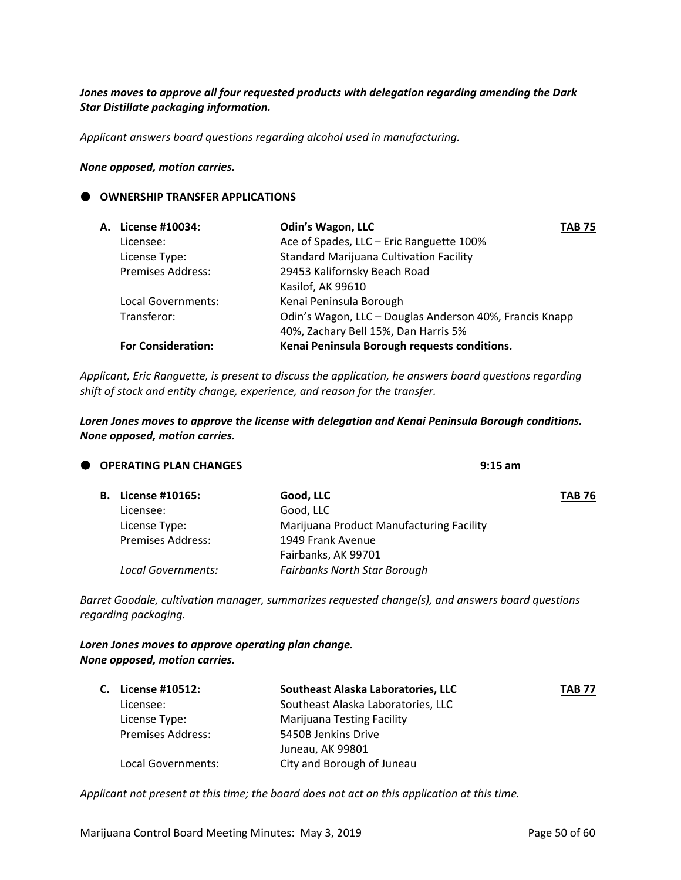#### *Jones moves to approve all four requested products with delegation regarding amending the Dark Star Distillate packaging information.*

*Applicant answers board questions regarding alcohol used in manufacturing.* 

#### *None opposed, motion carries.*

#### **OWNERSHIP TRANSFER APPLICATIONS**

| A. License #10034:        | <b>Odin's Wagon, LLC</b>                                | <b>TAB 75</b> |
|---------------------------|---------------------------------------------------------|---------------|
| Licensee:                 | Ace of Spades, LLC - Eric Ranguette 100%                |               |
| License Type:             | <b>Standard Marijuana Cultivation Facility</b>          |               |
| <b>Premises Address:</b>  | 29453 Kalifornsky Beach Road                            |               |
|                           | Kasilof, AK 99610                                       |               |
| Local Governments:        | Kenai Peninsula Borough                                 |               |
| Transferor:               | Odin's Wagon, LLC - Douglas Anderson 40%, Francis Knapp |               |
|                           | 40%, Zachary Bell 15%, Dan Harris 5%                    |               |
| <b>For Consideration:</b> | Kenai Peninsula Borough requests conditions.            |               |

*Applicant, Eric Ranguette, is present to discuss the application, he answers board questions regarding shift of stock and entity change, experience, and reason for the transfer.*

*Loren Jones moves to approve the license with delegation and Kenai Peninsula Borough conditions. None opposed, motion carries.* 

| O OPERATING PLAN CHANGES  |                          | $9:15$ am                                |               |
|---------------------------|--------------------------|------------------------------------------|---------------|
| <b>B.</b> License #10165: |                          | Good, LLC                                | <b>TAB 76</b> |
| Licensee:                 |                          | Good, LLC                                |               |
| License Type:             |                          | Marijuana Product Manufacturing Facility |               |
|                           | <b>Premises Address:</b> | 1949 Frank Avenue                        |               |
|                           |                          | Fairbanks, AK 99701                      |               |
|                           | Local Governments:       | <b>Fairbanks North Star Borough</b>      |               |
|                           |                          |                                          |               |

*Barret Goodale, cultivation manager, summarizes requested change(s), and answers board questions regarding packaging.* 

#### *Loren Jones moves to approve operating plan change. None opposed, motion carries.*

| C. License #10512:       | Southeast Alaska Laboratories, LLC | <b>TAB 77</b> |
|--------------------------|------------------------------------|---------------|
| Licensee:                | Southeast Alaska Laboratories, LLC |               |
| License Type:            | <b>Marijuana Testing Facility</b>  |               |
| <b>Premises Address:</b> | 5450B Jenkins Drive                |               |
|                          | Juneau, AK 99801                   |               |
| Local Governments:       | City and Borough of Juneau         |               |

*Applicant not present at this time; the board does not act on this application at this time.*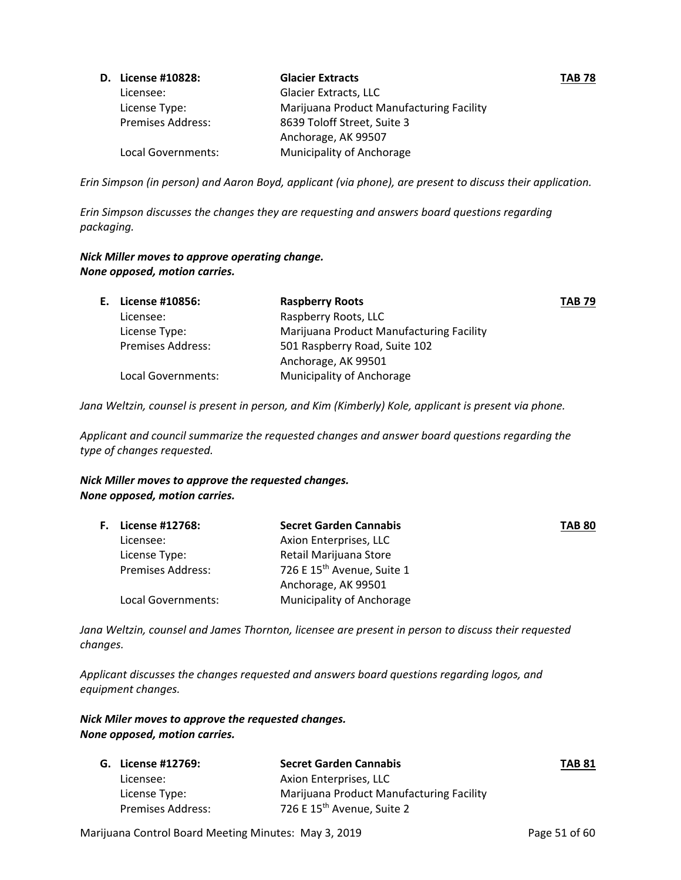| D. License #10828:       | <b>Glacier Extracts</b>                  | <b>TAB 78</b> |
|--------------------------|------------------------------------------|---------------|
| Licensee:                | Glacier Extracts, LLC                    |               |
| License Type:            | Marijuana Product Manufacturing Facility |               |
| <b>Premises Address:</b> | 8639 Toloff Street, Suite 3              |               |
|                          | Anchorage, AK 99507                      |               |
| Local Governments:       | Municipality of Anchorage                |               |

Erin Simpson (in person) and Aaron Boyd, applicant (via phone), are present to discuss their application.

*Erin Simpson discusses the changes they are requesting and answers board questions regarding packaging.*

#### *Nick Miller moves to approve operating change. None opposed, motion carries.*

| E. License #10856:       | <b>Raspberry Roots</b>                   | <b>TAB 79</b> |
|--------------------------|------------------------------------------|---------------|
| Licensee:                | Raspberry Roots, LLC                     |               |
| License Type:            | Marijuana Product Manufacturing Facility |               |
| <b>Premises Address:</b> | 501 Raspberry Road, Suite 102            |               |
|                          | Anchorage, AK 99501                      |               |
| Local Governments:       | Municipality of Anchorage                |               |

*Jana Weltzin, counsel is present in person, and Kim (Kimberly) Kole, applicant is present via phone.* 

*Applicant and council summarize the requested changes and answer board questions regarding the type of changes requested.* 

#### *Nick Miller moves to approve the requested changes. None opposed, motion carries.*

| <b>F.</b> License #12768: | <b>Secret Garden Cannabis</b>          | <b>TAB 80</b> |
|---------------------------|----------------------------------------|---------------|
| Licensee:                 | Axion Enterprises, LLC                 |               |
| License Type:             | Retail Marijuana Store                 |               |
| <b>Premises Address:</b>  | 726 E 15 <sup>th</sup> Avenue, Suite 1 |               |
|                           | Anchorage, AK 99501                    |               |
| Local Governments:        | <b>Municipality of Anchorage</b>       |               |

*Jana Weltzin, counsel and James Thornton, licensee are present in person to discuss their requested changes.* 

*Applicant discusses the changes requested and answers board questions regarding logos, and equipment changes.*

#### *Nick Miler moves to approve the requested changes. None opposed, motion carries.*

| G. License #12769:       | <b>Secret Garden Cannabis</b>            | <b>TAB 81</b> |
|--------------------------|------------------------------------------|---------------|
| Licensee:                | Axion Enterprises, LLC                   |               |
| License Type:            | Marijuana Product Manufacturing Facility |               |
| <b>Premises Address:</b> | 726 E 15 <sup>th</sup> Avenue, Suite 2   |               |

Marijuana Control Board Meeting Minutes: May 3, 2019 **Page 51 of 60** Page 51 of 60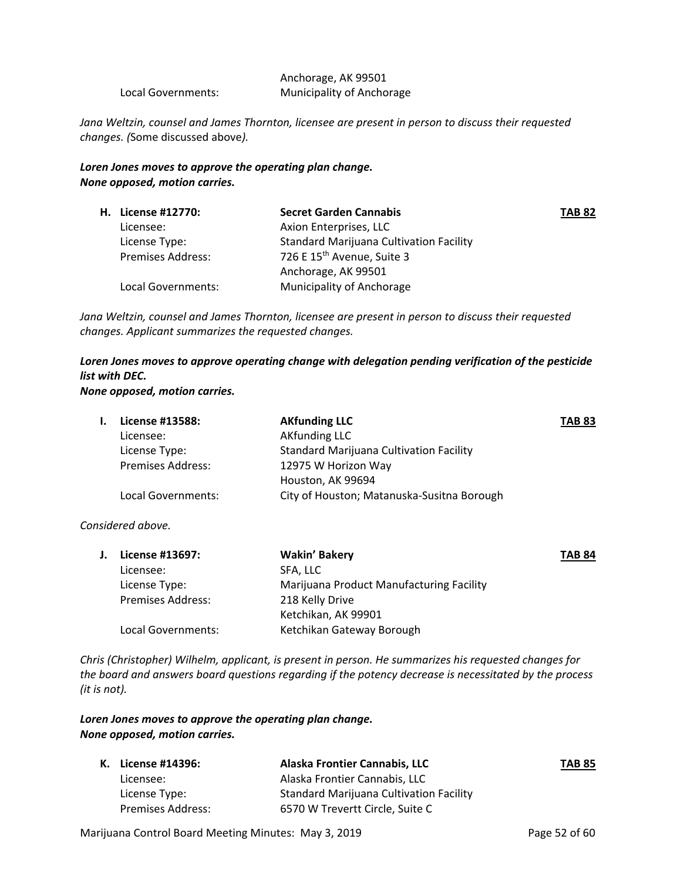|                    | Anchorage, AK 99501       |
|--------------------|---------------------------|
| Local Governments: | Municipality of Anchorage |

*Jana Weltzin, counsel and James Thornton, licensee are present in person to discuss their requested changes. (*Some discussed above*).*

#### *Loren Jones moves to approve the operating plan change. None opposed, motion carries.*

|                          | <b>Secret Garden Cannabis</b>                  | <b>TAB 82</b> |
|--------------------------|------------------------------------------------|---------------|
| Licensee:                | Axion Enterprises, LLC                         |               |
| License Type:            | <b>Standard Marijuana Cultivation Facility</b> |               |
| <b>Premises Address:</b> | 726 E 15 <sup>th</sup> Avenue, Suite 3         |               |
|                          | Anchorage, AK 99501                            |               |
| Local Governments:       | Municipality of Anchorage                      |               |
|                          | <b>H.</b> License #12770:                      |               |

*Jana Weltzin, counsel and James Thornton, licensee are present in person to discuss their requested changes. Applicant summarizes the requested changes.* 

## *Loren Jones moves to approve operating change with delegation pending verification of the pesticide list with DEC.*

#### *None opposed, motion carries.*

| License #13588:          | <b>AKfunding LLC</b>                           | <b>TAB 83</b> |
|--------------------------|------------------------------------------------|---------------|
| Licensee:                | <b>AKfunding LLC</b>                           |               |
| License Type:            | <b>Standard Marijuana Cultivation Facility</b> |               |
| <b>Premises Address:</b> | 12975 W Horizon Way                            |               |
|                          | Houston, AK 99694                              |               |
| Local Governments:       | City of Houston; Matanuska-Susitna Borough     |               |
|                          |                                                |               |

#### *Considered above.*

| License #13697:          | <b>Wakin' Bakery</b>                     | <b>TAB 84</b> |
|--------------------------|------------------------------------------|---------------|
| Licensee:                | SFA. LLC                                 |               |
| License Type:            | Marijuana Product Manufacturing Facility |               |
| <b>Premises Address:</b> | 218 Kelly Drive                          |               |
|                          | Ketchikan, AK 99901                      |               |
| Local Governments:       | Ketchikan Gateway Borough                |               |
|                          |                                          |               |

*Chris (Christopher) Wilhelm, applicant, is present in person. He summarizes his requested changes for the board and answers board questions regarding if the potency decrease is necessitated by the process (it is not).* 

#### *Loren Jones moves to approve the operating plan change. None opposed, motion carries.*

| K. License #14396:       | Alaska Frontier Cannabis, LLC                  | <b>TAB 85</b> |
|--------------------------|------------------------------------------------|---------------|
| Licensee:                | Alaska Frontier Cannabis. LLC                  |               |
| License Type:            | <b>Standard Marijuana Cultivation Facility</b> |               |
| <b>Premises Address:</b> | 6570 W Trevertt Circle, Suite C                |               |

Marijuana Control Board Meeting Minutes: May 3, 2019 **Page 52 of 60** Page 52 of 60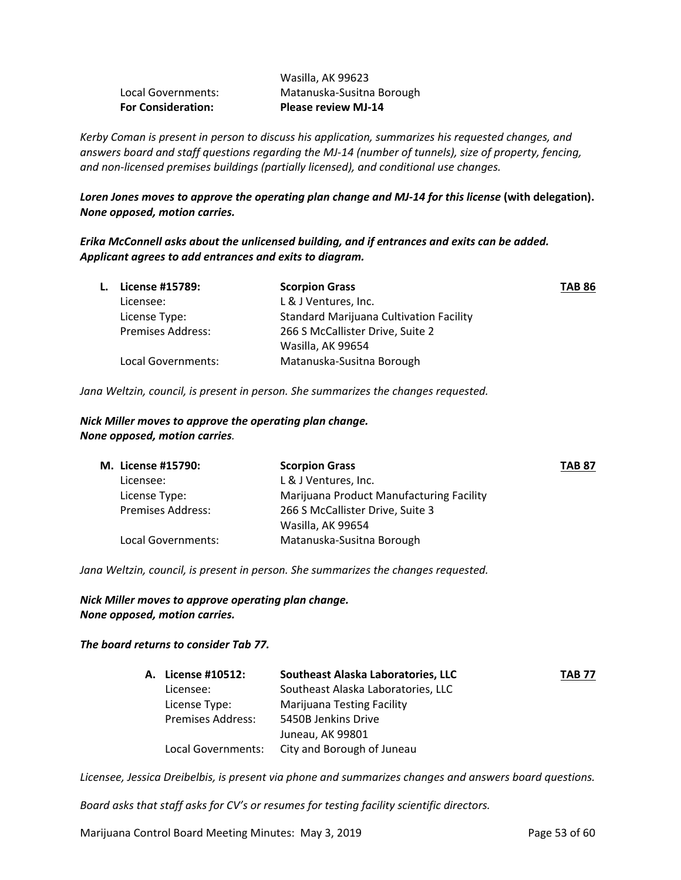| <b>For Consideration:</b> | <b>Please review MJ-14</b> |
|---------------------------|----------------------------|
| Local Governments:        | Matanuska-Susitna Borough  |
|                           | Wasilla, AK 99623          |

*Kerby Coman is present in person to discuss his application, summarizes his requested changes, and answers board and staff questions regarding the MJ‐14 (number of tunnels), size of property, fencing, and non‐licensed premises buildings (partially licensed), and conditional use changes.*

Loren Jones moves to approve the operating plan change and MJ-14 for this license (with delegation). *None opposed, motion carries.* 

*Erika McConnell asks about the unlicensed building, and if entrances and exits can be added. Applicant agrees to add entrances and exits to diagram.*

| L. | License #15789:          | <b>Scorpion Grass</b>                          | <b>TAB 86</b> |
|----|--------------------------|------------------------------------------------|---------------|
|    | Licensee:                | L & J Ventures, Inc.                           |               |
|    | License Type:            | <b>Standard Marijuana Cultivation Facility</b> |               |
|    | <b>Premises Address:</b> | 266 S McCallister Drive, Suite 2               |               |
|    |                          | Wasilla, AK 99654                              |               |
|    | Local Governments:       | Matanuska-Susitna Borough                      |               |

*Jana Weltzin, council, is present in person. She summarizes the changes requested.*

#### *Nick Miller moves to approve the operating plan change. None opposed, motion carries.*

| M. License #15790:       | <b>Scorpion Grass</b>                    | <b>TAB 87</b> |
|--------------------------|------------------------------------------|---------------|
| Licensee:                | L & J Ventures, Inc.                     |               |
| License Type:            | Marijuana Product Manufacturing Facility |               |
| <b>Premises Address:</b> | 266 S McCallister Drive, Suite 3         |               |
|                          | Wasilla, AK 99654                        |               |
| Local Governments:       | Matanuska-Susitna Borough                |               |

*Jana Weltzin, council, is present in person. She summarizes the changes requested.*

*Nick Miller moves to approve operating plan change. None opposed, motion carries.* 

#### *The board returns to consider Tab 77.*

| A. License #10512:       | Southeast Alaska Laboratories, LLC | <b>TAB 77</b> |
|--------------------------|------------------------------------|---------------|
| Licensee:                | Southeast Alaska Laboratories, LLC |               |
| License Type:            | <b>Marijuana Testing Facility</b>  |               |
| <b>Premises Address:</b> | 5450B Jenkins Drive                |               |
|                          | Juneau, AK 99801                   |               |
| Local Governments:       | City and Borough of Juneau         |               |

*Licensee, Jessica Dreibelbis, is present via phone and summarizes changes and answers board questions.*

*Board asks that staff asks for CV's or resumes for testing facility scientific directors.*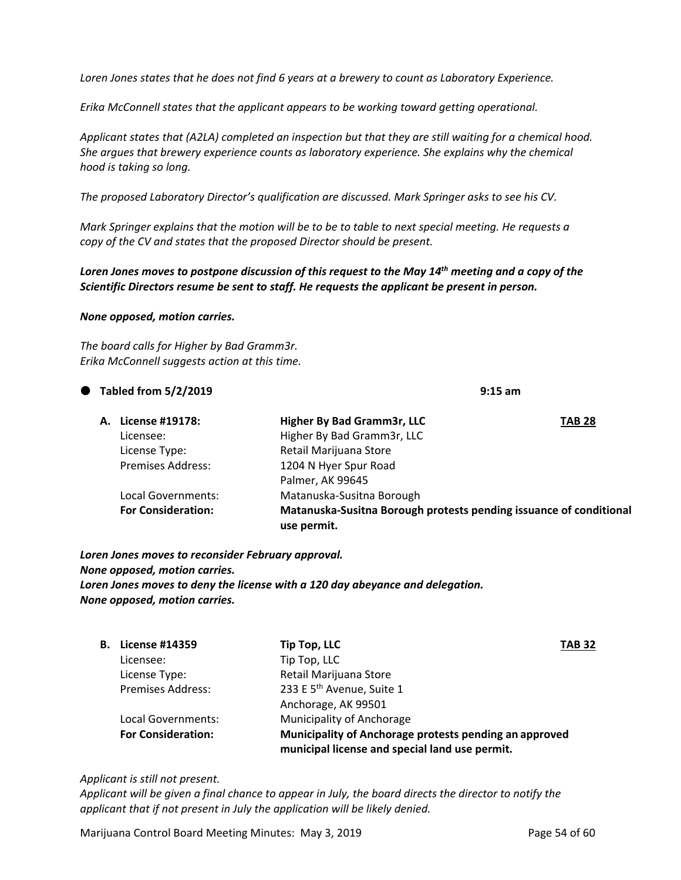Loren Jones states that he does not find 6 years at a brewery to count as Laboratory Experience.

*Erika McConnell states that the applicant appears to be working toward getting operational.*

*Applicant states that (A2LA) completed an inspection but that they are still waiting for a chemical hood. She argues that brewery experience counts as laboratory experience. She explains why the chemical hood is taking so long.*

*The proposed Laboratory Director's qualification are discussed. Mark Springer asks to see his CV.*

Mark Springer explains that the motion will be to be to table to next special meeting. He requests a *copy of the CV and states that the proposed Director should be present.* 

Loren Jones moves to postpone discussion of this request to the May 14<sup>th</sup> meeting and a copy of the *Scientific Directors resume be sent to staff. He requests the applicant be present in person.* 

#### *None opposed, motion carries.*

*The board calls for Higher by Bad Gramm3r. Erika McConnell suggests action at this time.* 

## **Tabled from 5/2/2019 9:15 am**

| A. License #19178:        | Higher By Bad Gramm3r, LLC                                                        | <b>TAB 28</b> |
|---------------------------|-----------------------------------------------------------------------------------|---------------|
| Licensee:                 | Higher By Bad Gramm3r, LLC                                                        |               |
| License Type:             | Retail Marijuana Store                                                            |               |
| <b>Premises Address:</b>  | 1204 N Hyer Spur Road                                                             |               |
|                           | Palmer, AK 99645                                                                  |               |
| Local Governments:        | Matanuska-Susitna Borough                                                         |               |
| <b>For Consideration:</b> | Matanuska-Susitna Borough protests pending issuance of conditional<br>use permit. |               |

*Loren Jones moves to reconsider February approval. None opposed, motion carries. Loren Jones moves to deny the license with a 120 day abeyance and delegation. None opposed, motion carries.*

| В. | <b>License #14359</b>     | Tip Top, LLC                                                                                             | <b>TAB 32</b> |
|----|---------------------------|----------------------------------------------------------------------------------------------------------|---------------|
|    | Licensee:                 | Tip Top, LLC                                                                                             |               |
|    | License Type:             | Retail Marijuana Store                                                                                   |               |
|    | <b>Premises Address:</b>  | 233 E 5 <sup>th</sup> Avenue, Suite 1                                                                    |               |
|    |                           | Anchorage, AK 99501                                                                                      |               |
|    | Local Governments:        | <b>Municipality of Anchorage</b>                                                                         |               |
|    | <b>For Consideration:</b> | Municipality of Anchorage protests pending an approved<br>municipal license and special land use permit. |               |

#### *Applicant is still not present.*

Applicant will be given a final chance to appear in July, the board directs the director to notify the *applicant that if not present in July the application will be likely denied.* 

Marijuana Control Board Meeting Minutes: May 3, 2019 **Page 54 of 60** Page 54 of 60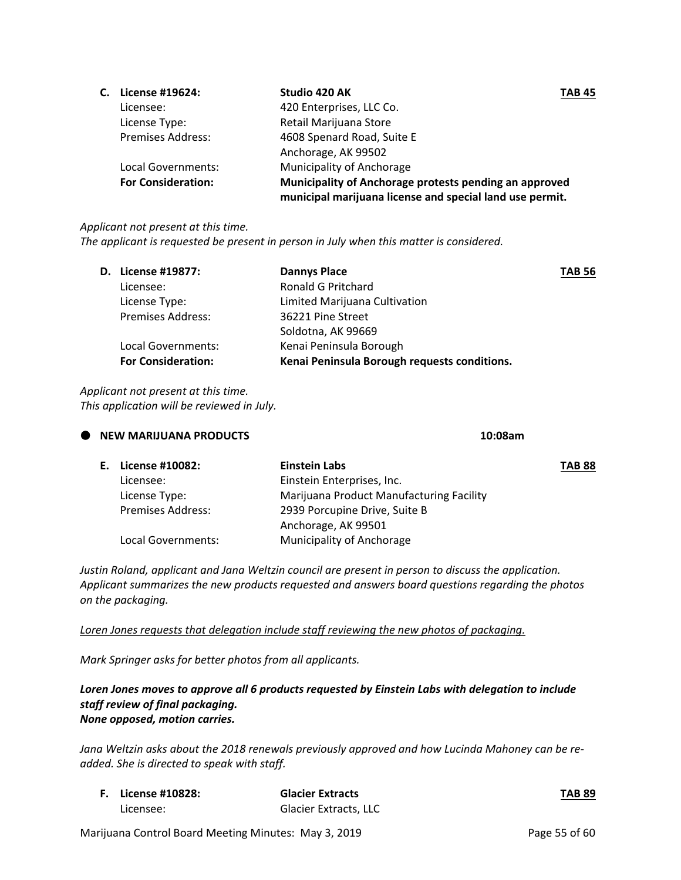| C. | License #19624:           | Studio 420 AK<br>TAB 45                                                                                            |  |
|----|---------------------------|--------------------------------------------------------------------------------------------------------------------|--|
|    | Licensee:                 | 420 Enterprises, LLC Co.                                                                                           |  |
|    | License Type:             | Retail Marijuana Store                                                                                             |  |
|    | <b>Premises Address:</b>  | 4608 Spenard Road, Suite E                                                                                         |  |
|    |                           | Anchorage, AK 99502                                                                                                |  |
|    | Local Governments:        | Municipality of Anchorage                                                                                          |  |
|    | <b>For Consideration:</b> | Municipality of Anchorage protests pending an approved<br>municipal marijuana license and special land use permit. |  |
|    |                           |                                                                                                                    |  |

#### *Applicant not present at this time.*

*The applicant is requested be present in person in July when this matter is considered.* 

| <b>D.</b> License #19877: | <b>Dannys Place</b>                          | <b>TAB 56</b> |
|---------------------------|----------------------------------------------|---------------|
| Licensee:                 | Ronald G Pritchard                           |               |
| License Type:             | Limited Marijuana Cultivation                |               |
| <b>Premises Address:</b>  | 36221 Pine Street                            |               |
|                           | Soldotna, AK 99669                           |               |
| Local Governments:        | Kenai Peninsula Borough                      |               |
| <b>For Consideration:</b> | Kenai Peninsula Borough requests conditions. |               |
|                           |                                              |               |

*Applicant not present at this time. This application will be reviewed in July.*

| <b>NEW MARIJUANA PRODUCTS</b> | 10:08am |
|-------------------------------|---------|
|                               |         |

| E. License #10082:       | Einstein Labs                            | <b>TAB 88</b> |
|--------------------------|------------------------------------------|---------------|
| Licensee:                | Einstein Enterprises, Inc.               |               |
| License Type:            | Marijuana Product Manufacturing Facility |               |
| <b>Premises Address:</b> | 2939 Porcupine Drive, Suite B            |               |
|                          | Anchorage, AK 99501                      |               |
| Local Governments:       | Municipality of Anchorage                |               |

*Justin Roland, applicant and Jana Weltzin council are present in person to discuss the application. Applicant summarizes the new products requested and answers board questions regarding the photos on the packaging.*

*Loren Jones requests that delegation include staff reviewing the new photos of packaging.* 

*Mark Springer asks for better photos from all applicants.* 

#### *Loren Jones moves to approve all 6 products requested by Einstein Labs with delegation to include staff review of final packaging. None opposed, motion carries.*

*Jana Weltzin asks about the 2018 renewals previously approved and how Lucinda Mahoney can be re‐ added. She is directed to speak with staff.* 

| <b>F.</b> License #10828: | <b>Glacier Extracts</b> | <b>TAB 89</b> |
|---------------------------|-------------------------|---------------|
| Licensee:                 | Glacier Extracts, LLC   |               |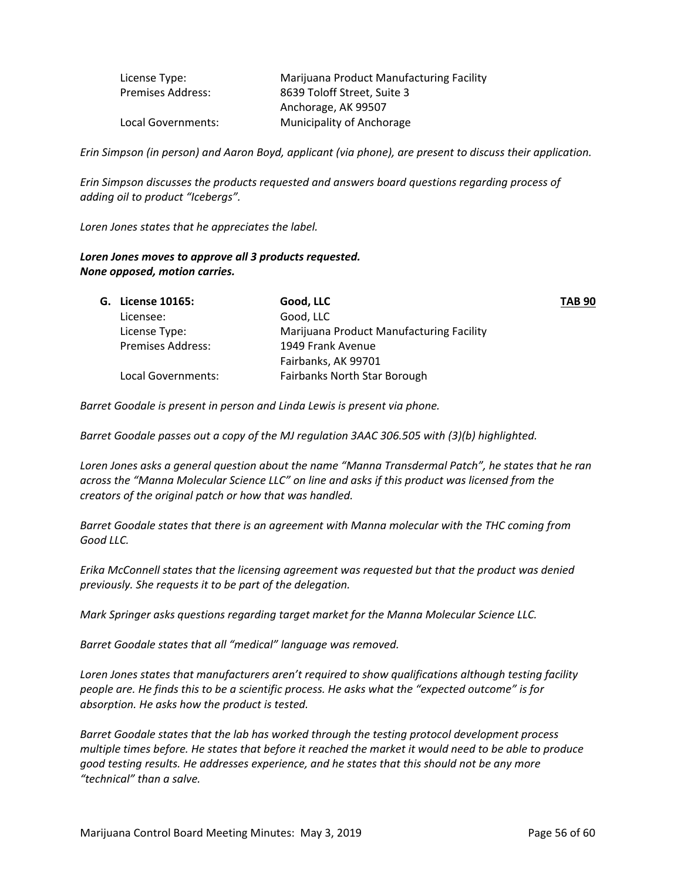| License Type:            | Marijuana Product Manufacturing Facility |
|--------------------------|------------------------------------------|
| <b>Premises Address:</b> | 8639 Toloff Street, Suite 3              |
|                          | Anchorage, AK 99507                      |
| Local Governments:       | Municipality of Anchorage                |

Erin Simpson (in person) and Aaron Boyd, applicant (via phone), are present to discuss their application.

*Erin Simpson discusses the products requested and answers board questions regarding process of adding oil to product "Icebergs".*

*Loren Jones states that he appreciates the label.* 

#### *Loren Jones moves to approve all 3 products requested. None opposed, motion carries.*

| <b>G. License 10165:</b> | Good, LLC                                | <b>TAB 90</b> |
|--------------------------|------------------------------------------|---------------|
| Licensee:                | Good, LLC                                |               |
| License Type:            | Marijuana Product Manufacturing Facility |               |
| <b>Premises Address:</b> | 1949 Frank Avenue                        |               |
|                          | Fairbanks, AK 99701                      |               |
| Local Governments:       | <b>Fairbanks North Star Borough</b>      |               |
|                          |                                          |               |

*Barret Goodale is present in person and Linda Lewis is present via phone.* 

*Barret Goodale passes out a copy of the MJ regulation 3AAC 306.505 with (3)(b) highlighted.* 

*Loren Jones asks a general question about the name "Manna Transdermal Patch", he states that he ran across the "Manna Molecular Science LLC" on line and asks if this product was licensed from the creators of the original patch or how that was handled.* 

*Barret Goodale states that there is an agreement with Manna molecular with the THC coming from Good LLC.*

*Erika McConnell states that the licensing agreement was requested but that the product was denied previously. She requests it to be part of the delegation.* 

*Mark Springer asks questions regarding target market for the Manna Molecular Science LLC.* 

*Barret Goodale states that all "medical" language was removed.* 

*Loren Jones states that manufacturers aren't required to show qualifications although testing facility people are. He finds this to be a scientific process. He asks what the "expected outcome" is for absorption. He asks how the product is tested.* 

*Barret Goodale states that the lab has worked through the testing protocol development process* multiple times before. He states that before it reached the market it would need to be able to produce *good testing results. He addresses experience, and he states that this should not be any more "technical" than a salve.*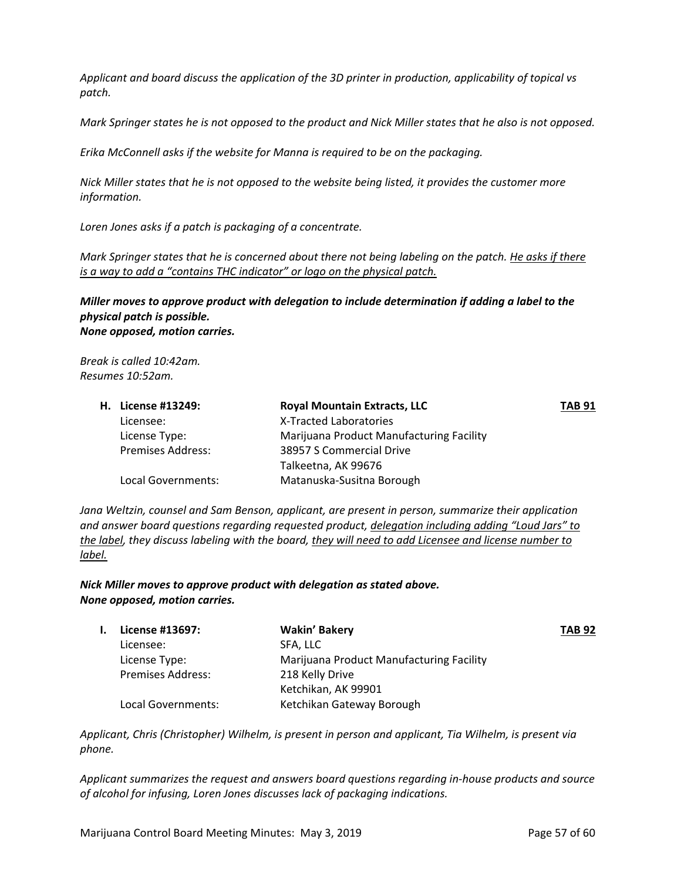*Applicant and board discuss the application of the 3D printer in production, applicability of topical vs patch.* 

Mark Springer states he is not opposed to the product and Nick Miller states that he also is not opposed.

*Erika McConnell asks if the website for Manna is required to be on the packaging.* 

Nick Miller states that he is not opposed to the website being listed, it provides the customer more *information.* 

*Loren Jones asks if a patch is packaging of a concentrate.* 

Mark Springer states that he is concerned about there not being labeling on the patch. He asks if there *is a way to add a "contains THC indicator" or logo on the physical patch.* 

*Miller moves to approve product with delegation to include determination if adding a label to the physical patch is possible. None opposed, motion carries.* 

*Break is called 10:42am. Resumes 10:52am.*

|  | <b>H.</b> License #13249: | <b>Royal Mountain Extracts, LLC</b>      | <b>TAB 91</b> |
|--|---------------------------|------------------------------------------|---------------|
|  | Licensee:                 | X-Tracted Laboratories                   |               |
|  | License Type:             | Marijuana Product Manufacturing Facility |               |
|  | Premises Address:         | 38957 S Commercial Drive                 |               |
|  |                           | Talkeetna, AK 99676                      |               |
|  | Local Governments:        | Matanuska-Susitna Borough                |               |

*Jana Weltzin, counsel and Sam Benson, applicant, are present in person, summarize their application and answer board questions regarding requested product, delegation including adding "Loud Jars" to* the label, they discuss labeling with the board, they will need to add Licensee and license number to *label.* 

*Nick Miller moves to approve product with delegation as stated above. None opposed, motion carries.* 

| License #13697:          | Wakin' Bakery                            | <b>TAB 92</b> |
|--------------------------|------------------------------------------|---------------|
| Licensee:                | SFA. LLC                                 |               |
| License Type:            | Marijuana Product Manufacturing Facility |               |
| <b>Premises Address:</b> | 218 Kelly Drive                          |               |
|                          | Ketchikan, AK 99901                      |               |
| Local Governments:       | Ketchikan Gateway Borough                |               |

*Applicant, Chris (Christopher) Wilhelm, is present in person and applicant, Tia Wilhelm, is present via phone.* 

*Applicant summarizes the request and answers board questions regarding in‐house products and source of alcohol for infusing, Loren Jones discusses lack of packaging indications.*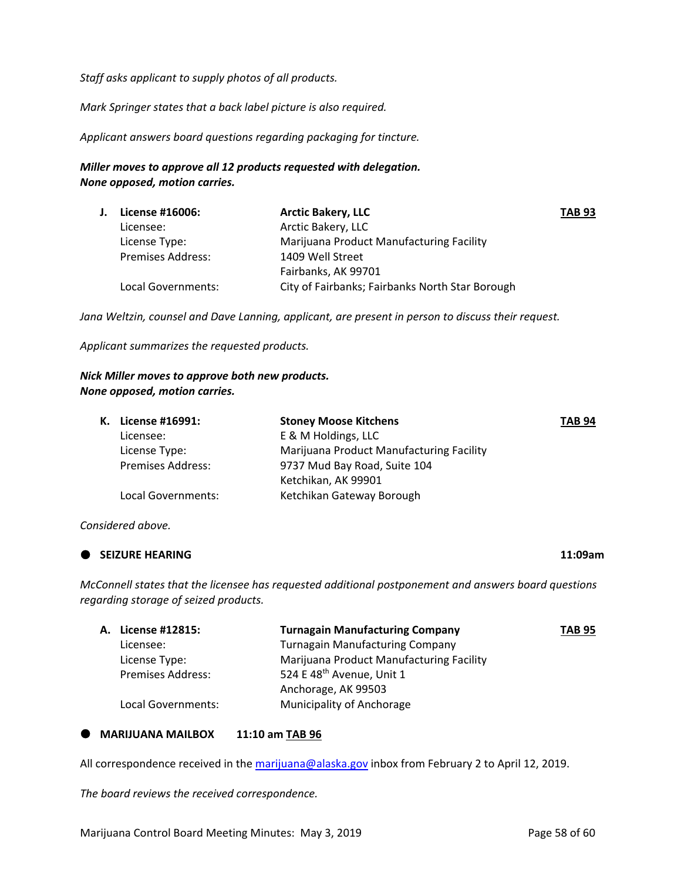*Staff asks applicant to supply photos of all products.*

*Mark Springer states that a back label picture is also required.* 

*Applicant answers board questions regarding packaging for tincture.* 

#### *Miller moves to approve all 12 products requested with delegation. None opposed, motion carries.*

| <b>TAB 93</b> |
|---------------|
|               |
|               |
|               |
|               |
|               |
|               |

*Jana Weltzin, counsel and Dave Lanning, applicant, are present in person to discuss their request.* 

*Applicant summarizes the requested products.*

#### *Nick Miller moves to approve both new products. None opposed, motion carries.*

|  | K. License #16991:       | <b>Stoney Moose Kitchens</b>             | <b>TAB 94</b> |
|--|--------------------------|------------------------------------------|---------------|
|  | Licensee:                | E & M Holdings, LLC                      |               |
|  | License Type:            | Marijuana Product Manufacturing Facility |               |
|  | <b>Premises Address:</b> | 9737 Mud Bay Road, Suite 104             |               |
|  |                          | Ketchikan, AK 99901                      |               |
|  | Local Governments:       | Ketchikan Gateway Borough                |               |
|  |                          |                                          |               |

#### *Considered above.*

#### **SEIZURE HEARING 11:09am**

*McConnell states that the licensee has requested additional postponement and answers board questions regarding storage of seized products.* 

| <b>A. License #12815:</b> | <b>Turnagain Manufacturing Company</b>   | <b>TAB 95</b> |
|---------------------------|------------------------------------------|---------------|
| Licensee:                 | <b>Turnagain Manufacturing Company</b>   |               |
| License Type:             | Marijuana Product Manufacturing Facility |               |
| <b>Premises Address:</b>  | 524 E 48 <sup>th</sup> Avenue, Unit 1    |               |
|                           | Anchorage, AK 99503                      |               |
| Local Governments:        | Municipality of Anchorage                |               |

#### **MARIJUANA MAILBOX 11:10 am TAB 96**

All correspondence received in the marijuana@alaska.gov inbox from February 2 to April 12, 2019.

*The board reviews the received correspondence.*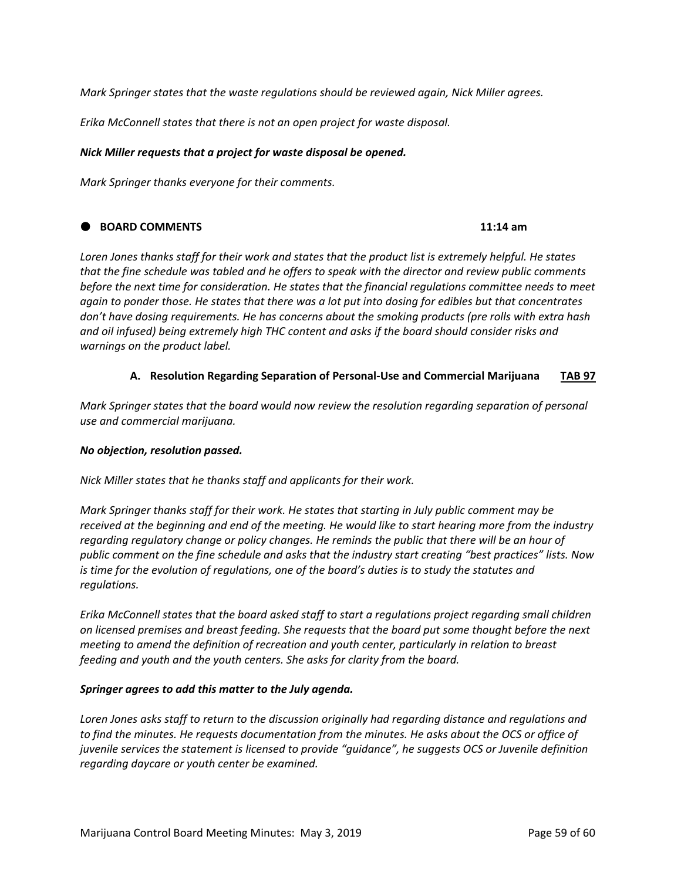*Mark Springer states that the waste regulations should be reviewed again, Nick Miller agrees.* 

*Erika McConnell states that there is not an open project for waste disposal.* 

#### *Nick Miller requests that a project for waste disposal be opened.*

*Mark Springer thanks everyone for their comments.* 

#### **BOARD COMMENTS 11:14 am**

Loren Jones thanks staff for their work and states that the product list is extremely helpful. He states that the fine schedule was tabled and he offers to speak with the director and review public comments *before the next time for consideration. He states that the financial regulations committee needs to meet* again to ponder those. He states that there was a lot put into dosing for edibles but that concentrates *don't have dosing requirements. He has concerns about the smoking products (pre rolls with extra hash and oil infused) being extremely high THC content and asks if the board should consider risks and warnings on the product label.* 

### **A. Resolution Regarding Separation of Personal‐Use and Commercial Marijuana TAB 97**

*Mark Springer states that the board would now review the resolution regarding separation of personal use and commercial marijuana.* 

#### *No objection, resolution passed.*

*Nick Miller states that he thanks staff and applicants for their work.* 

*Mark Springer thanks staff for their work. He states that starting in July public comment may be* received at the beginning and end of the meeting. He would like to start hearing more from the industry *regarding regulatory change or policy changes. He reminds the public that there will be an hour of public comment on the fine schedule and asks that the industry start creating "best practices" lists. Now is time for the evolution of regulations, one of the board's duties is to study the statutes and*  $regularions.$ 

*Erika McConnell states that the board asked staff to start a regulations project regarding small children on licensed premises and breast feeding. She requests that the board put some thought before the next meeting to amend the definition of recreation and youth center, particularly in relation to breast feeding and youth and the youth centers. She asks for clarity from the board.* 

#### *Springer agrees to add this matter to the July agenda.*

*Loren Jones asks staff to return to the discussion originally had regarding distance and regulations and* to find the minutes. He requests documentation from the minutes. He asks about the OCS or office of *juvenile services the statement is licensed to provide "guidance", he suggests OCS or Juvenile definition regarding daycare or youth center be examined.*